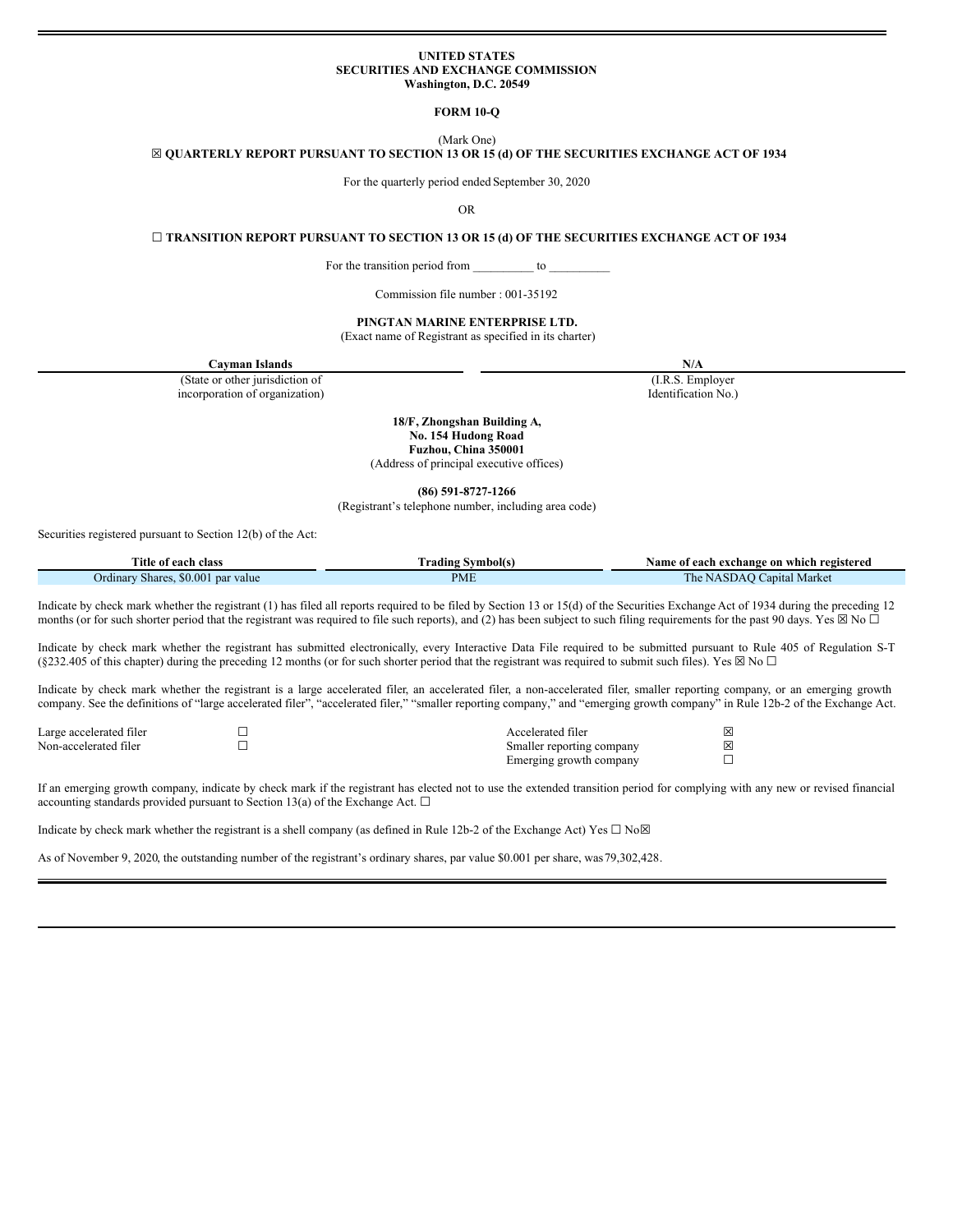#### **UNITED STATES SECURITIES AND EXCHANGE COMMISSION Washington, D.C. 20549**

**FORM 10-Q**

(Mark One)

<span id="page-0-0"></span>☒ **QUARTERLY REPORT PURSUANT TO SECTION 13 OR 15 (d) OF THE SECURITIES EXCHANGE ACT OF 1934**

For the quarterly period ended September 30, 2020

OR

**☐ TRANSITION REPORT PURSUANT TO SECTION 13 OR 15 (d) OF THE SECURITIES EXCHANGE ACT OF 1934**

For the transition period from \_\_\_\_\_\_\_\_\_\_\_ to

Commission file number : 001-35192

#### **PINGTAN MARINE ENTERPRISE LTD.**

(Exact name of Registrant as specified in its charter)

| Cavman Islands                  | N/A                 |  |  |  |  |  |
|---------------------------------|---------------------|--|--|--|--|--|
| (State or other jurisdiction of | (I.R.S. Employer)   |  |  |  |  |  |
| incorporation of organization)  | Identification No.) |  |  |  |  |  |
| 18/F Zhongshan Ruilding A       |                     |  |  |  |  |  |

**18/F, Zhongshan Building A, No. 154 Hudong Road Fuzhou, China 350001** (Address of principal executive offices)

**(86) 591-8727-1266**

(Registrant's telephone number, including area code)

Securities registered pursuant to Section 12(b) of the Act:

| Title of each class                             | <b>Trading Symbol(s)</b> | Name of each exchange on which registered |
|-------------------------------------------------|--------------------------|-------------------------------------------|
| \$0.001<br>Jrdinar<br>Shares.<br>. par<br>value | <b>PME</b>               | apital Market<br>l he<br>NASDA            |

Indicate by check mark whether the registrant (1) has filed all reports required to be filed by Section 13 or 15(d) of the Securities Exchange Act of 1934 during the preceding 12 months (or for such shorter period that the registrant was required to file such reports), and (2) has been subject to such filing requirements for the past 90 days. Yes  $\boxtimes$  No  $\Box$ 

Indicate by check mark whether the registrant has submitted electronically, every Interactive Data File required to be submitted pursuant to Rule 405 of Regulation S-T (§232.405 of this chapter) during the preceding 12 months (or for such shorter period that the registrant was required to submit such files). Yes  $\boxtimes$  No  $\Box$ 

Indicate by check mark whether the registrant is a large accelerated filer, an accelerated filer, a non-accelerated filer, smaller reporting company, or an emerging growth company. See the definitions of "large accelerated filer", "accelerated filer," "smaller reporting company," and "emerging growth company" in Rule 12b-2 of the Exchange Act.

| Large accelerated filer | Accelerated filer         | ⊠ |
|-------------------------|---------------------------|---|
| Non-accelerated filer   | Smaller reporting company | 冈 |
|                         | Emerging growth company   |   |

If an emerging growth company, indicate by check mark if the registrant has elected not to use the extended transition period for complying with any new or revised financial accounting standards provided pursuant to Section 13(a) of the Exchange Act.  $\square$ 

Indicate by check mark whether the registrant is a shell company (as defined in Rule 12b-2 of the Exchange Act) Yes  $\Box$  No $\boxtimes$ 

As of November 9, 2020, the outstanding number of the registrant's ordinary shares, par value \$0.001 per share, was79,302,428.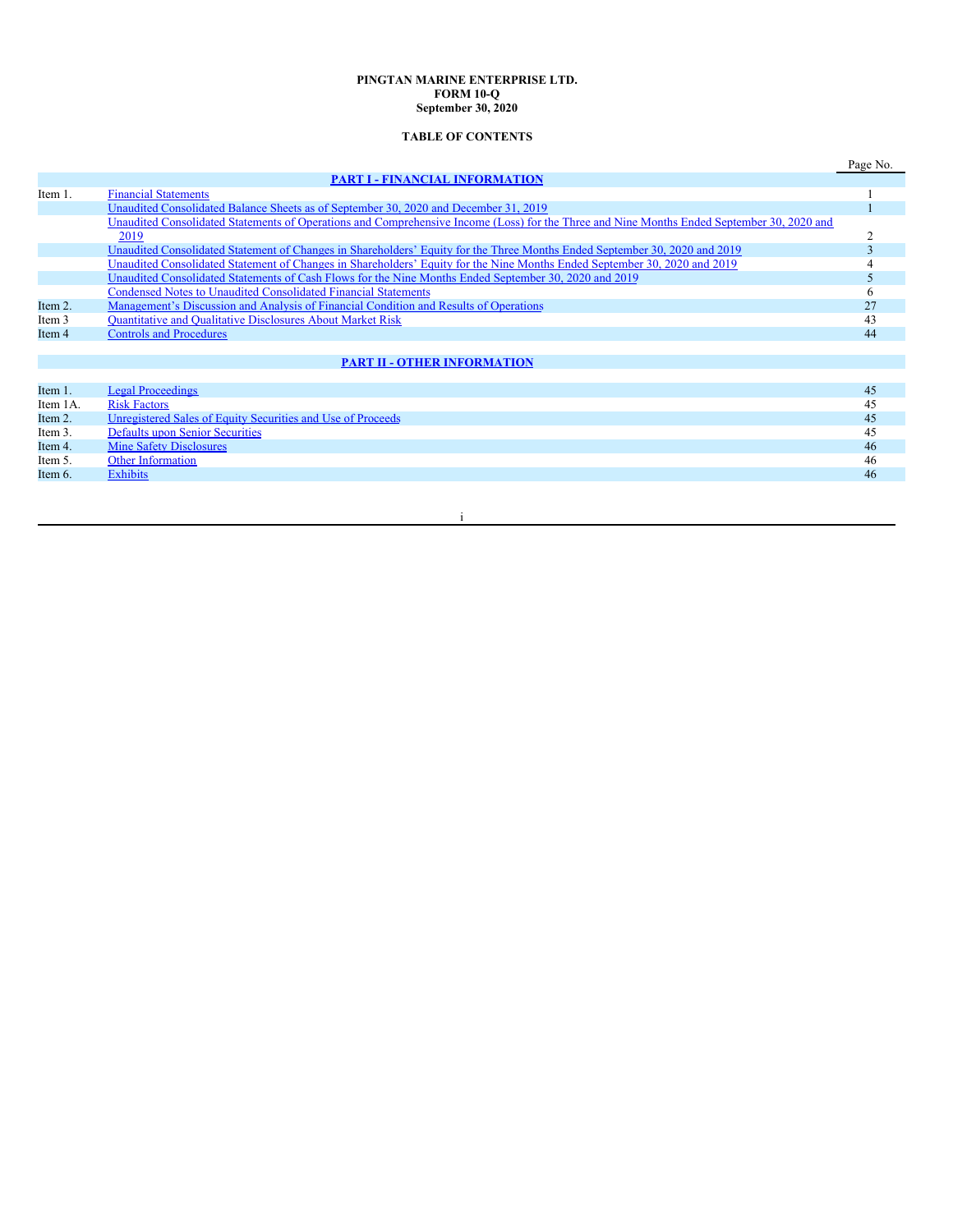### **PINGTAN MARINE ENTERPRISE LTD. FORM 10-Q September 30, 2020**

# **TABLE OF CONTENTS**

|          |                                                                                                                                            | Page No. |
|----------|--------------------------------------------------------------------------------------------------------------------------------------------|----------|
|          | <b>PART I - FINANCIAL INFORMATION</b>                                                                                                      |          |
| Item 1.  | <b>Financial Statements</b>                                                                                                                |          |
|          | Unaudited Consolidated Balance Sheets as of September 30, 2020 and December 31, 2019                                                       |          |
|          | Unaudited Consolidated Statements of Operations and Comprehensive Income (Loss) for the Three and Nine Months Ended September 30, 2020 and |          |
|          | 2019                                                                                                                                       | 2        |
|          | Unaudited Consolidated Statement of Changes in Shareholders' Equity for the Three Months Ended September 30, 2020 and 2019                 | 3        |
|          | Unaudited Consolidated Statement of Changes in Shareholders' Equity for the Nine Months Ended September 30, 2020 and 2019                  |          |
|          | Unaudited Consolidated Statements of Cash Flows for the Nine Months Ended September 30, 2020 and 2019                                      | 5        |
|          | <b>Condensed Notes to Unaudited Consolidated Financial Statements</b>                                                                      | 6        |
| Item 2.  | Management's Discussion and Analysis of Financial Condition and Results of Operations                                                      | 27       |
| Item 3   | <b>Ouantitative and Qualitative Disclosures About Market Risk</b>                                                                          | 43       |
| Item 4   | <b>Controls and Procedures</b>                                                                                                             | 44       |
|          |                                                                                                                                            |          |
|          | <b>PART II - OTHER INFORMATION</b>                                                                                                         |          |
|          |                                                                                                                                            |          |
| Item 1.  | <b>Legal Proceedings</b>                                                                                                                   | 45       |
| Item 1A. | <b>Risk Factors</b>                                                                                                                        | 45       |
| Item 2.  | Unregistered Sales of Equity Securities and Use of Proceeds                                                                                | 45       |
| Item 3.  | <b>Defaults upon Senior Securities</b>                                                                                                     | 45       |
| Item 4.  | <b>Mine Safety Disclosures</b>                                                                                                             | 46       |
| Item 5.  | <b>Other Information</b>                                                                                                                   | 46       |
| Item 6.  | <b>Exhibits</b>                                                                                                                            | 46       |
|          |                                                                                                                                            |          |

i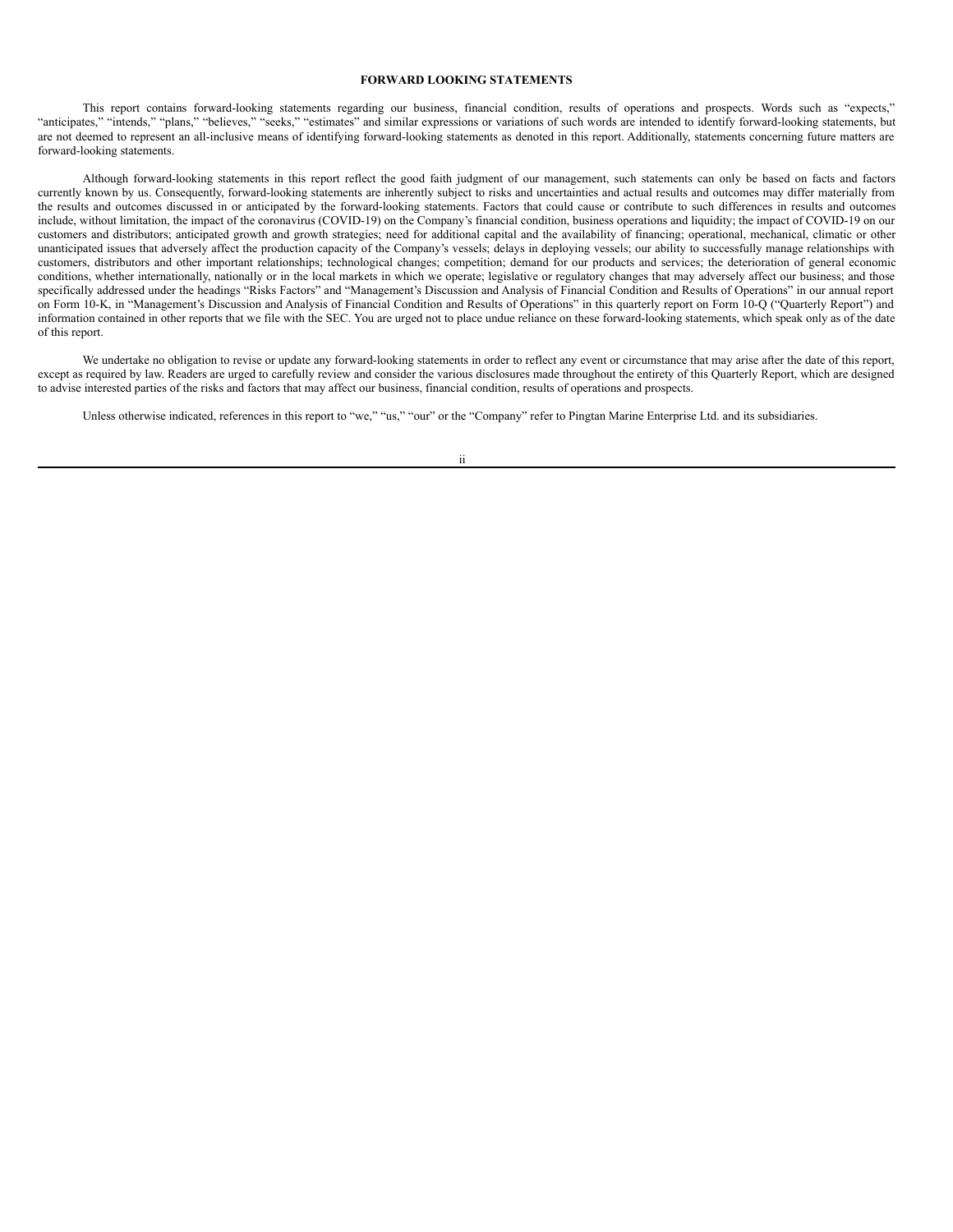## **FORWARD LOOKING STATEMENTS**

This report contains forward-looking statements regarding our business, financial condition, results of operations and prospects. Words such as "expects," "anticipates," "intends," "plans," "believes," "seeks," "estimates" and similar expressions or variations of such words are intended to identify forward-looking statements, but are not deemed to represent an all-inclusive means of identifying forward-looking statements as denoted in this report. Additionally, statements concerning future matters are forward-looking statements.

Although forward-looking statements in this report reflect the good faith judgment of our management, such statements can only be based on facts and factors currently known by us. Consequently, forward-looking statements are inherently subject to risks and uncertainties and actual results and outcomes may differ materially from the results and outcomes discussed in or anticipated by the forward-looking statements. Factors that could cause or contribute to such differences in results and outcomes include, without limitation, the impact of the coronavirus (COVID-19) on the Company's financial condition, business operations and liquidity; the impact of COVID-19 on our customers and distributors; anticipated growth and growth strategies; need for additional capital and the availability of financing; operational, mechanical, climatic or other unanticipated issues that adversely affect the production capacity of the Company's vessels; delays in deploying vessels; our ability to successfully manage relationships with customers, distributors and other important relationships; technological changes; competition; demand for our products and services; the deterioration of general economic conditions, whether internationally, nationally or in the local markets in which we operate; legislative or regulatory changes that may adversely affect our business; and those specifically addressed under the headings "Risks Factors" and "Management's Discussion and Analysis of Financial Condition and Results of Operations" in our annual report on Form 10-K, in "Management's Discussion and Analysis of Financial Condition and Results of Operations" in this quarterly report on Form 10-Q ("Quarterly Report") and information contained in other reports that we file with the SEC. You are urged not to place undue reliance on these forward-looking statements, which speak only as of the date of this report.

We undertake no obligation to revise or update any forward-looking statements in order to reflect any event or circumstance that may arise after the date of this report, except as required by law. Readers are urged to carefully review and consider the various disclosures made throughout the entirety of this Quarterly Report, which are designed to advise interested parties of the risks and factors that may affect our business, financial condition, results of operations and prospects.

Unless otherwise indicated, references in this report to "we," "us," "our" or the "Company" refer to Pingtan Marine Enterprise Ltd. and its subsidiaries.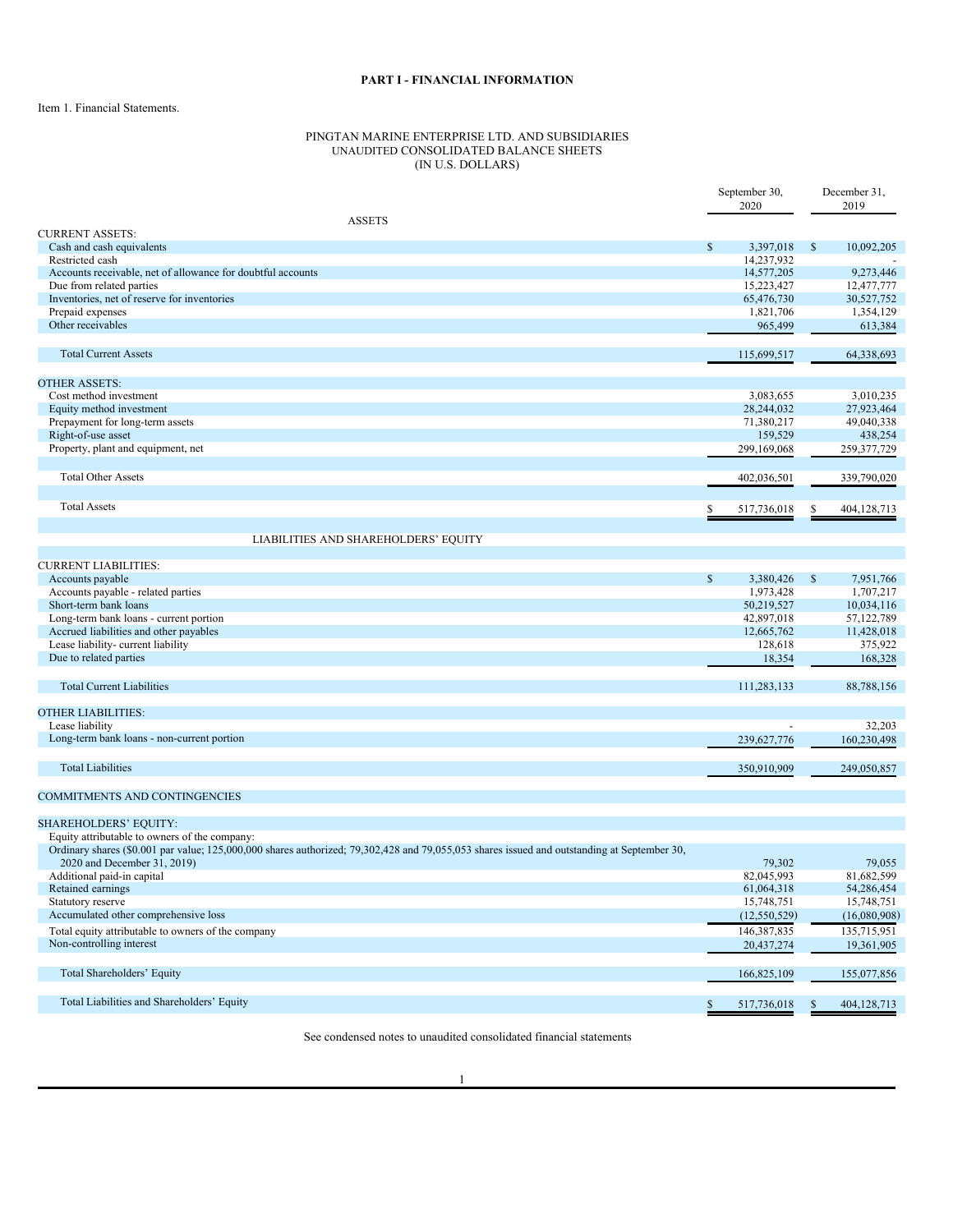# **PART I - FINANCIAL INFORMATION**

# Item 1. Financial Statements.

### PINGTAN MARINE ENTERPRISE LTD. AND SUBSIDIARIES UNAUDITED CONSOLIDATED BALANCE SHEETS (IN U.S. DOLLARS)

|                                                                                                                                             |              | September 30,<br>2020    |              | December 31,<br>2019     |
|---------------------------------------------------------------------------------------------------------------------------------------------|--------------|--------------------------|--------------|--------------------------|
| <b>ASSETS</b>                                                                                                                               |              |                          |              |                          |
| <b>CURRENT ASSETS:</b>                                                                                                                      | $\mathbb{S}$ |                          | $\mathbb{S}$ |                          |
| Cash and cash equivalents<br>Restricted cash                                                                                                |              | 3,397,018<br>14,237,932  |              | 10,092,205               |
| Accounts receivable, net of allowance for doubtful accounts                                                                                 |              | 14,577,205               |              | 9,273,446                |
| Due from related parties                                                                                                                    |              | 15,223,427               |              | 12,477,777               |
| Inventories, net of reserve for inventories                                                                                                 |              | 65,476,730               |              | 30,527,752               |
| Prepaid expenses                                                                                                                            |              | 1,821,706                |              | 1,354,129                |
| Other receivables                                                                                                                           |              | 965,499                  |              | 613,384                  |
|                                                                                                                                             |              |                          |              |                          |
| <b>Total Current Assets</b>                                                                                                                 |              | 115,699,517              |              | 64,338,693               |
| <b>OTHER ASSETS:</b>                                                                                                                        |              |                          |              |                          |
| Cost method investment                                                                                                                      |              | 3,083,655                |              | 3,010,235                |
| Equity method investment                                                                                                                    |              | 28,244,032               |              | 27,923,464               |
| Prepayment for long-term assets                                                                                                             |              | 71,380,217               |              | 49,040,338               |
| Right-of-use asset                                                                                                                          |              | 159,529                  |              | 438,254                  |
| Property, plant and equipment, net                                                                                                          |              | 299,169,068              |              | 259, 377, 729            |
|                                                                                                                                             |              |                          |              |                          |
| <b>Total Other Assets</b>                                                                                                                   |              | 402,036,501              |              | 339,790,020              |
| <b>Total Assets</b>                                                                                                                         | \$           | 517,736,018              | S            | 404,128,713              |
|                                                                                                                                             |              |                          |              |                          |
| LIABILITIES AND SHAREHOLDERS' EQUITY                                                                                                        |              |                          |              |                          |
|                                                                                                                                             |              |                          |              |                          |
| <b>CURRENT LIABILITIES:</b>                                                                                                                 |              |                          |              |                          |
| Accounts payable                                                                                                                            | $\mathbb{S}$ | 3,380,426                | \$           | 7,951,766                |
| Accounts payable - related parties                                                                                                          |              | 1.973.428                |              | 1,707,217                |
| Short-term bank loans<br>Long-term bank loans - current portion                                                                             |              | 50,219,527               |              | 10,034,116               |
| Accrued liabilities and other payables                                                                                                      |              | 42,897,018<br>12,665,762 |              | 57,122,789<br>11,428,018 |
| Lease liability- current liability                                                                                                          |              | 128,618                  |              | 375,922                  |
| Due to related parties                                                                                                                      |              |                          |              |                          |
|                                                                                                                                             |              | 18,354                   |              | 168,328                  |
| <b>Total Current Liabilities</b>                                                                                                            |              | 111,283,133              |              | 88,788,156               |
| <b>OTHER LIABILITIES:</b>                                                                                                                   |              |                          |              |                          |
| Lease liability                                                                                                                             |              |                          |              | 32,203                   |
| Long-term bank loans - non-current portion                                                                                                  |              | 239,627,776              |              | 160,230,498              |
|                                                                                                                                             |              |                          |              |                          |
| <b>Total Liabilities</b>                                                                                                                    |              | 350,910,909              |              | 249,050,857              |
| <b>COMMITMENTS AND CONTINGENCIES</b>                                                                                                        |              |                          |              |                          |
| <b>SHAREHOLDERS' EQUITY:</b>                                                                                                                |              |                          |              |                          |
| Equity attributable to owners of the company:                                                                                               |              |                          |              |                          |
| Ordinary shares (\$0.001 par value; 125,000,000 shares authorized; 79,302,428 and 79,055,053 shares issued and outstanding at September 30, |              |                          |              |                          |
| 2020 and December 31, 2019)                                                                                                                 |              | 79,302                   |              | 79,055                   |
| Additional paid-in capital                                                                                                                  |              | 82,045,993               |              | 81,682,599               |
| Retained earnings<br>Statutory reserve                                                                                                      |              | 61,064,318<br>15,748,751 |              | 54,286,454<br>15,748,751 |
| Accumulated other comprehensive loss                                                                                                        |              | (12, 550, 529)           |              | (16,080,908)             |
|                                                                                                                                             |              | 146, 387, 835            |              | 135,715,951              |
| Total equity attributable to owners of the company<br>Non-controlling interest                                                              |              |                          |              |                          |
|                                                                                                                                             |              | 20,437,274               |              | 19,361,905               |
| Total Shareholders' Equity                                                                                                                  |              | 166,825,109              |              | 155,077,856              |
| Total Liabilities and Shareholders' Equity                                                                                                  | \$           | 517,736,018              | S            | 404,128,713              |
|                                                                                                                                             |              |                          |              |                          |

See condensed notes to unaudited consolidated financial statements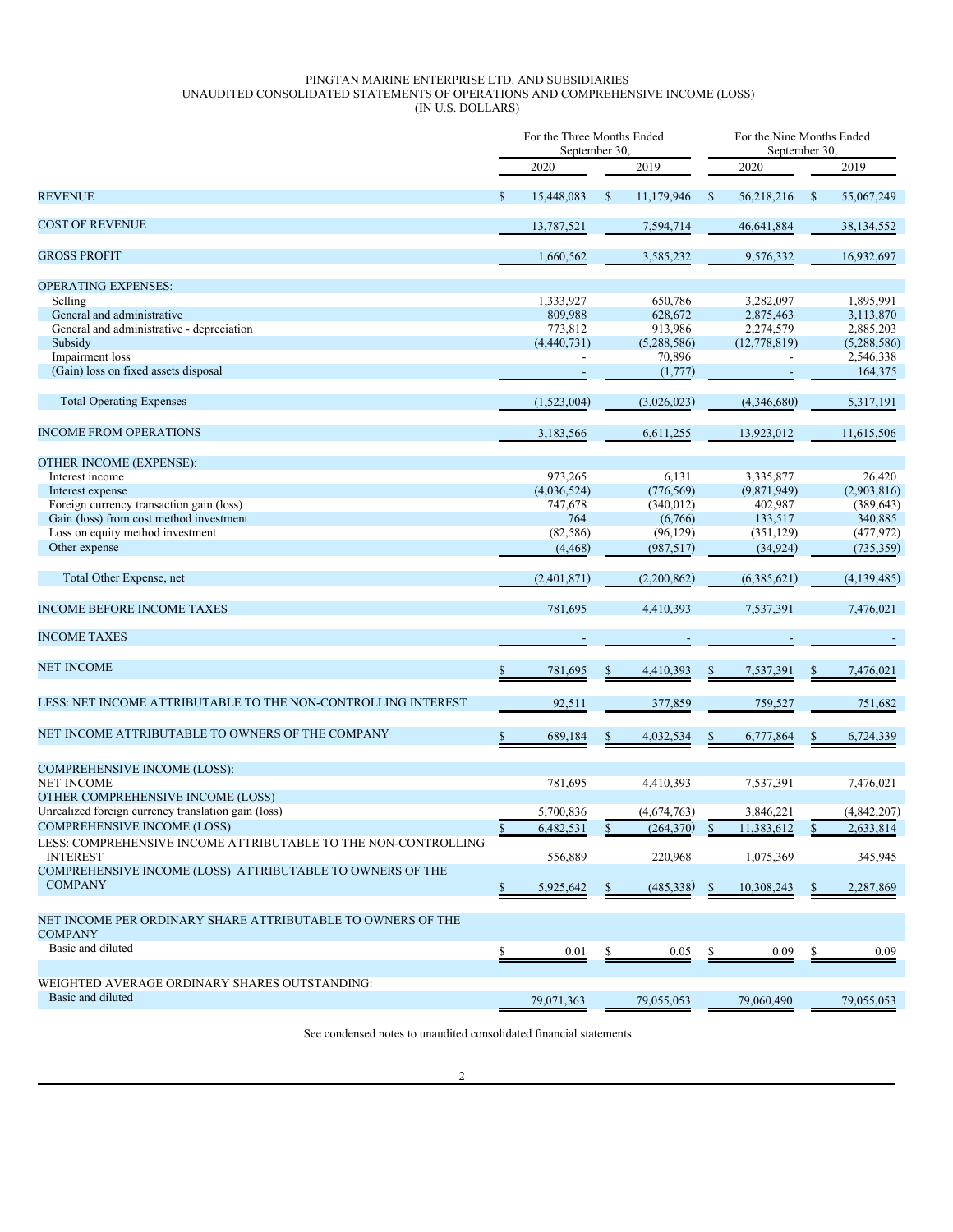#### PINGTAN MARINE ENTERPRISE LTD. AND SUBSIDIARIES UNAUDITED CONSOLIDATED STATEMENTS OF OPERATIONS AND COMPREHENSIVE INCOME (LOSS) (IN U.S. DOLLARS)

|                                                                                   |             | For the Three Months Ended<br>September 30. |    |             |               | For the Nine Months Ended<br>September 30, |              |              |  |
|-----------------------------------------------------------------------------------|-------------|---------------------------------------------|----|-------------|---------------|--------------------------------------------|--------------|--------------|--|
|                                                                                   |             | 2020                                        |    | 2019        |               | 2020                                       |              | 2019         |  |
| <b>REVENUE</b>                                                                    | $\mathbf S$ | 15,448,083                                  | \$ | 11,179,946  | $\mathbb{S}$  | 56,218,216                                 | $\mathbb{S}$ | 55,067,249   |  |
| <b>COST OF REVENUE</b>                                                            |             | 13,787,521                                  |    | 7,594,714   |               | 46,641,884                                 |              | 38, 134, 552 |  |
| <b>GROSS PROFIT</b>                                                               |             | 1,660,562                                   |    | 3,585,232   |               | 9,576,332                                  |              | 16,932,697   |  |
| <b>OPERATING EXPENSES:</b>                                                        |             |                                             |    |             |               |                                            |              |              |  |
| Selling                                                                           |             | 1,333,927                                   |    | 650,786     |               | 3,282,097                                  |              | 1,895,991    |  |
| General and administrative                                                        |             | 809,988                                     |    | 628,672     |               | 2,875,463                                  |              | 3,113,870    |  |
| General and administrative - depreciation                                         |             | 773,812                                     |    | 913,986     |               | 2,274,579                                  |              | 2,885,203    |  |
| Subsidy                                                                           |             | (4,440,731)                                 |    | (5,288,586) |               | (12, 778, 819)                             |              | (5,288,586)  |  |
| Impairment loss                                                                   |             |                                             |    | 70,896      |               |                                            |              | 2,546,338    |  |
| (Gain) loss on fixed assets disposal                                              |             |                                             |    | (1,777)     |               |                                            |              | 164,375      |  |
| <b>Total Operating Expenses</b>                                                   |             | (1,523,004)                                 |    | (3,026,023) |               | (4,346,680)                                |              | 5,317,191    |  |
| <b>INCOME FROM OPERATIONS</b>                                                     |             | 3,183,566                                   |    | 6,611,255   |               | 13,923,012                                 |              | 11,615,506   |  |
| OTHER INCOME (EXPENSE):                                                           |             |                                             |    |             |               |                                            |              |              |  |
| Interest income                                                                   |             | 973,265                                     |    | 6,131       |               | 3,335,877                                  |              | 26,420       |  |
| Interest expense                                                                  |             | (4,036,524)                                 |    | (776, 569)  |               | (9,871,949)                                |              | (2,903,816)  |  |
| Foreign currency transaction gain (loss)                                          |             | 747,678                                     |    | (340, 012)  |               | 402,987                                    |              | (389, 643)   |  |
| Gain (loss) from cost method investment                                           |             | 764                                         |    | (6,766)     |               | 133,517                                    |              | 340,885      |  |
| Loss on equity method investment                                                  |             | (82, 586)                                   |    | (96, 129)   |               | (351, 129)                                 |              | (477, 972)   |  |
| Other expense                                                                     |             | (4, 468)                                    |    | (987, 517)  |               | (34, 924)                                  |              | (735, 359)   |  |
| Total Other Expense, net                                                          |             | (2,401,871)                                 |    | (2,200,862) |               | (6,385,621)                                |              | (4,139,485)  |  |
| <b>INCOME BEFORE INCOME TAXES</b>                                                 |             | 781,695                                     |    | 4,410,393   |               | 7,537,391                                  |              | 7,476,021    |  |
| <b>INCOME TAXES</b>                                                               |             |                                             |    |             |               |                                            |              |              |  |
|                                                                                   |             |                                             |    |             |               |                                            |              |              |  |
| <b>NET INCOME</b>                                                                 | \$          | 781,695                                     | \$ | 4,410,393   | <sup>\$</sup> | 7,537,391                                  | \$           | 7,476,021    |  |
| LESS: NET INCOME ATTRIBUTABLE TO THE NON-CONTROLLING INTEREST                     |             | 92,511                                      |    | 377,859     |               | 759,527                                    |              | 751,682      |  |
| NET INCOME ATTRIBUTABLE TO OWNERS OF THE COMPANY                                  | S           | 689,184                                     | \$ | 4,032,534   | $\mathbb{S}$  | 6,777,864                                  | \$           | 6,724,339    |  |
|                                                                                   |             |                                             |    |             |               |                                            |              |              |  |
| <b>COMPREHENSIVE INCOME (LOSS):</b>                                               |             |                                             |    |             |               |                                            |              |              |  |
| <b>NET INCOME</b>                                                                 |             | 781,695                                     |    | 4,410,393   |               | 7,537,391                                  |              | 7,476,021    |  |
| OTHER COMPREHENSIVE INCOME (LOSS)                                                 |             |                                             |    |             |               |                                            |              |              |  |
| Unrealized foreign currency translation gain (loss)                               |             | 5,700,836                                   |    | (4,674,763) |               | 3,846,221                                  |              | (4,842,207)  |  |
| <b>COMPREHENSIVE INCOME (LOSS)</b>                                                | S           | 6,482,531                                   |    | (264, 370)  | \$            | 11,383,612                                 |              | 2,633,814    |  |
| LESS: COMPREHENSIVE INCOME ATTRIBUTABLE TO THE NON-CONTROLLING<br><b>INTEREST</b> |             | 556,889                                     |    | 220,968     |               | 1,075,369                                  |              | 345,945      |  |
| COMPREHENSIVE INCOME (LOSS) ATTRIBUTABLE TO OWNERS OF THE                         |             |                                             |    |             |               |                                            |              |              |  |
| <b>COMPANY</b>                                                                    | \$          | 5,925,642                                   | S. | (485, 338)  | \$            | 10,308,243                                 | S            | 2,287,869    |  |
| NET INCOME PER ORDINARY SHARE ATTRIBUTABLE TO OWNERS OF THE                       |             |                                             |    |             |               |                                            |              |              |  |
| <b>COMPANY</b>                                                                    |             |                                             |    |             |               |                                            |              |              |  |
| Basic and diluted                                                                 |             | 0.01                                        | \$ | 0.05        | \$            | 0.09                                       | \$           | 0.09         |  |
|                                                                                   |             |                                             |    |             |               |                                            |              |              |  |
| WEIGHTED AVERAGE ORDINARY SHARES OUTSTANDING:<br>Basic and diluted                |             |                                             |    |             |               |                                            |              |              |  |
|                                                                                   |             | 79,071,363                                  |    | 79,055,053  |               | 79,060,490                                 |              | 79,055,053   |  |

See condensed notes to unaudited consolidated financial statements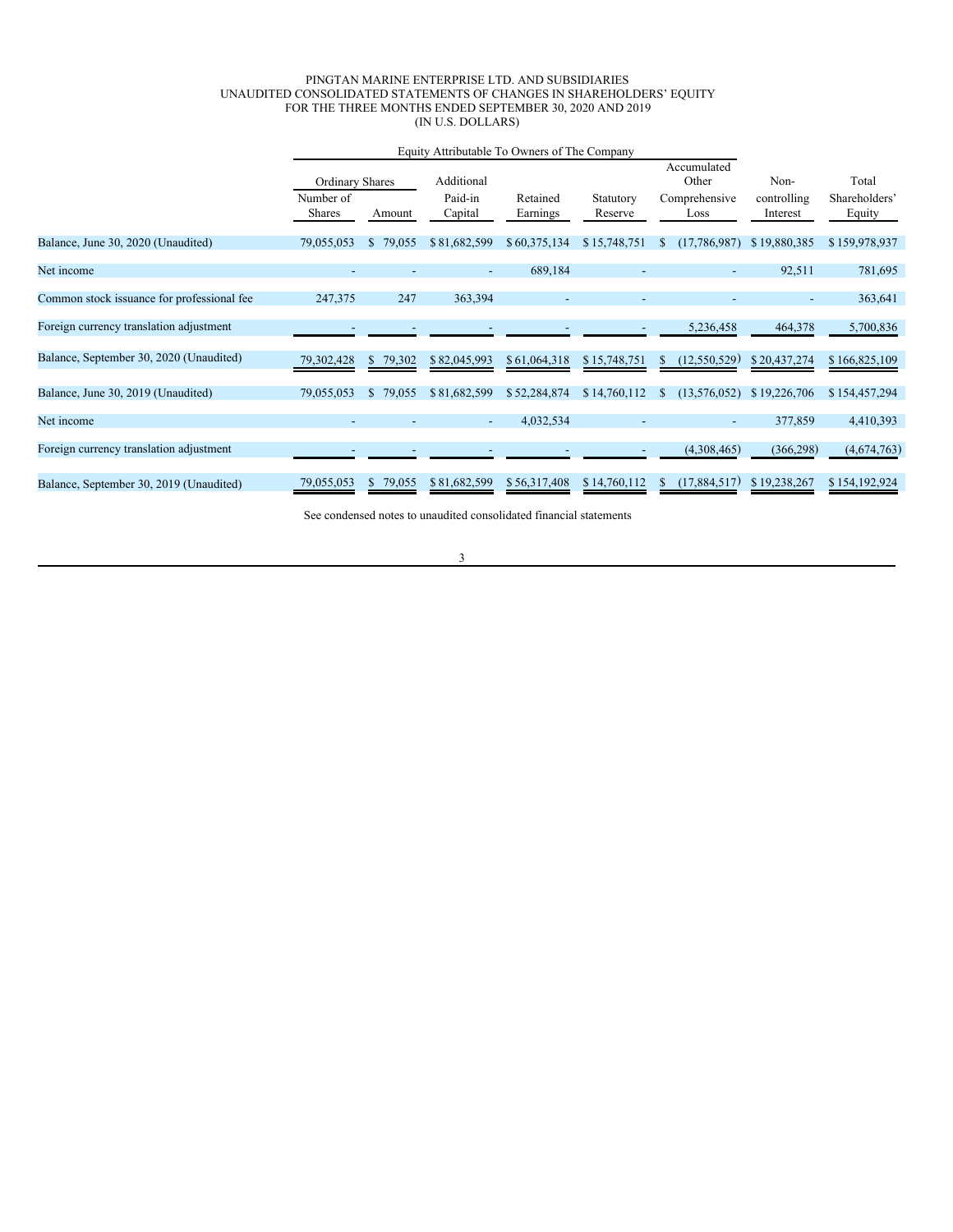#### PINGTAN MARINE ENTERPRISE LTD. AND SUBSIDIARIES UNAUDITED CONSOLIDATED STATEMENTS OF CHANGES IN SHAREHOLDERS' EQUITY FOR THE THREE MONTHS ENDED SEPTEMBER 30, 2020 AND 2019 (IN U.S. DOLLARS)

|                                            | Equity Attributable To Owners of The Company         |           |                                  |                      |                      |                                               |                                 |                                  |
|--------------------------------------------|------------------------------------------------------|-----------|----------------------------------|----------------------|----------------------|-----------------------------------------------|---------------------------------|----------------------------------|
|                                            | <b>Ordinary Shares</b><br>Number of<br><b>Shares</b> | Amount    | Additional<br>Paid-in<br>Capital | Retained<br>Earnings | Statutory<br>Reserve | Accumulated<br>Other<br>Comprehensive<br>Loss | Non-<br>controlling<br>Interest | Total<br>Shareholders'<br>Equity |
| Balance, June 30, 2020 (Unaudited)         | 79,055,053                                           | \$ 79,055 | \$81,682,599                     | \$60,375,134         | \$15,748,751         | (17,786,987)                                  | \$19,880,385                    | \$159,978,937                    |
| Net income                                 |                                                      |           |                                  | 689,184              |                      |                                               | 92,511                          | 781,695                          |
| Common stock issuance for professional fee | 247,375                                              | 247       | 363,394                          |                      |                      |                                               |                                 | 363,641                          |
| Foreign currency translation adjustment    |                                                      |           |                                  |                      |                      | 5,236,458                                     | 464,378                         | 5,700,836                        |
| Balance, September 30, 2020 (Unaudited)    | 79,302,428                                           | 79,302    | \$82,045,993                     | \$61,064,318         | \$15,748,751         | (12, 550, 529)                                | \$20,437,274                    | \$166,825,109                    |
| Balance, June 30, 2019 (Unaudited)         | 79,055,053                                           | \$ 79,055 | \$81,682,599                     | \$52,284,874         | \$14,760,112         | (13, 576, 052)<br>\$.                         | \$19,226,706                    | \$154,457,294                    |
| Net income                                 |                                                      |           |                                  | 4,032,534            |                      | $\overline{\phantom{a}}$                      | 377,859                         | 4,410,393                        |
| Foreign currency translation adjustment    |                                                      |           |                                  |                      |                      | (4,308,465)                                   | (366, 298)                      | (4,674,763)                      |
| Balance, September 30, 2019 (Unaudited)    | 79.055.053                                           | 79,055    | \$81,682,599                     | \$56,317,408         | \$14,760,112         | (17,884,517)                                  | \$19,238,267                    | \$154,192,924                    |

See condensed notes to unaudited consolidated financial statements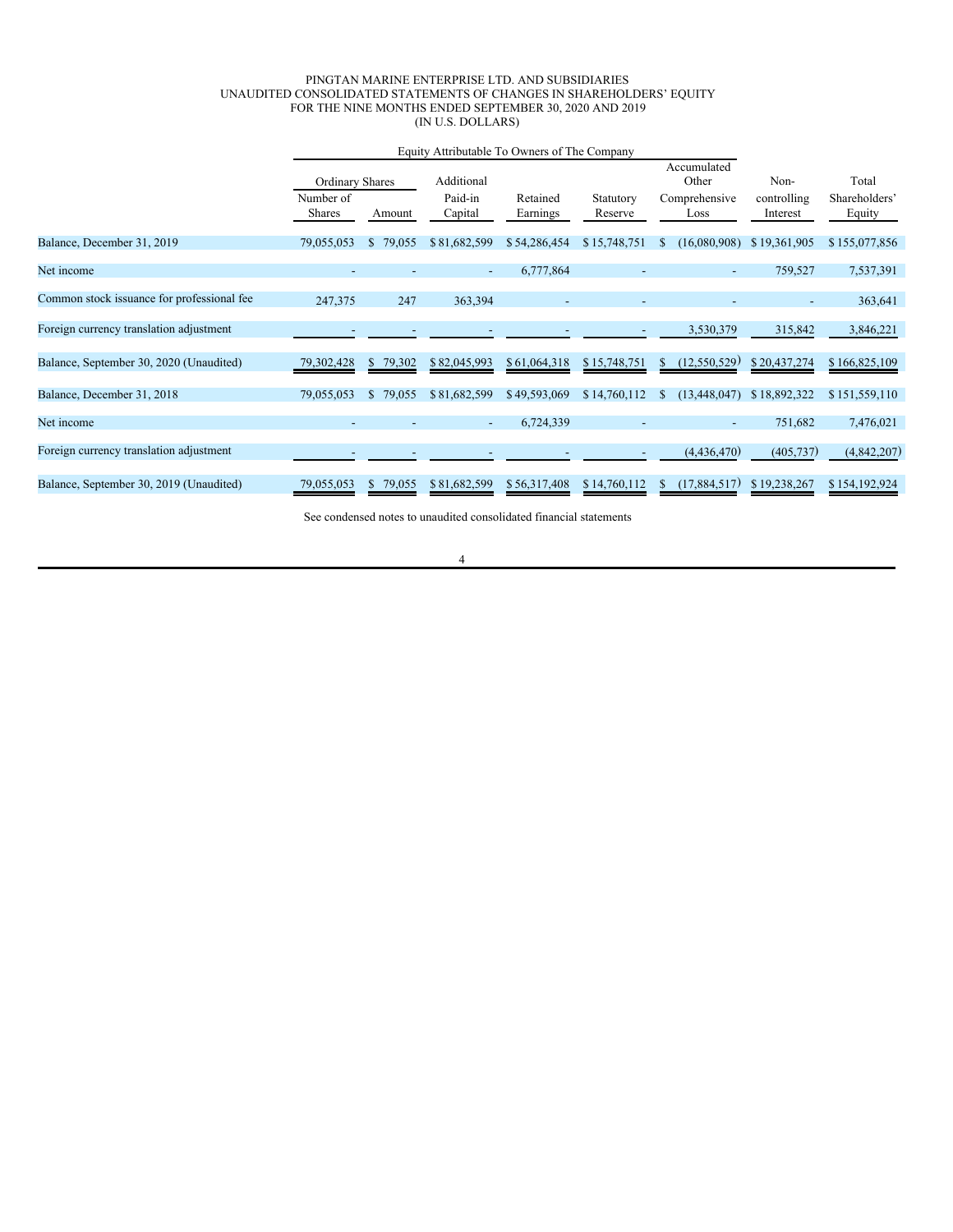#### PINGTAN MARINE ENTERPRISE LTD. AND SUBSIDIARIES UNAUDITED CONSOLIDATED STATEMENTS OF CHANGES IN SHAREHOLDERS' EQUITY FOR THE NINE MONTHS ENDED SEPTEMBER 30, 2020 AND 2019 (IN U.S. DOLLARS)

|                                            | Equity Attributable To Owners of The Company  |              |                                  |                      |                      |                                               |                                 |                                  |
|--------------------------------------------|-----------------------------------------------|--------------|----------------------------------|----------------------|----------------------|-----------------------------------------------|---------------------------------|----------------------------------|
|                                            | Ordinary Shares<br>Number of<br><b>Shares</b> | Amount       | Additional<br>Paid-in<br>Capital | Retained<br>Earnings | Statutory<br>Reserve | Accumulated<br>Other<br>Comprehensive<br>Loss | Non-<br>controlling<br>Interest | Total<br>Shareholders'<br>Equity |
| Balance, December 31, 2019                 | 79,055,053                                    | 79,055<br>S. | \$81,682,599                     | \$54,286,454         | \$15,748,751         | (16,080,908)<br>S.                            | \$19,361,905                    | \$155,077,856                    |
| Net income                                 |                                               |              | $\overline{\phantom{a}}$         | 6,777,864            |                      | $\blacksquare$                                | 759,527                         | 7,537,391                        |
| Common stock issuance for professional fee | 247,375                                       | 247          | 363,394                          |                      |                      |                                               |                                 | 363,641                          |
| Foreign currency translation adjustment    |                                               |              |                                  |                      |                      | 3,530,379                                     | 315,842                         | 3,846,221                        |
| Balance, September 30, 2020 (Unaudited)    | 79,302,428                                    | \$79,302     | \$82,045,993                     | \$61,064,318         | \$15,748,751         | (12,550,529)                                  | \$20,437,274                    | \$166,825,109                    |
| Balance, December 31, 2018                 | 79.055.053                                    | \$ 79,055    | \$81,682,599                     | \$49,593,069         | \$14,760,112         | (13, 448, 047)<br>\$.                         | \$18,892,322                    | \$151,559,110                    |
| Net income                                 |                                               |              |                                  | 6,724,339            |                      |                                               | 751,682                         | 7,476,021                        |
| Foreign currency translation adjustment    |                                               |              |                                  |                      |                      | (4,436,470)                                   | (405, 737)                      | (4,842,207)                      |
| Balance, September 30, 2019 (Unaudited)    | 79,055,053                                    | 79,055       | \$81,682,599                     | \$56,317,408         | \$14,760,112         | (17,884,517)                                  | \$19,238,267                    | \$154,192,924                    |

See condensed notes to unaudited consolidated financial statements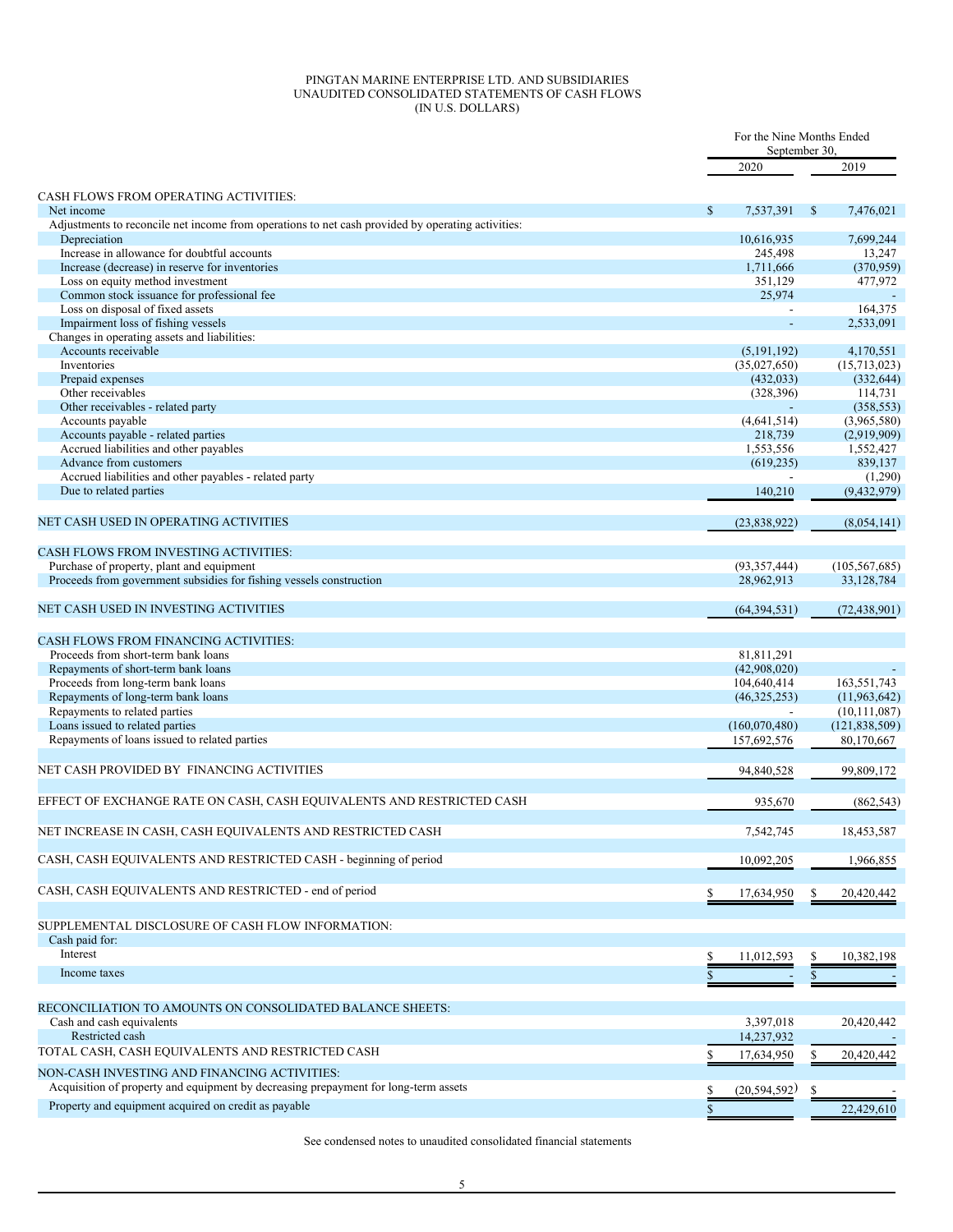#### PINGTAN MARINE ENTERPRISE LTD. AND SUBSIDIARIES UNAUDITED CONSOLIDATED STATEMENTS OF CASH FLOWS (IN U.S. DOLLARS)

|                                                                                                   | For the Nine Months Ended<br>September 30, |                           |
|---------------------------------------------------------------------------------------------------|--------------------------------------------|---------------------------|
|                                                                                                   | 2020                                       | 2019                      |
| CASH FLOWS FROM OPERATING ACTIVITIES:                                                             |                                            |                           |
| Net income                                                                                        | S<br>7,537,391                             | $\mathbb{S}$<br>7.476.021 |
| Adjustments to reconcile net income from operations to net cash provided by operating activities: |                                            |                           |
| Depreciation                                                                                      | 10,616,935                                 | 7,699,244                 |
| Increase in allowance for doubtful accounts<br>Increase (decrease) in reserve for inventories     | 245,498<br>1,711,666                       | 13,247<br>(370, 959)      |
| Loss on equity method investment                                                                  | 351,129                                    | 477,972                   |
| Common stock issuance for professional fee                                                        | 25.974                                     |                           |
| Loss on disposal of fixed assets                                                                  |                                            | 164,375                   |
| Impairment loss of fishing vessels                                                                |                                            | 2,533,091                 |
| Changes in operating assets and liabilities:                                                      |                                            |                           |
| Accounts receivable                                                                               | (5, 191, 192)                              | 4,170,551                 |
| Inventories                                                                                       | (35,027,650)                               | (15,713,023)              |
| Prepaid expenses                                                                                  | (432, 033)                                 | (332, 644)                |
| Other receivables                                                                                 | (328, 396)                                 | 114,731                   |
| Other receivables - related party                                                                 |                                            | (358, 553)                |
| Accounts payable                                                                                  | (4,641,514)                                | (3,965,580)               |
| Accounts payable - related parties                                                                | 218,739                                    | (2,919,909)               |
| Accrued liabilities and other payables                                                            | 1,553,556                                  | 1,552,427                 |
| Advance from customers                                                                            | (619, 235)                                 | 839,137                   |
| Accrued liabilities and other payables - related party                                            |                                            | (1,290)                   |
| Due to related parties                                                                            | 140,210                                    | (9,432,979)               |
|                                                                                                   |                                            |                           |
| NET CASH USED IN OPERATING ACTIVITIES                                                             | (23,838,922)                               | (8,054,141)               |
|                                                                                                   |                                            |                           |
| CASH FLOWS FROM INVESTING ACTIVITIES:                                                             |                                            |                           |
| Purchase of property, plant and equipment                                                         | (93, 357, 444)                             | (105, 567, 685)           |
| Proceeds from government subsidies for fishing vessels construction                               | 28,962,913                                 | 33,128,784                |
|                                                                                                   |                                            |                           |
| NET CASH USED IN INVESTING ACTIVITIES                                                             | (64, 394, 531)                             | (72, 438, 901)            |
|                                                                                                   |                                            |                           |
| CASH FLOWS FROM FINANCING ACTIVITIES:                                                             |                                            |                           |
| Proceeds from short-term bank loans                                                               | 81,811,291                                 |                           |
| Repayments of short-term bank loans                                                               | (42,908,020)                               |                           |
| Proceeds from long-term bank loans                                                                | 104,640,414                                | 163,551,743               |
| Repayments of long-term bank loans                                                                | (46,325,253)                               | (11,963,642)              |
| Repayments to related parties                                                                     |                                            | (10, 111, 087)            |
| Loans issued to related parties                                                                   | (160,070,480)                              | (121, 838, 509)           |
| Repayments of loans issued to related parties                                                     | 157,692,576                                | 80,170,667                |
|                                                                                                   |                                            |                           |
| NET CASH PROVIDED BY FINANCING ACTIVITIES                                                         | 94,840,528                                 | 99,809,172                |
|                                                                                                   |                                            |                           |
| EFFECT OF EXCHANGE RATE ON CASH, CASH EQUIVALENTS AND RESTRICTED CASH                             | 935,670                                    | (862, 543)                |
|                                                                                                   |                                            |                           |
| NET INCREASE IN CASH, CASH EQUIVALENTS AND RESTRICTED CASH                                        | 7,542,745                                  | 18,453,587                |
|                                                                                                   |                                            |                           |
| CASH, CASH EQUIVALENTS AND RESTRICTED CASH - beginning of period                                  | 10,092,205                                 | 1,966,855                 |
|                                                                                                   |                                            |                           |
| CASH, CASH EQUIVALENTS AND RESTRICTED - end of period                                             | 17,634,950<br>S                            | 20,420,442<br>S           |
| SUPPLEMENTAL DISCLOSURE OF CASH FLOW INFORMATION:                                                 |                                            |                           |
| Cash paid for:                                                                                    |                                            |                           |
| Interest                                                                                          | \$<br>11,012,593                           | \$                        |
|                                                                                                   |                                            | 10,382,198                |
| Income taxes                                                                                      | S                                          | <sup>\$</sup>             |
|                                                                                                   |                                            |                           |
| RECONCILIATION TO AMOUNTS ON CONSOLIDATED BALANCE SHEETS:                                         |                                            |                           |
| Cash and cash equivalents                                                                         | 3,397,018                                  | 20,420,442                |
| Restricted cash                                                                                   | 14,237,932                                 |                           |
| TOTAL CASH, CASH EQUIVALENTS AND RESTRICTED CASH                                                  | \$<br>17,634,950                           | 20,420,442<br>S           |
| NON-CASH INVESTING AND FINANCING ACTIVITIES:                                                      |                                            |                           |
| Acquisition of property and equipment by decreasing prepayment for long-term assets               |                                            |                           |
|                                                                                                   | (20, 594, 592)<br>\$                       | S                         |
| Property and equipment acquired on credit as payable                                              | $\mathbb{S}$                               | 22,429,610                |

See condensed notes to unaudited consolidated financial statements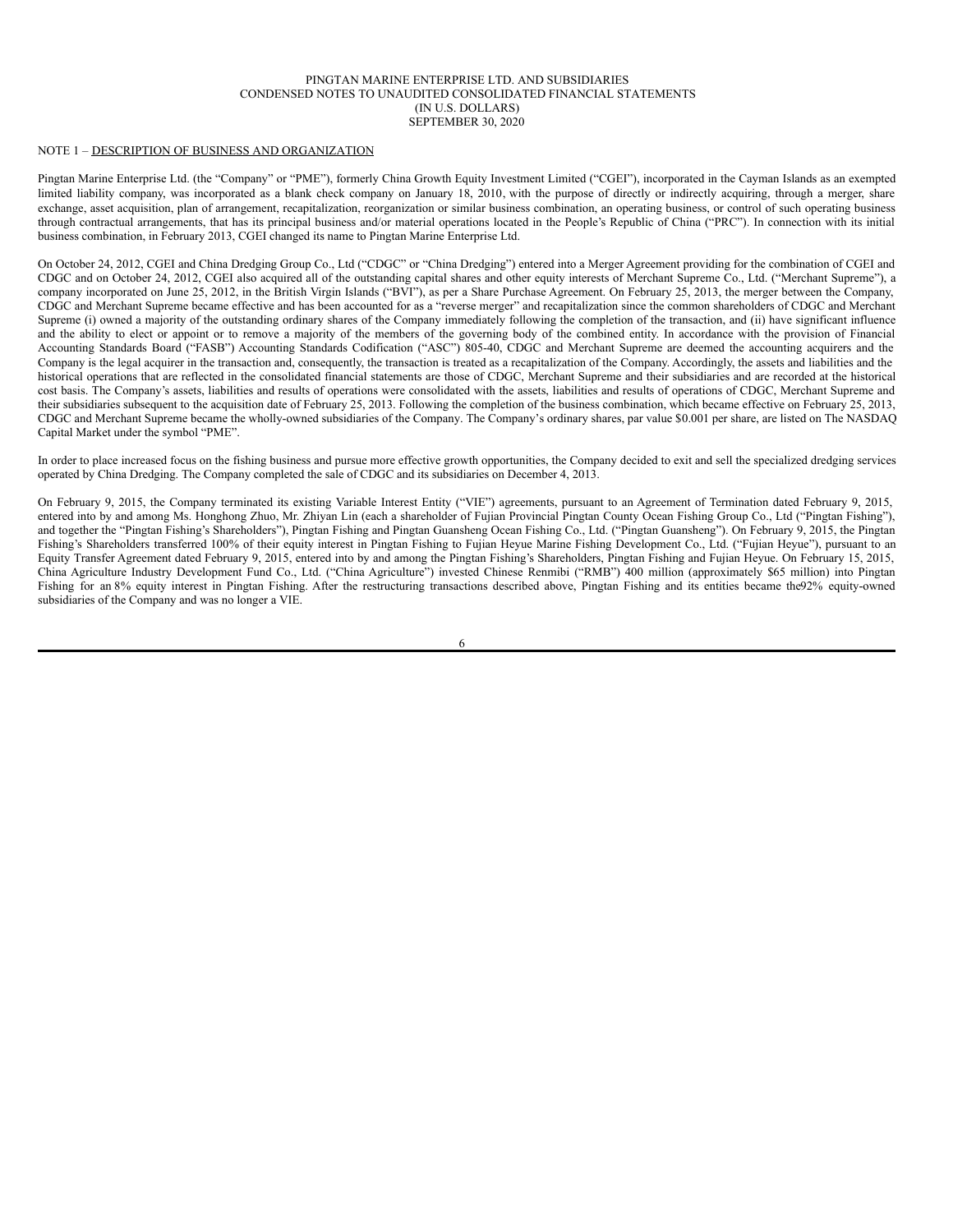### NOTE 1 – DESCRIPTION OF BUSINESS AND ORGANIZATION

Pingtan Marine Enterprise Ltd. (the "Company" or "PME"), formerly China Growth Equity Investment Limited ("CGEI"), incorporated in the Cayman Islands as an exempted limited liability company, was incorporated as a blank check company on January 18, 2010, with the purpose of directly or indirectly acquiring, through a merger, share exchange, asset acquisition, plan of arrangement, recapitalization, reorganization or similar business combination, an operating business, or control of such operating business through contractual arrangements, that has its principal business and/or material operations located in the People's Republic of China ("PRC"). In connection with its initial business combination, in February 2013, CGEI changed its name to Pingtan Marine Enterprise Ltd.

On October 24, 2012, CGEI and China Dredging Group Co., Ltd ("CDGC" or "China Dredging") entered into a Merger Agreement providing for the combination of CGEI and CDGC and on October 24, 2012, CGEI also acquired all of the outstanding capital shares and other equity interests of Merchant Supreme Co., Ltd. ("Merchant Supreme"), a company incorporated on June 25, 2012, in the British Virgin Islands ("BVI"), as per a Share Purchase Agreement. On February 25, 2013, the merger between the Company, CDGC and Merchant Supreme became effective and has been accounted for as a "reverse merger" and recapitalization since the common shareholders of CDGC and Merchant Supreme (i) owned a majority of the outstanding ordinary shares of the Company immediately following the completion of the transaction, and (ii) have significant influence and the ability to elect or appoint or to remove a majority of the members of the governing body of the combined entity. In accordance with the provision of Financial Accounting Standards Board ("FASB") Accounting Standards Codification ("ASC") 805-40, CDGC and Merchant Supreme are deemed the accounting acquirers and the Company is the legal acquirer in the transaction and, consequently, the transaction is treated as a recapitalization of the Company. Accordingly, the assets and liabilities and the historical operations that are reflected in the consolidated financial statements are those of CDGC, Merchant Supreme and their subsidiaries and are recorded at the historical cost basis. The Company's assets, liabilities and results of operations were consolidated with the assets, liabilities and results of operations of CDGC, Merchant Supreme and their subsidiaries subsequent to the acquisition date of February 25, 2013. Following the completion of the business combination, which became effective on February 25, 2013, CDGC and Merchant Supreme became the wholly-owned subsidiaries of the Company. The Company's ordinary shares, par value \$0.001 per share, are listed on The NASDAQ Capital Market under the symbol "PME".

In order to place increased focus on the fishing business and pursue more effective growth opportunities, the Company decided to exit and sell the specialized dredging services operated by China Dredging. The Company completed the sale of CDGC and its subsidiaries on December 4, 2013.

On February 9, 2015, the Company terminated its existing Variable Interest Entity ("VIE") agreements, pursuant to an Agreement of Termination dated February 9, 2015, entered into by and among Ms. Honghong Zhuo, Mr. Zhiyan Lin (each a shareholder of Fujian Provincial Pingtan County Ocean Fishing Group Co., Ltd ("Pingtan Fishing"), and together the "Pingtan Fishing's Shareholders"), Pingtan Fishing and Pingtan Guansheng Ocean Fishing Co., Ltd. ("Pingtan Guansheng"). On February 9, 2015, the Pingtan Fishing's Shareholders transferred 100% of their equity interest in Pingtan Fishing to Fujian Heyue Marine Fishing Development Co., Ltd. ("Fujian Heyue"), pursuant to an Equity Transfer Agreement dated February 9, 2015, entered into by and among the Pingtan Fishing's Shareholders, Pingtan Fishing and Fujian Heyue. On February 15, 2015, China Agriculture Industry Development Fund Co., Ltd. ("China Agriculture") invested Chinese Renmibi ("RMB") 400 million (approximately \$65 million) into Pingtan Fishing for an 8% equity interest in Pingtan Fishing. After the restructuring transactions described above, Pingtan Fishing and its entities became the92% equity-owned subsidiaries of the Company and was no longer a VIE.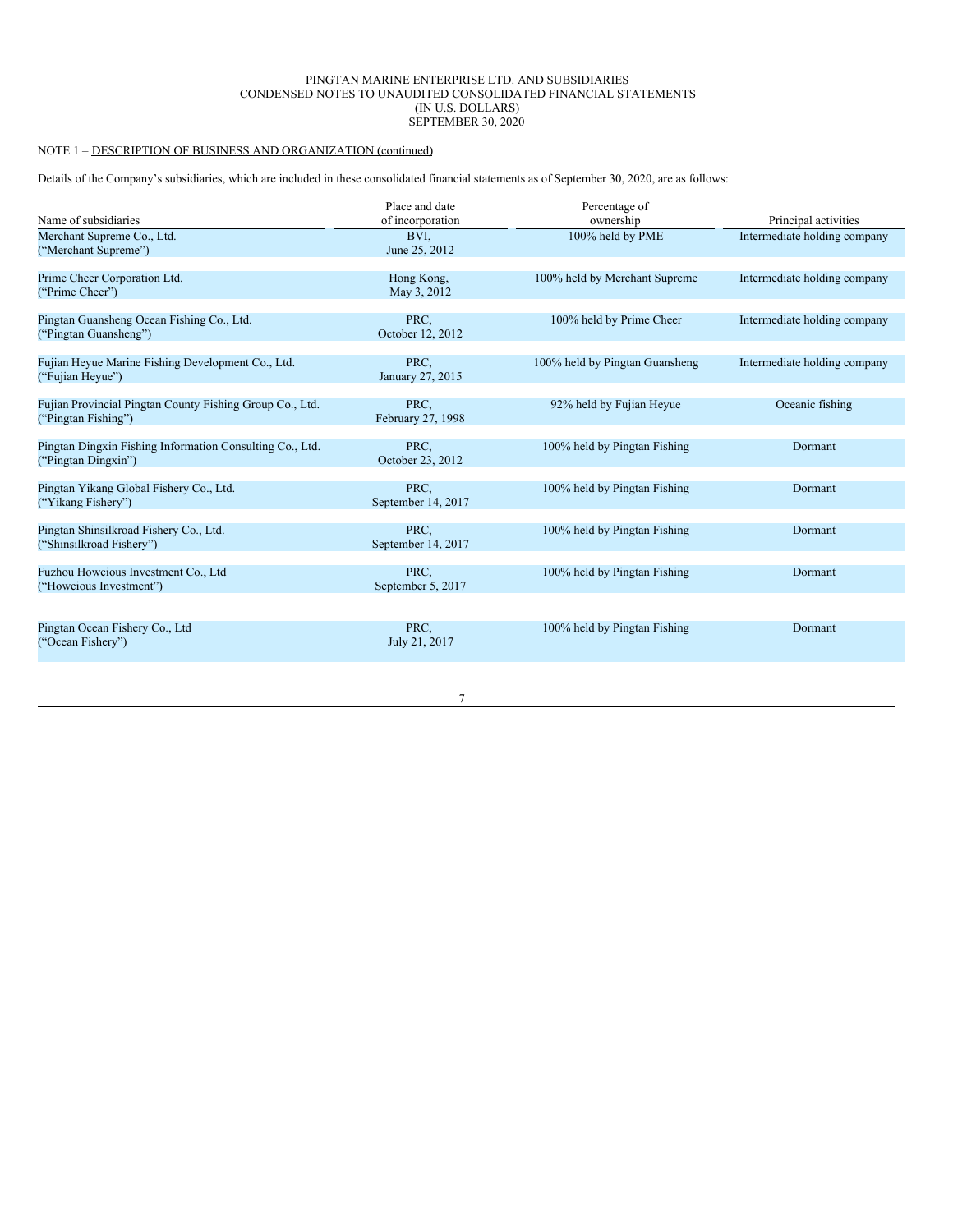# NOTE 1 – DESCRIPTION OF BUSINESS AND ORGANIZATION (continued)

Details of the Company's subsidiaries, which are included in these consolidated financial statements as of September 30, 2020, are as follows:

| Name of subsidiaries                                                            | Place and date<br>of incorporation | Percentage of<br>ownership     | Principal activities         |
|---------------------------------------------------------------------------------|------------------------------------|--------------------------------|------------------------------|
| Merchant Supreme Co., Ltd.<br>("Merchant Supreme")                              | BVI.<br>June 25, 2012              | 100% held by PME               | Intermediate holding company |
| Prime Cheer Corporation Ltd.<br>("Prime Cheer")                                 | Hong Kong,<br>May 3, 2012          | 100% held by Merchant Supreme  | Intermediate holding company |
| Pingtan Guansheng Ocean Fishing Co., Ltd.<br>("Pingtan Guansheng")              | PRC.<br>October 12, 2012           | 100% held by Prime Cheer       | Intermediate holding company |
| Fujian Heyue Marine Fishing Development Co., Ltd.<br>("Fujian Heyue")           | PRC.<br>January 27, 2015           | 100% held by Pingtan Guansheng | Intermediate holding company |
| Fujian Provincial Pingtan County Fishing Group Co., Ltd.<br>("Pingtan Fishing") | PRC.<br>February 27, 1998          | 92% held by Fujian Heyue       | Oceanic fishing              |
| Pingtan Dingxin Fishing Information Consulting Co., Ltd.<br>("Pingtan Dingxin") | PRC.<br>October 23, 2012           | 100% held by Pingtan Fishing   | Dormant                      |
| Pingtan Yikang Global Fishery Co., Ltd.<br>("Yikang Fishery")                   | PRC.<br>September 14, 2017         | 100% held by Pingtan Fishing   | Dormant                      |
| Pingtan Shinsilkroad Fishery Co., Ltd.<br>("Shinsilkroad Fishery")              | PRC.<br>September 14, 2017         | 100% held by Pingtan Fishing   | Dormant                      |
| Fuzhou Howcious Investment Co., Ltd<br>("Howcious Investment")                  | PRC.<br>September 5, 2017          | 100% held by Pingtan Fishing   | Dormant                      |
| Pingtan Ocean Fishery Co., Ltd                                                  | PRC.                               | 100% held by Pingtan Fishing   | Dormant                      |
| ("Ocean Fishery")                                                               | July 21, 2017                      |                                |                              |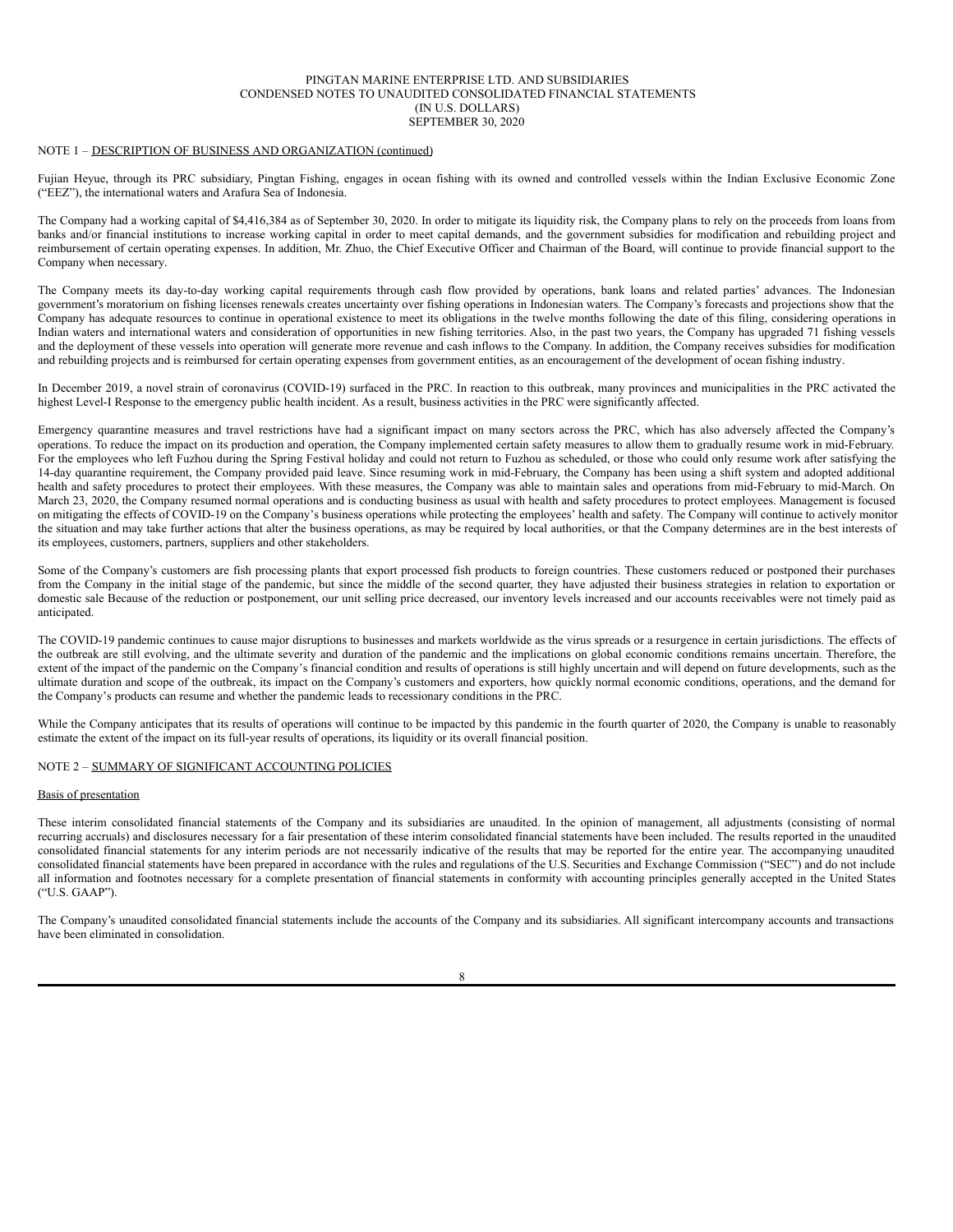#### NOTE 1 – DESCRIPTION OF BUSINESS AND ORGANIZATION (continued)

Fujian Heyue, through its PRC subsidiary, Pingtan Fishing, engages in ocean fishing with its owned and controlled vessels within the Indian Exclusive Economic Zone ("EEZ"), the international waters and Arafura Sea of Indonesia.

The Company had a working capital of \$4,416,384 as of September 30, 2020. In order to mitigate its liquidity risk, the Company plans to rely on the proceeds from loans from banks and/or financial institutions to increase working capital in order to meet capital demands, and the government subsidies for modification and rebuilding project and reimbursement of certain operating expenses. In addition, Mr. Zhuo, the Chief Executive Officer and Chairman of the Board, will continue to provide financial support to the Company when necessary.

The Company meets its day-to-day working capital requirements through cash flow provided by operations, bank loans and related parties' advances. The Indonesian government's moratorium on fishing licenses renewals creates uncertainty over fishing operations in Indonesian waters. The Company's forecasts and projections show that the Company has adequate resources to continue in operational existence to meet its obligations in the twelve months following the date of this filing, considering operations in Indian waters and international waters and consideration of opportunities in new fishing territories. Also, in the past two years, the Company has upgraded 71 fishing vessels and the deployment of these vessels into operation will generate more revenue and cash inflows to the Company. In addition, the Company receives subsidies for modification and rebuilding projects and is reimbursed for certain operating expenses from government entities, as an encouragement of the development of ocean fishing industry.

In December 2019, a novel strain of coronavirus (COVID-19) surfaced in the PRC. In reaction to this outbreak, many provinces and municipalities in the PRC activated the highest Level-I Response to the emergency public health incident. As a result, business activities in the PRC were significantly affected.

Emergency quarantine measures and travel restrictions have had a significant impact on many sectors across the PRC, which has also adversely affected the Company's operations. To reduce the impact on its production and operation, the Company implemented certain safety measures to allow them to gradually resume work in mid-February. For the employees who left Fuzhou during the Spring Festival holiday and could not return to Fuzhou as scheduled, or those who could only resume work after satisfying the 14-day quarantine requirement, the Company provided paid leave. Since resuming work in mid-February, the Company has been using a shift system and adopted additional health and safety procedures to protect their employees. With these measures, the Company was able to maintain sales and operations from mid-February to mid-March. On March 23, 2020, the Company resumed normal operations and is conducting business as usual with health and safety procedures to protect employees. Management is focused on mitigating the effects of COVID-19 on the Company's business operations while protecting the employees' health and safety. The Company will continue to actively monitor the situation and may take further actions that alter the business operations, as may be required by local authorities, or that the Company determines are in the best interests of its employees, customers, partners, suppliers and other stakeholders.

Some of the Company's customers are fish processing plants that export processed fish products to foreign countries. These customers reduced or postponed their purchases from the Company in the initial stage of the pandemic, but since the middle of the second quarter, they have adjusted their business strategies in relation to exportation or domestic sale Because of the reduction or postponement, our unit selling price decreased, our inventory levels increased and our accounts receivables were not timely paid as anticipated.

The COVID-19 pandemic continues to cause major disruptions to businesses and markets worldwide as the virus spreads or a resurgence in certain jurisdictions. The effects of the outbreak are still evolving, and the ultimate severity and duration of the pandemic and the implications on global economic conditions remains uncertain. Therefore, the extent of the impact of the pandemic on the Company's financial condition and results of operations is still highly uncertain and will depend on future developments, such as the ultimate duration and scope of the outbreak, its impact on the Company's customers and exporters, how quickly normal economic conditions, operations, and the demand for the Company's products can resume and whether the pandemic leads to recessionary conditions in the PRC.

While the Company anticipates that its results of operations will continue to be impacted by this pandemic in the fourth quarter of 2020, the Company is unable to reasonably estimate the extent of the impact on its full-year results of operations, its liquidity or its overall financial position.

### NOTE 2 – SUMMARY OF SIGNIFICANT ACCOUNTING POLICIES

#### Basis of presentation

These interim consolidated financial statements of the Company and its subsidiaries are unaudited. In the opinion of management, all adjustments (consisting of normal recurring accruals) and disclosures necessary for a fair presentation of these interim consolidated financial statements have been included. The results reported in the unaudited consolidated financial statements for any interim periods are not necessarily indicative of the results that may be reported for the entire year. The accompanying unaudited consolidated financial statements have been prepared in accordance with the rules and regulations of the U.S. Securities and Exchange Commission ("SEC") and do not include all information and footnotes necessary for a complete presentation of financial statements in conformity with accounting principles generally accepted in the United States ("U.S. GAAP").

The Company's unaudited consolidated financial statements include the accounts of the Company and its subsidiaries. All significant intercompany accounts and transactions have been eliminated in consolidation.

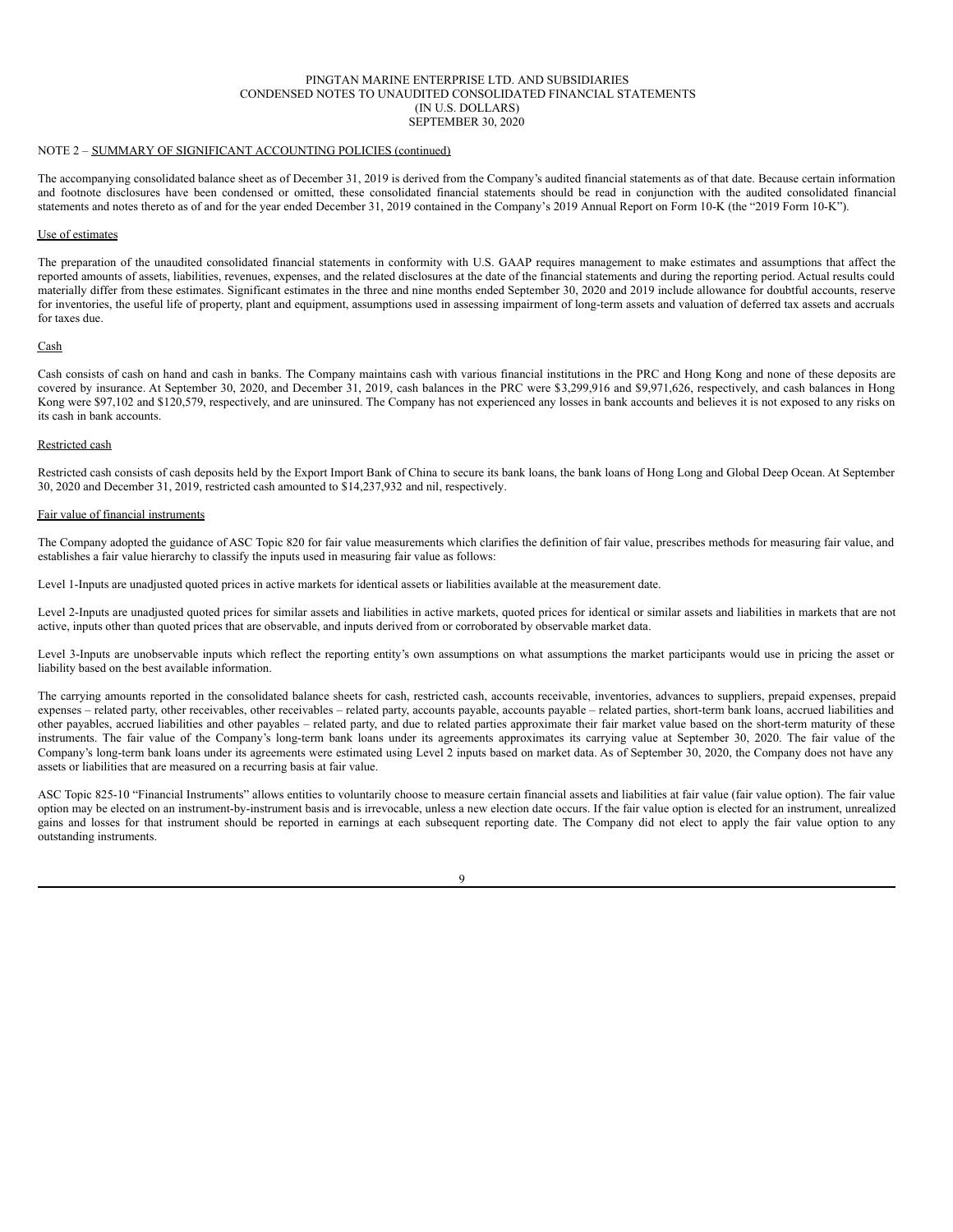### NOTE 2 – SUMMARY OF SIGNIFICANT ACCOUNTING POLICIES (continued)

The accompanying consolidated balance sheet as of December 31, 2019 is derived from the Company's audited financial statements as of that date. Because certain information and footnote disclosures have been condensed or omitted, these consolidated financial statements should be read in conjunction with the audited consolidated financial statements and notes thereto as of and for the year ended December 31, 2019 contained in the Company's 2019 Annual Report on Form 10-K (the "2019 Form 10-K").

#### Use of estimates

The preparation of the unaudited consolidated financial statements in conformity with U.S. GAAP requires management to make estimates and assumptions that affect the reported amounts of assets, liabilities, revenues, expenses, and the related disclosures at the date of the financial statements and during the reporting period. Actual results could materially differ from these estimates. Significant estimates in the three and nine months ended September 30, 2020 and 2019 include allowance for doubtful accounts, reserve for inventories, the useful life of property, plant and equipment, assumptions used in assessing impairment of long-term assets and valuation of deferred tax assets and accruals for taxes due.

#### Cash

Cash consists of cash on hand and cash in banks. The Company maintains cash with various financial institutions in the PRC and Hong Kong and none of these deposits are covered by insurance. At September 30, 2020, and December 31, 2019, cash balances in the PRC were \$3,299,916 and \$9,971,626, respectively, and cash balances in Hong Kong were \$97,102 and \$120,579, respectively, and are uninsured. The Company has not experienced any losses in bank accounts and believes it is not exposed to any risks on its cash in bank accounts.

### Restricted cash

Restricted cash consists of cash deposits held by the Export Import Bank of China to secure its bank loans, the bank loans of Hong Long and Global Deep Ocean. At September 30, 2020 and December 31, 2019, restricted cash amounted to \$14,237,932 and nil, respectively.

### Fair value of financial instruments

The Company adopted the guidance of ASC Topic 820 for fair value measurements which clarifies the definition of fair value, prescribes methods for measuring fair value, and establishes a fair value hierarchy to classify the inputs used in measuring fair value as follows:

Level 1-Inputs are unadjusted quoted prices in active markets for identical assets or liabilities available at the measurement date.

Level 2-Inputs are unadjusted quoted prices for similar assets and liabilities in active markets, quoted prices for identical or similar assets and liabilities in markets that are not active, inputs other than quoted prices that are observable, and inputs derived from or corroborated by observable market data.

Level 3-Inputs are unobservable inputs which reflect the reporting entity's own assumptions on what assumptions the market participants would use in pricing the asset or liability based on the best available information.

The carrying amounts reported in the consolidated balance sheets for cash, restricted cash, accounts receivable, inventories, advances to suppliers, prepaid expenses, prepaid expenses – related party, other receivables, other receivables – related party, accounts payable, accounts payable – related parties, short-term bank loans, accrued liabilities and other payables, accrued liabilities and other payables – related party, and due to related parties approximate their fair market value based on the short-term maturity of these instruments. The fair value of the Company's long-term bank loans under its agreements approximates its carrying value at September 30, 2020. The fair value of the Company's long-term bank loans under its agreements were estimated using Level 2 inputs based on market data. As of September 30, 2020, the Company does not have any assets or liabilities that are measured on a recurring basis at fair value.

ASC Topic 825-10 "Financial Instruments" allows entities to voluntarily choose to measure certain financial assets and liabilities at fair value (fair value option). The fair value option may be elected on an instrument-by-instrument basis and is irrevocable, unless a new election date occurs. If the fair value option is elected for an instrument, unrealized gains and losses for that instrument should be reported in earnings at each subsequent reporting date. The Company did not elect to apply the fair value option to any outstanding instruments.

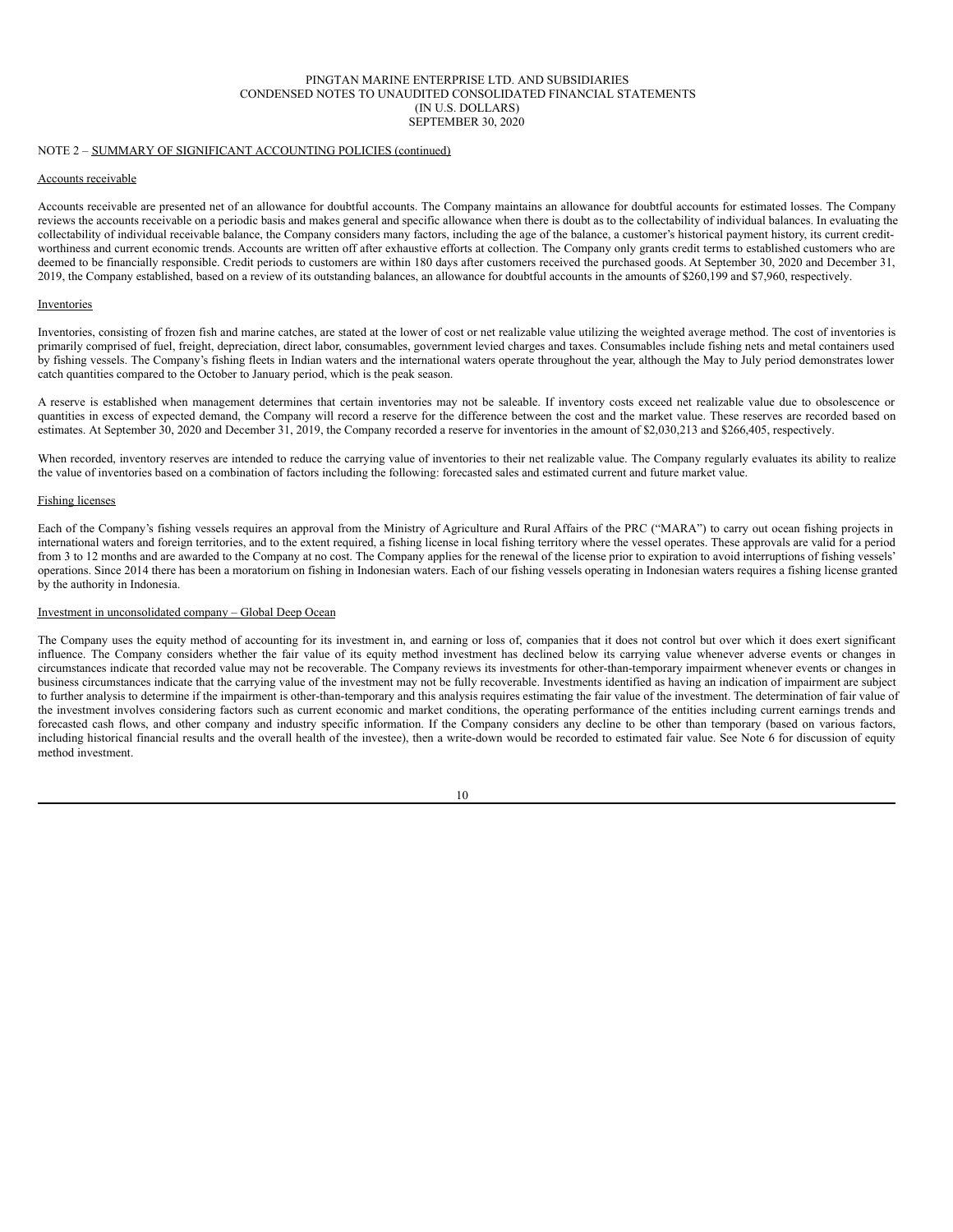### NOTE 2 – SUMMARY OF SIGNIFICANT ACCOUNTING POLICIES (continued)

### Accounts receivable

Accounts receivable are presented net of an allowance for doubtful accounts. The Company maintains an allowance for doubtful accounts for estimated losses. The Company reviews the accounts receivable on a periodic basis and makes general and specific allowance when there is doubt as to the collectability of individual balances. In evaluating the collectability of individual receivable balance, the Company considers many factors, including the age of the balance, a customer's historical payment history, its current creditworthiness and current economic trends. Accounts are written off after exhaustive efforts at collection. The Company only grants credit terms to established customers who are deemed to be financially responsible. Credit periods to customers are within 180 days after customers received the purchased goods. At September 30, 2020 and December 31, 2019, the Company established, based on a review of its outstanding balances, an allowance for doubtful accounts in the amounts of \$260,199 and \$7,960, respectively.

#### Inventories

Inventories, consisting of frozen fish and marine catches, are stated at the lower of cost or net realizable value utilizing the weighted average method. The cost of inventories is primarily comprised of fuel, freight, depreciation, direct labor, consumables, government levied charges and taxes. Consumables include fishing nets and metal containers used by fishing vessels. The Company's fishing fleets in Indian waters and the international waters operate throughout the year, although the May to July period demonstrates lower catch quantities compared to the October to January period, which is the peak season.

A reserve is established when management determines that certain inventories may not be saleable. If inventory costs exceed net realizable value due to obsolescence or quantities in excess of expected demand, the Company will record a reserve for the difference between the cost and the market value. These reserves are recorded based on estimates. At September 30, 2020 and December 31, 2019, the Company recorded a reserve for inventories in the amount of \$2,030,213 and \$266,405, respectively.

When recorded, inventory reserves are intended to reduce the carrying value of inventories to their net realizable value. The Company regularly evaluates its ability to realize the value of inventories based on a combination of factors including the following: forecasted sales and estimated current and future market value.

#### Fishing licenses

Each of the Company's fishing vessels requires an approval from the Ministry of Agriculture and Rural Affairs of the PRC ("MARA") to carry out ocean fishing projects in international waters and foreign territories, and to the extent required, a fishing license in local fishing territory where the vessel operates. These approvals are valid for a period from 3 to 12 months and are awarded to the Company at no cost. The Company applies for the renewal of the license prior to expiration to avoid interruptions of fishing vessels' operations. Since 2014 there has been a moratorium on fishing in Indonesian waters. Each of our fishing vessels operating in Indonesian waters requires a fishing license granted by the authority in Indonesia.

### Investment in unconsolidated company – Global Deep Ocean

The Company uses the equity method of accounting for its investment in, and earning or loss of, companies that it does not control but over which it does exert significant influence. The Company considers whether the fair value of its equity method investment has declined below its carrying value whenever adverse events or changes in circumstances indicate that recorded value may not be recoverable. The Company reviews its investments for other-than-temporary impairment whenever events or changes in business circumstances indicate that the carrying value of the investment may not be fully recoverable. Investments identified as having an indication of impairment are subject to further analysis to determine if the impairment is other-than-temporary and this analysis requires estimating the fair value of the investment. The determination of fair value of the investment involves considering factors such as current economic and market conditions, the operating performance of the entities including current earnings trends and forecasted cash flows, and other company and industry specific information. If the Company considers any decline to be other than temporary (based on various factors, including historical financial results and the overall health of the investee), then a write-down would be recorded to estimated fair value. See Note 6 for discussion of equity method investment.

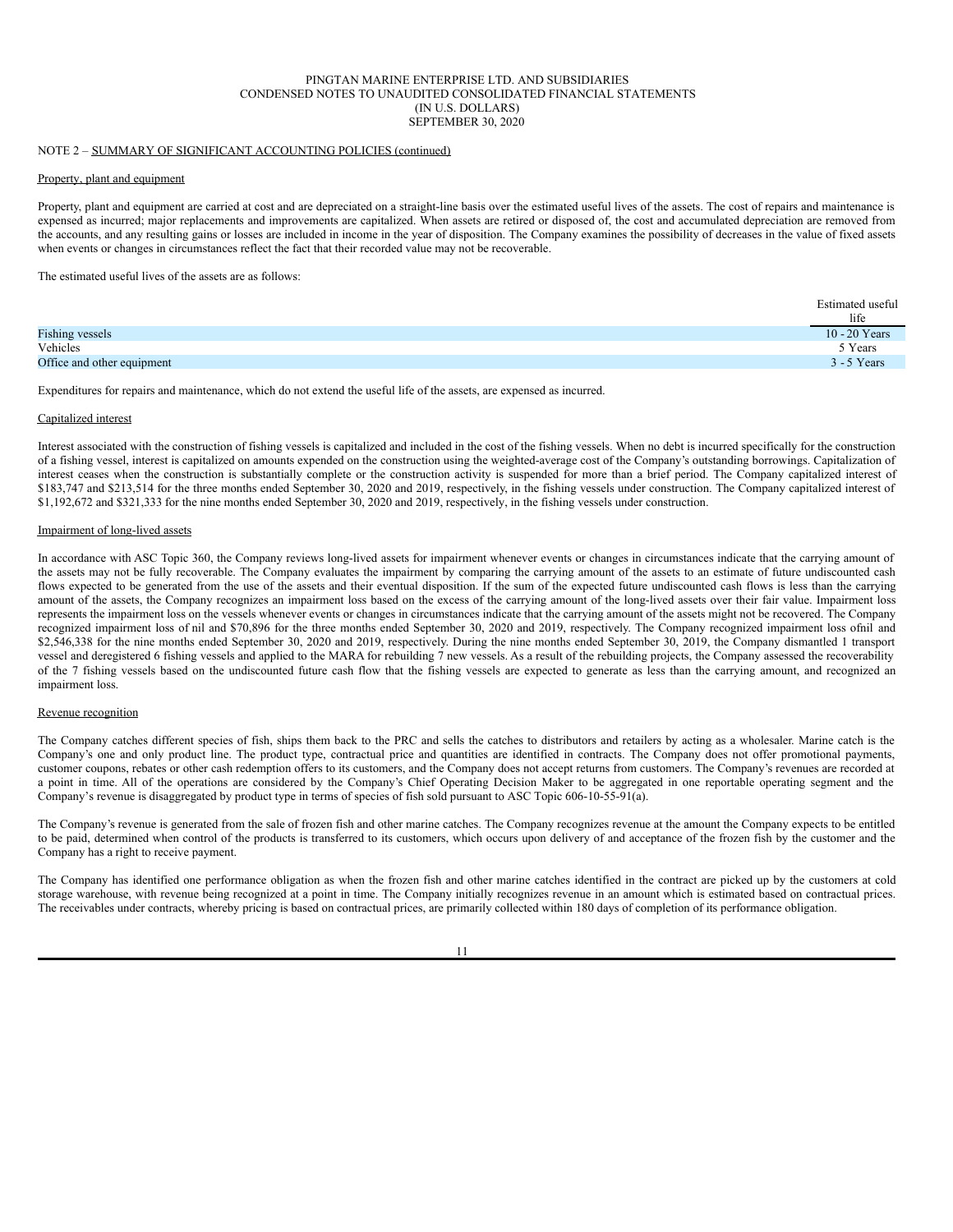#### NOTE 2 – SUMMARY OF SIGNIFICANT ACCOUNTING POLICIES (continued)

#### Property, plant and equipment

Property, plant and equipment are carried at cost and are depreciated on a straight-line basis over the estimated useful lives of the assets. The cost of repairs and maintenance is expensed as incurred; major replacements and improvements are capitalized. When assets are retired or disposed of, the cost and accumulated depreciation are removed from the accounts, and any resulting gains or losses are included in income in the year of disposition. The Company examines the possibility of decreases in the value of fixed assets when events or changes in circumstances reflect the fact that their recorded value may not be recoverable.

The estimated useful lives of the assets are as follows:

|                            | Estimated useful |
|----------------------------|------------------|
|                            | life             |
| Fishing vessels            | $10 - 20$ Years  |
| Vehicles                   | 5 Years          |
| Office and other equipment | $3 - 5$ Years    |

Expenditures for repairs and maintenance, which do not extend the useful life of the assets, are expensed as incurred.

### Capitalized interest

Interest associated with the construction of fishing vessels is capitalized and included in the cost of the fishing vessels. When no debt is incurred specifically for the construction of a fishing vessel, interest is capitalized on amounts expended on the construction using the weighted-average cost of the Company's outstanding borrowings. Capitalization of interest ceases when the construction is substantially complete or the construction activity is suspended for more than a brief period. The Company capitalized interest of \$183,747 and \$213,514 for the three months ended September 30, 2020 and 2019, respectively, in the fishing vessels under construction. The Company capitalized interest of \$1,192,672 and \$321,333 for the nine months ended September 30, 2020 and 2019, respectively, in the fishing vessels under construction.

### Impairment of long-lived assets

In accordance with ASC Topic 360, the Company reviews long-lived assets for impairment whenever events or changes in circumstances indicate that the carrying amount of the assets may not be fully recoverable. The Company evaluates the impairment by comparing the carrying amount of the assets to an estimate of future undiscounted cash flows expected to be generated from the use of the assets and their eventual disposition. If the sum of the expected future undiscounted cash flows is less than the carrying amount of the assets, the Company recognizes an impairment loss based on the excess of the carrying amount of the long-lived assets over their fair value. Impairment loss represents the impairment loss on the vessels whenever events or changes in circumstances indicate that the carrying amount of the assets might not be recovered. The Company recognized impairment loss of nil and \$70,896 for the three months ended September 30, 2020 and 2019, respectively. The Company recognized impairment loss ofnil and \$2,546,338 for the nine months ended September 30, 2020 and 2019, respectively. During the nine months ended September 30, 2019, the Company dismantled 1 transport vessel and deregistered 6 fishing vessels and applied to the MARA for rebuilding 7 new vessels. As a result of the rebuilding projects, the Company assessed the recoverability of the 7 fishing vessels based on the undiscounted future cash flow that the fishing vessels are expected to generate as less than the carrying amount, and recognized an impairment loss.

#### Revenue recognition

The Company catches different species of fish, ships them back to the PRC and sells the catches to distributors and retailers by acting as a wholesaler. Marine catch is the Company's one and only product line. The product type, contractual price and quantities are identified in contracts. The Company does not offer promotional payments, customer coupons, rebates or other cash redemption offers to its customers, and the Company does not accept returns from customers. The Company's revenues are recorded at a point in time. All of the operations are considered by the Company's Chief Operating Decision Maker to be aggregated in one reportable operating segment and the Company's revenue is disaggregated by product type in terms of species of fish sold pursuant to ASC Topic 606-10-55-91(a).

The Company's revenue is generated from the sale of frozen fish and other marine catches. The Company recognizes revenue at the amount the Company expects to be entitled to be paid, determined when control of the products is transferred to its customers, which occurs upon delivery of and acceptance of the frozen fish by the customer and the Company has a right to receive payment.

The Company has identified one performance obligation as when the frozen fish and other marine catches identified in the contract are picked up by the customers at cold storage warehouse, with revenue being recognized at a point in time. The Company initially recognizes revenue in an amount which is estimated based on contractual prices. The receivables under contracts, whereby pricing is based on contractual prices, are primarily collected within 180 days of completion of its performance obligation.

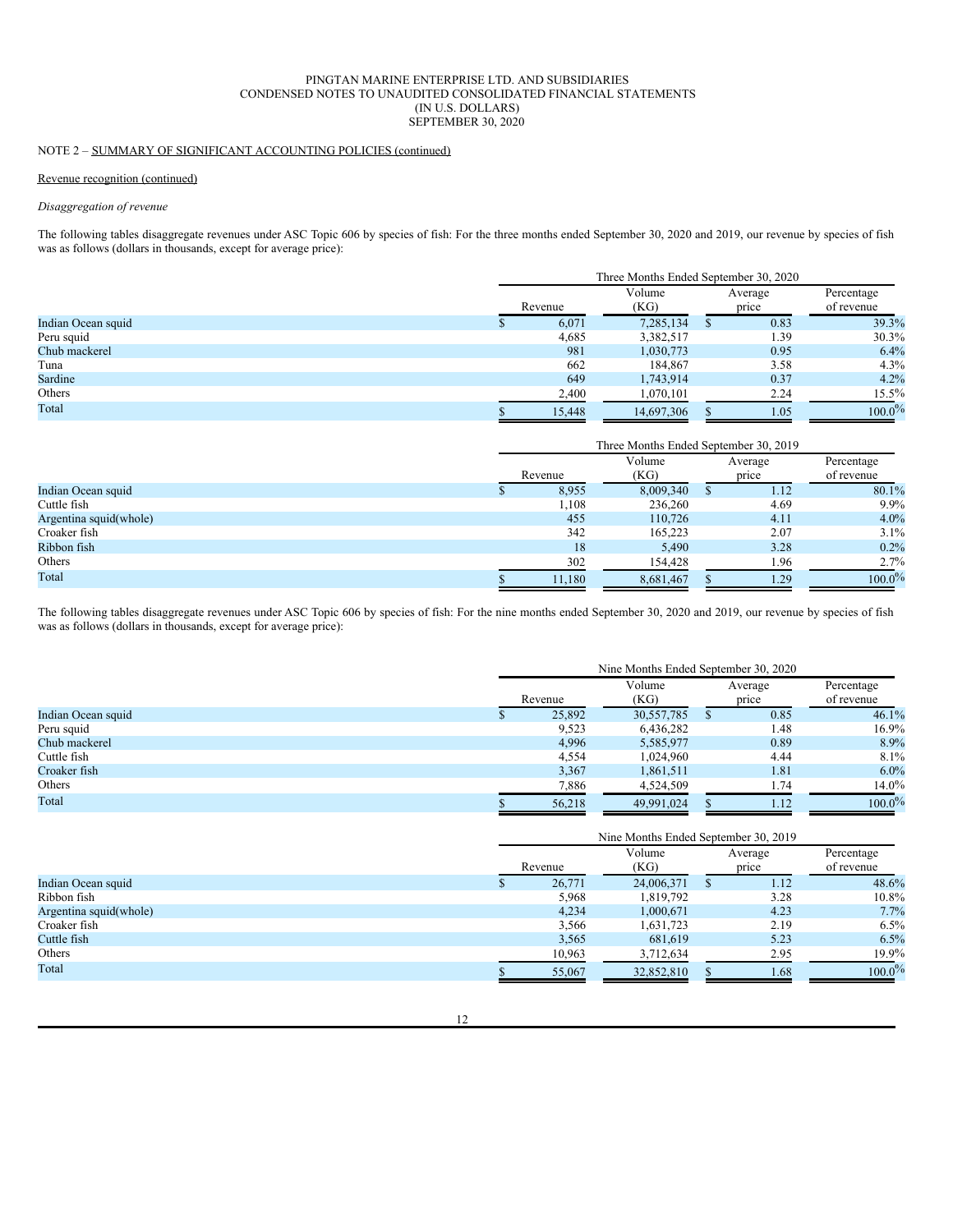# NOTE 2 – SUMMARY OF SIGNIFICANT ACCOUNTING POLICIES (continued)

# Revenue recognition (continued)

# *Disaggregation of revenue*

The following tables disaggregate revenues under ASC Topic 606 by species of fish: For the three months ended September 30, 2020 and 2019, our revenue by species of fish was as follows (dollars in thousands, except for average price):

|                    | Three Months Ended September 30, 2020 |         |                |    |                  |                          |  |  |
|--------------------|---------------------------------------|---------|----------------|----|------------------|--------------------------|--|--|
|                    |                                       | Revenue | Volume<br>(KG) |    | Average<br>price | Percentage<br>of revenue |  |  |
| Indian Ocean squid |                                       | 6,071   | 7,285,134      | S. | 0.83             | 39.3%                    |  |  |
| Peru squid         |                                       | 4,685   | 3,382,517      |    | 1.39             | 30.3%                    |  |  |
| Chub mackerel      |                                       | 981     | 1,030,773      |    | 0.95             | 6.4%                     |  |  |
| Tuna               |                                       | 662     | 184,867        |    | 3.58             | 4.3%                     |  |  |
| Sardine            |                                       | 649     | 1,743,914      |    | 0.37             | 4.2%                     |  |  |
| Others             |                                       | 2,400   | 1,070,101      |    | 2.24             | 15.5%                    |  |  |
| Total              |                                       | 15,448  | 14,697,306     |    | 1.05             | $100.0\%$                |  |  |

|                        | Three Months Ended September 30, 2019 |           |   |                  |                          |  |  |  |
|------------------------|---------------------------------------|-----------|---|------------------|--------------------------|--|--|--|
|                        | Volume<br>(KG)<br>Revenue             |           |   | Average<br>price | Percentage<br>of revenue |  |  |  |
| Indian Ocean squid     | 8,955                                 | 8,009,340 | ъ | 1.12             | 80.1%                    |  |  |  |
| Cuttle fish            | 1,108                                 | 236,260   |   | 4.69             | $9.9\%$                  |  |  |  |
| Argentina squid(whole) | 455                                   | 110,726   |   | 4.11             | 4.0%                     |  |  |  |
| Croaker fish           | 342                                   | 165.223   |   | 2.07             | $3.1\%$                  |  |  |  |
| Ribbon fish            | 18                                    | 5,490     |   | 3.28             | 0.2%                     |  |  |  |
| Others                 | 302                                   | 154,428   |   | 1.96             | 2.7%                     |  |  |  |
| Total                  | 11,180                                | 8,681,467 |   | 1.29             | $100.0\%$                |  |  |  |

The following tables disaggregate revenues under ASC Topic 606 by species of fish: For the nine months ended September 30, 2020 and 2019, our revenue by species of fish was as follows (dollars in thousands, except for average price):

|                    |  | Nine Months Ended September 30, 2020 |            |                  |      |                          |  |  |  |
|--------------------|--|--------------------------------------|------------|------------------|------|--------------------------|--|--|--|
|                    |  | Volume<br>(KG)<br>Revenue            |            | Average<br>price |      | Percentage<br>of revenue |  |  |  |
| Indian Ocean squid |  | 25,892                               | 30,557,785 |                  | 0.85 | 46.1%                    |  |  |  |
| Peru squid         |  | 9,523                                | 6,436,282  |                  | 1.48 | 16.9%                    |  |  |  |
| Chub mackerel      |  | 4.996                                | 5,585,977  |                  | 0.89 | 8.9%                     |  |  |  |
| Cuttle fish        |  | 4,554                                | 1.024.960  |                  | 4.44 | 8.1%                     |  |  |  |
| Croaker fish       |  | 3,367                                | 1,861,511  |                  | 1.81 | $6.0\%$                  |  |  |  |
| Others             |  | 7,886                                | 4,524,509  |                  | 1.74 | 14.0%                    |  |  |  |
| Total              |  | 56,218                               | 49.991.024 |                  | 1.12 | $100.0\%$                |  |  |  |

|                        | Nine Months Ended September 30, 2019 |        |                |                  |      |                          |  |  |  |
|------------------------|--------------------------------------|--------|----------------|------------------|------|--------------------------|--|--|--|
|                        | Revenue                              |        | Volume<br>(KG) | Average<br>price |      | Percentage<br>of revenue |  |  |  |
| Indian Ocean squid     |                                      | 26,771 | 24,006,371     |                  | 1.12 | 48.6%                    |  |  |  |
| Ribbon fish            |                                      | 5,968  | 1,819,792      |                  | 3.28 | 10.8%                    |  |  |  |
| Argentina squid(whole) |                                      | 4,234  | 1,000,671      |                  | 4.23 | 7.7%                     |  |  |  |
| Croaker fish           |                                      | 3,566  | 1,631,723      |                  | 2.19 | $6.5\%$                  |  |  |  |
| Cuttle fish            |                                      | 3,565  | 681,619        |                  | 5.23 | 6.5%                     |  |  |  |
| Others                 |                                      | 10,963 | 3,712,634      |                  | 2.95 | 19.9%                    |  |  |  |
| Total                  |                                      | 55,067 | 32,852,810     |                  | 1.68 | $100.0\%$                |  |  |  |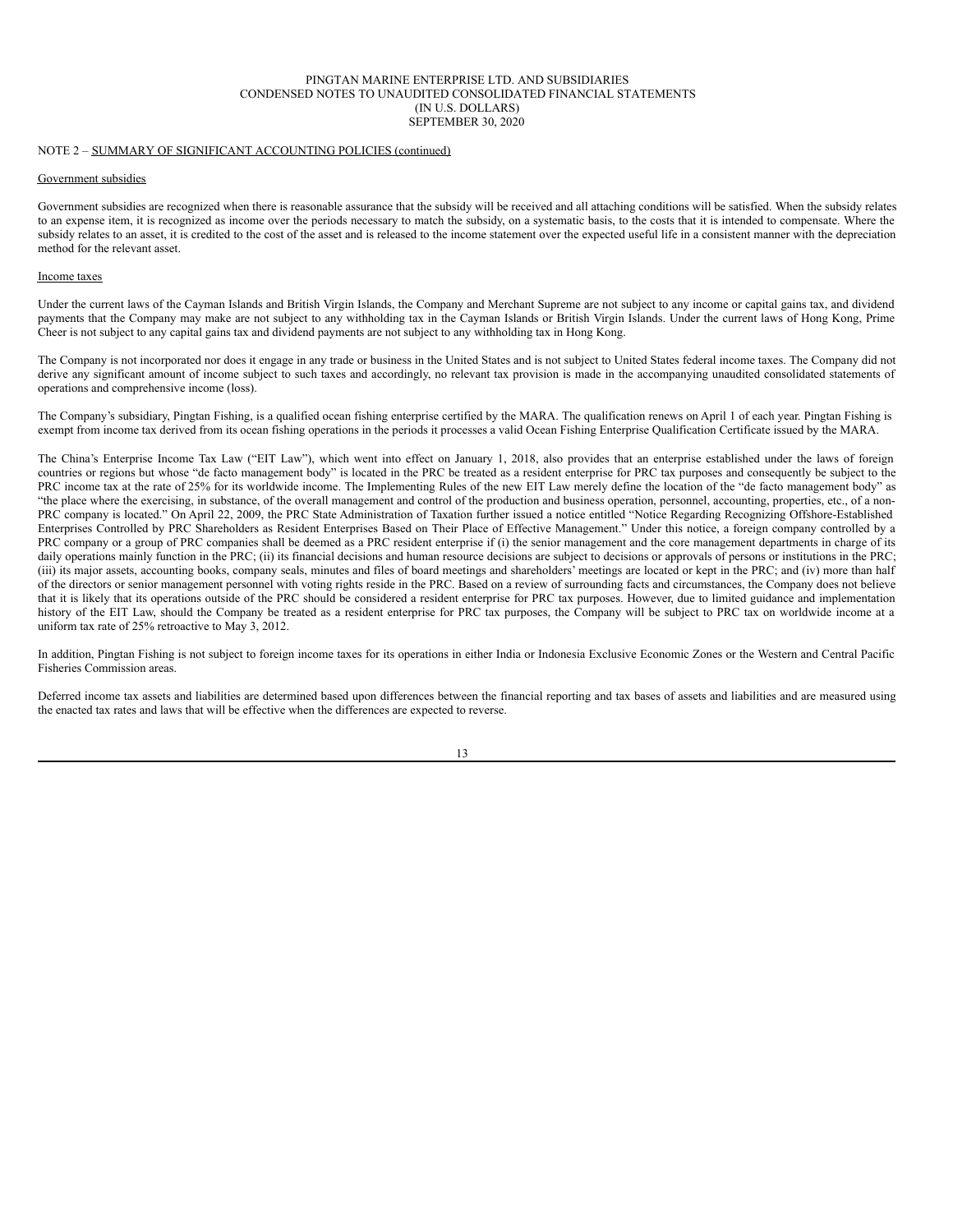### NOTE 2 – SUMMARY OF SIGNIFICANT ACCOUNTING POLICIES (continued)

### Government subsidies

Government subsidies are recognized when there is reasonable assurance that the subsidy will be received and all attaching conditions will be satisfied. When the subsidy relates to an expense item, it is recognized as income over the periods necessary to match the subsidy, on a systematic basis, to the costs that it is intended to compensate. Where the subsidy relates to an asset, it is credited to the cost of the asset and is released to the income statement over the expected useful life in a consistent manner with the depreciation method for the relevant asset.

#### Income taxes

Under the current laws of the Cayman Islands and British Virgin Islands, the Company and Merchant Supreme are not subject to any income or capital gains tax, and dividend payments that the Company may make are not subject to any withholding tax in the Cayman Islands or British Virgin Islands. Under the current laws of Hong Kong, Prime Cheer is not subject to any capital gains tax and dividend payments are not subject to any withholding tax in Hong Kong.

The Company is not incorporated nor does it engage in any trade or business in the United States and is not subject to United States federal income taxes. The Company did not derive any significant amount of income subject to such taxes and accordingly, no relevant tax provision is made in the accompanying unaudited consolidated statements of operations and comprehensive income (loss).

The Company's subsidiary, Pingtan Fishing, is a qualified ocean fishing enterprise certified by the MARA. The qualification renews on April 1 of each year. Pingtan Fishing is exempt from income tax derived from its ocean fishing operations in the periods it processes a valid Ocean Fishing Enterprise Qualification Certificate issued by the MARA.

The China's Enterprise Income Tax Law ("EIT Law"), which went into effect on January 1, 2018, also provides that an enterprise established under the laws of foreign countries or regions but whose "de facto management body" is located in the PRC be treated as a resident enterprise for PRC tax purposes and consequently be subject to the PRC income tax at the rate of 25% for its worldwide income. The Implementing Rules of the new EIT Law merely define the location of the "de facto management body" as "the place where the exercising, in substance, of the overall management and control of the production and business operation, personnel, accounting, properties, etc., of a non-PRC company is located." On April 22, 2009, the PRC State Administration of Taxation further issued a notice entitled "Notice Regarding Recognizing Offshore-Established Enterprises Controlled by PRC Shareholders as Resident Enterprises Based on Their Place of Effective Management." Under this notice, a foreign company controlled by a PRC company or a group of PRC companies shall be deemed as a PRC resident enterprise if (i) the senior management and the core management departments in charge of its daily operations mainly function in the PRC; (ii) its financial decisions and human resource decisions are subject to decisions or approvals of persons or institutions in the PRC; (iii) its major assets, accounting books, company seals, minutes and files of board meetings and shareholders' meetings are located or kept in the PRC; and (iv) more than half of the directors or senior management personnel with voting rights reside in the PRC. Based on a review of surrounding facts and circumstances, the Company does not believe that it is likely that its operations outside of the PRC should be considered a resident enterprise for PRC tax purposes. However, due to limited guidance and implementation history of the EIT Law, should the Company be treated as a resident enterprise for PRC tax purposes, the Company will be subject to PRC tax on worldwide income at a uniform tax rate of 25% retroactive to May 3, 2012.

In addition, Pingtan Fishing is not subject to foreign income taxes for its operations in either India or Indonesia Exclusive Economic Zones or the Western and Central Pacific Fisheries Commission areas.

Deferred income tax assets and liabilities are determined based upon differences between the financial reporting and tax bases of assets and liabilities and are measured using the enacted tax rates and laws that will be effective when the differences are expected to reverse.

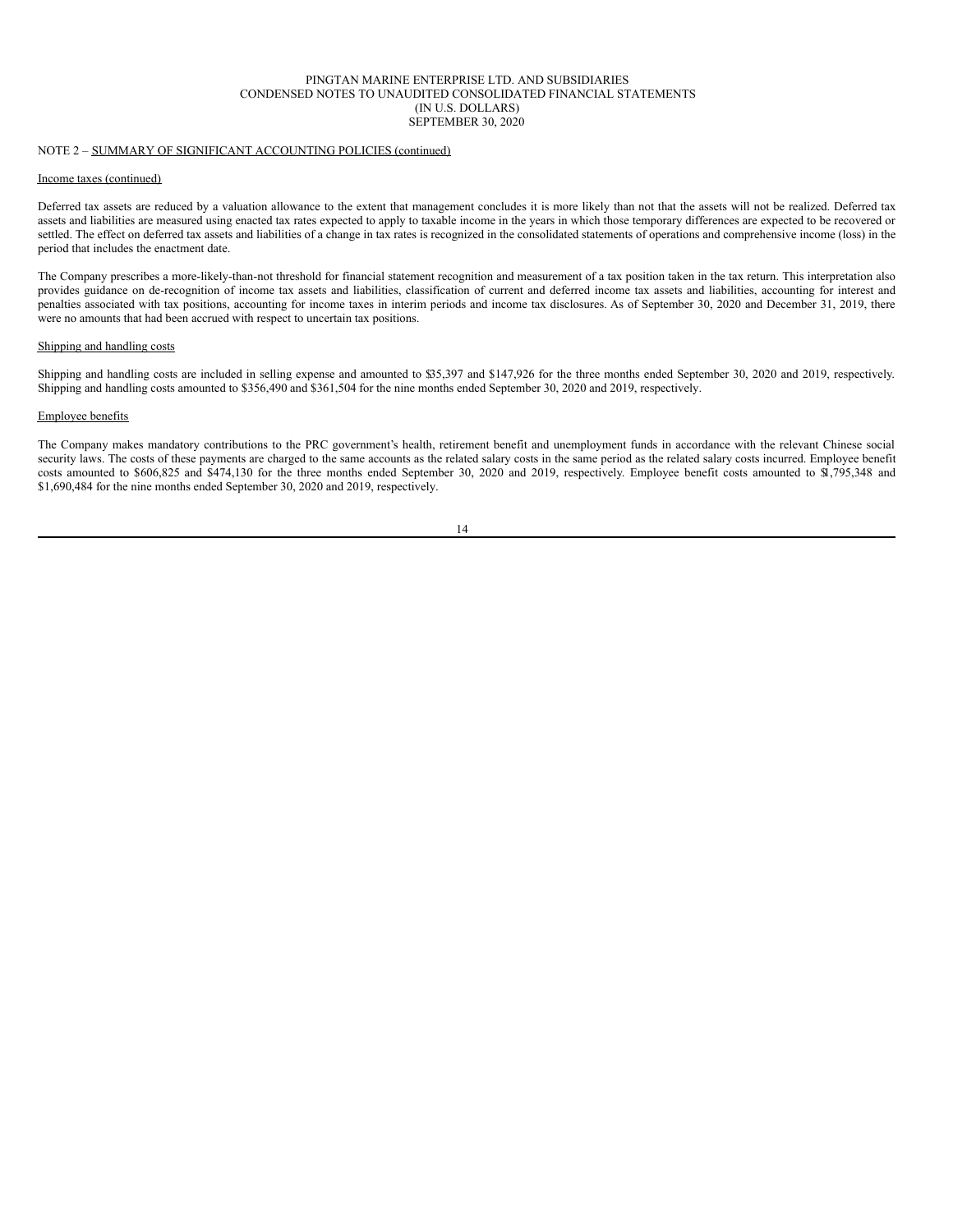### NOTE 2 – SUMMARY OF SIGNIFICANT ACCOUNTING POLICIES (continued)

### Income taxes (continued)

Deferred tax assets are reduced by a valuation allowance to the extent that management concludes it is more likely than not that the assets will not be realized. Deferred tax assets and liabilities are measured using enacted tax rates expected to apply to taxable income in the years in which those temporary differences are expected to be recovered or settled. The effect on deferred tax assets and liabilities of a change in tax rates is recognized in the consolidated statements of operations and comprehensive income (loss) in the period that includes the enactment date.

The Company prescribes a more-likely-than-not threshold for financial statement recognition and measurement of a tax position taken in the tax return. This interpretation also provides guidance on de-recognition of income tax assets and liabilities, classification of current and deferred income tax assets and liabilities, accounting for interest and penalties associated with tax positions, accounting for income taxes in interim periods and income tax disclosures. As of September 30, 2020 and December 31, 2019, there were no amounts that had been accrued with respect to uncertain tax positions.

### Shipping and handling costs

Shipping and handling costs are included in selling expense and amounted to \$35,397 and \$147,926 for the three months ended September 30, 2020 and 2019, respectively. Shipping and handling costs amounted to \$356,490 and \$361,504 for the nine months ended September 30, 2020 and 2019, respectively.

#### Employee benefits

The Company makes mandatory contributions to the PRC government's health, retirement benefit and unemployment funds in accordance with the relevant Chinese social security laws. The costs of these payments are charged to the same accounts as the related salary costs in the same period as the related salary costs incurred. Employee benefit costs amounted to \$606,825 and \$474,130 for the three months ended September 30, 2020 and 2019, respectively. Employee benefit costs amounted to \$1,795,348 and \$1,690,484 for the nine months ended September 30, 2020 and 2019, respectively.

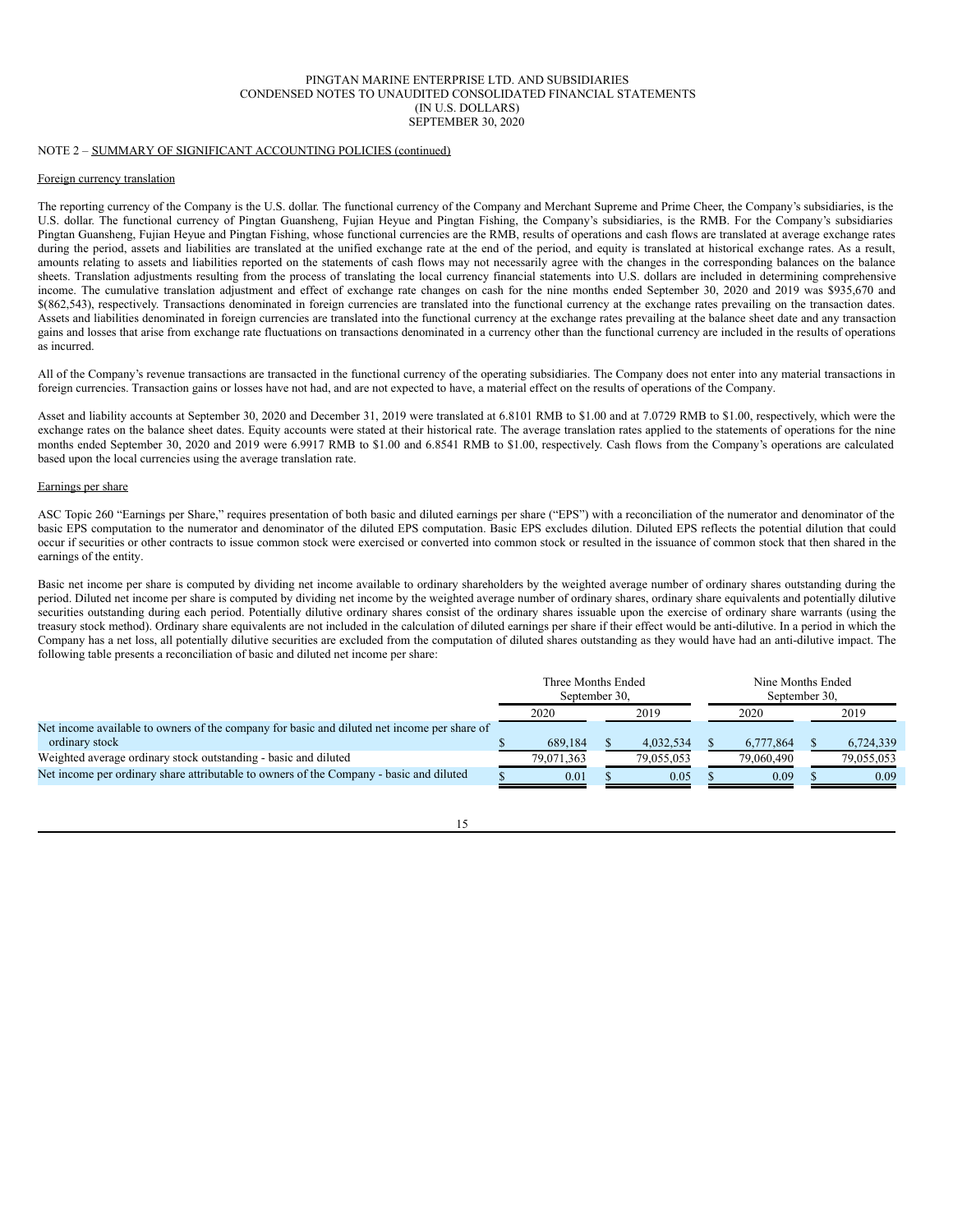### NOTE 2 – SUMMARY OF SIGNIFICANT ACCOUNTING POLICIES (continued)

### Foreign currency translation

The reporting currency of the Company is the U.S. dollar. The functional currency of the Company and Merchant Supreme and Prime Cheer, the Company's subsidiaries, is the U.S. dollar. The functional currency of Pingtan Guansheng, Fujian Heyue and Pingtan Fishing, the Company's subsidiaries, is the RMB. For the Company's subsidiaries Pingtan Guansheng, Fujian Heyue and Pingtan Fishing, whose functional currencies are the RMB, results of operations and cash flows are translated at average exchange rates during the period, assets and liabilities are translated at the unified exchange rate at the end of the period, and equity is translated at historical exchange rates. As a result, amounts relating to assets and liabilities reported on the statements of cash flows may not necessarily agree with the changes in the corresponding balances on the balance sheets. Translation adjustments resulting from the process of translating the local currency financial statements into U.S. dollars are included in determining comprehensive income. The cumulative translation adjustment and effect of exchange rate changes on cash for the nine months ended September 30, 2020 and 2019 was \$935,670 and \$(862,543), respectively. Transactions denominated in foreign currencies are translated into the functional currency at the exchange rates prevailing on the transaction dates. Assets and liabilities denominated in foreign currencies are translated into the functional currency at the exchange rates prevailing at the balance sheet date and any transaction gains and losses that arise from exchange rate fluctuations on transactions denominated in a currency other than the functional currency are included in the results of operations as incurred.

All of the Company's revenue transactions are transacted in the functional currency of the operating subsidiaries. The Company does not enter into any material transactions in foreign currencies. Transaction gains or losses have not had, and are not expected to have, a material effect on the results of operations of the Company.

Asset and liability accounts at September 30, 2020 and December 31, 2019 were translated at 6.8101 RMB to \$1.00 and at 7.0729 RMB to \$1.00, respectively, which were the exchange rates on the balance sheet dates. Equity accounts were stated at their historical rate. The average translation rates applied to the statements of operations for the nine months ended September 30, 2020 and 2019 were 6.9917 RMB to \$1.00 and 6.8541 RMB to \$1.00, respectively. Cash flows from the Company's operations are calculated based upon the local currencies using the average translation rate.

### Earnings per share

ASC Topic 260 "Earnings per Share," requires presentation of both basic and diluted earnings per share ("EPS") with a reconciliation of the numerator and denominator of the basic EPS computation to the numerator and denominator of the diluted EPS computation. Basic EPS excludes dilution. Diluted EPS reflects the potential dilution that could occur if securities or other contracts to issue common stock were exercised or converted into common stock or resulted in the issuance of common stock that then shared in the earnings of the entity.

Basic net income per share is computed by dividing net income available to ordinary shareholders by the weighted average number of ordinary shares outstanding during the period. Diluted net income per share is computed by dividing net income by the weighted average number of ordinary shares, ordinary share equivalents and potentially dilutive securities outstanding during each period. Potentially dilutive ordinary shares consist of the ordinary shares issuable upon the exercise of ordinary share warrants (using the treasury stock method). Ordinary share equivalents are not included in the calculation of diluted earnings per share if their effect would be anti-dilutive. In a period in which the Company has a net loss, all potentially dilutive securities are excluded from the computation of diluted shares outstanding as they would have had an anti-dilutive impact. The following table presents a reconciliation of basic and diluted net income per share:

|                                                                                             | Three Months Ended<br>September 30. |            |  |            | Nine Months Ended<br>September 30. |            |  |            |
|---------------------------------------------------------------------------------------------|-------------------------------------|------------|--|------------|------------------------------------|------------|--|------------|
|                                                                                             |                                     | 2020       |  | 2019       |                                    | 2020       |  | 2019       |
| Net income available to owners of the company for basic and diluted net income per share of |                                     |            |  |            |                                    |            |  |            |
| ordinary stock                                                                              |                                     | 689.184    |  | 4.032.534  |                                    | 6,777,864  |  | 6.724.339  |
| Weighted average ordinary stock outstanding - basic and diluted                             |                                     | 79,071,363 |  | 79.055.053 |                                    | 79,060,490 |  | 79.055.053 |
| Net income per ordinary share attributable to owners of the Company - basic and diluted     |                                     | 0.01       |  | 0.05       |                                    | 0.09       |  | 0.09       |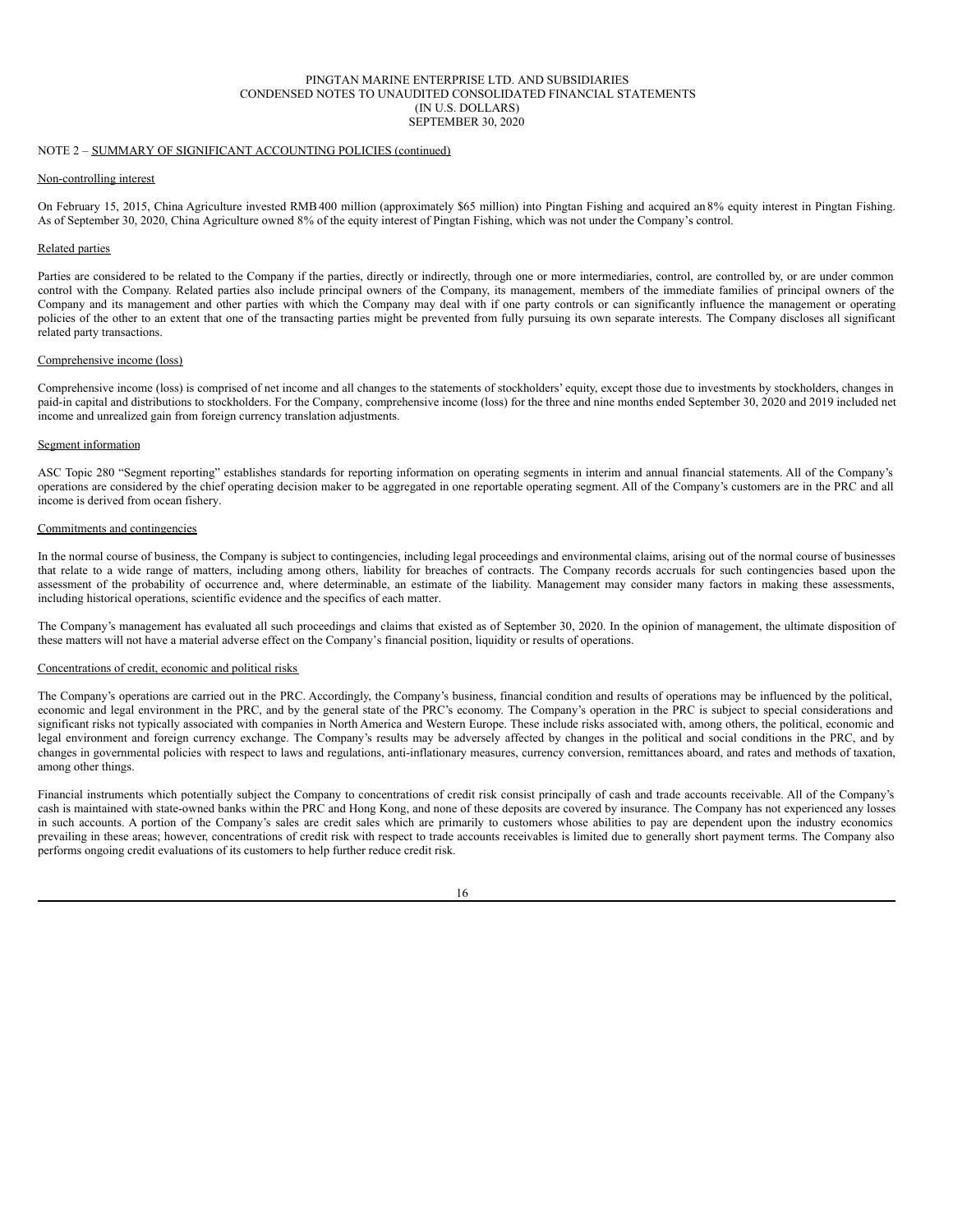### NOTE 2 – SUMMARY OF SIGNIFICANT ACCOUNTING POLICIES (continued)

### Non-controlling interest

On February 15, 2015, China Agriculture invested RMB400 million (approximately \$65 million) into Pingtan Fishing and acquired an 8% equity interest in Pingtan Fishing. As of September 30, 2020, China Agriculture owned 8% of the equity interest of Pingtan Fishing, which was not under the Company's control.

#### Related parties

Parties are considered to be related to the Company if the parties, directly or indirectly, through one or more intermediaries, control, are controlled by, or are under common control with the Company. Related parties also include principal owners of the Company, its management, members of the immediate families of principal owners of the Company and its management and other parties with which the Company may deal with if one party controls or can significantly influence the management or operating policies of the other to an extent that one of the transacting parties might be prevented from fully pursuing its own separate interests. The Company discloses all significant related party transactions.

#### Comprehensive income (loss)

Comprehensive income (loss) is comprised of net income and all changes to the statements of stockholders' equity, except those due to investments by stockholders, changes in paid-in capital and distributions to stockholders. For the Company, comprehensive income (loss) for the three and nine months ended September 30, 2020 and 2019 included net income and unrealized gain from foreign currency translation adjustments.

### Segment information

ASC Topic 280 "Segment reporting" establishes standards for reporting information on operating segments in interim and annual financial statements. All of the Company's operations are considered by the chief operating decision maker to be aggregated in one reportable operating segment. All of the Company's customers are in the PRC and all income is derived from ocean fishery.

#### Commitments and contingencies

In the normal course of business, the Company is subject to contingencies, including legal proceedings and environmental claims, arising out of the normal course of businesses that relate to a wide range of matters, including among others, liability for breaches of contracts. The Company records accruals for such contingencies based upon the assessment of the probability of occurrence and, where determinable, an estimate of the liability. Management may consider many factors in making these assessments, including historical operations, scientific evidence and the specifics of each matter.

The Company's management has evaluated all such proceedings and claims that existed as of September 30, 2020. In the opinion of management, the ultimate disposition of these matters will not have a material adverse effect on the Company's financial position, liquidity or results of operations.

## Concentrations of credit, economic and political risks

The Company's operations are carried out in the PRC. Accordingly, the Company's business, financial condition and results of operations may be influenced by the political, economic and legal environment in the PRC, and by the general state of the PRC's economy. The Company's operation in the PRC is subject to special considerations and significant risks not typically associated with companies in North America and Western Europe. These include risks associated with, among others, the political, economic and legal environment and foreign currency exchange. The Company's results may be adversely affected by changes in the political and social conditions in the PRC, and by changes in governmental policies with respect to laws and regulations, anti-inflationary measures, currency conversion, remittances aboard, and rates and methods of taxation, among other things.

Financial instruments which potentially subject the Company to concentrations of credit risk consist principally of cash and trade accounts receivable. All of the Company's cash is maintained with state-owned banks within the PRC and Hong Kong, and none of these deposits are covered by insurance. The Company has not experienced any losses in such accounts. A portion of the Company's sales are credit sales which are primarily to customers whose abilities to pay are dependent upon the industry economics prevailing in these areas; however, concentrations of credit risk with respect to trade accounts receivables is limited due to generally short payment terms. The Company also performs ongoing credit evaluations of its customers to help further reduce credit risk.

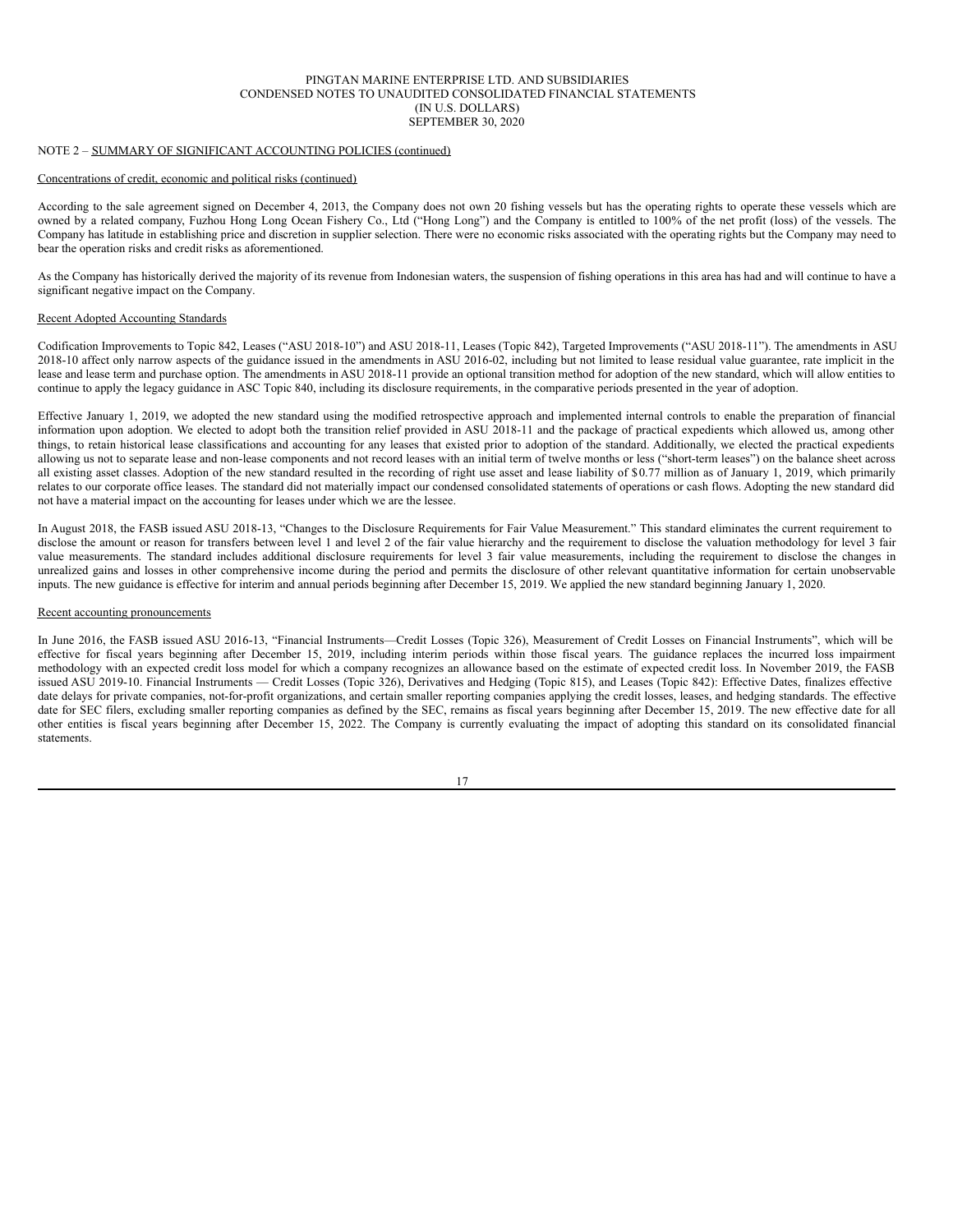#### NOTE 2 – SUMMARY OF SIGNIFICANT ACCOUNTING POLICIES (continued)

#### Concentrations of credit, economic and political risks (continued)

According to the sale agreement signed on December 4, 2013, the Company does not own 20 fishing vessels but has the operating rights to operate these vessels which are owned by a related company, Fuzhou Hong Long Ocean Fishery Co., Ltd ("Hong Long") and the Company is entitled to 100% of the net profit (loss) of the vessels. The Company has latitude in establishing price and discretion in supplier selection. There were no economic risks associated with the operating rights but the Company may need to bear the operation risks and credit risks as aforementioned.

As the Company has historically derived the majority of its revenue from Indonesian waters, the suspension of fishing operations in this area has had and will continue to have a significant negative impact on the Company.

### Recent Adopted Accounting Standards

Codification Improvements to Topic 842, Leases ("ASU 2018-10") and ASU 2018-11, Leases (Topic 842), Targeted Improvements ("ASU 2018-11"). The amendments in ASU 2018-10 affect only narrow aspects of the guidance issued in the amendments in ASU 2016-02, including but not limited to lease residual value guarantee, rate implicit in the lease and lease term and purchase option. The amendments in ASU 2018-11 provide an optional transition method for adoption of the new standard, which will allow entities to continue to apply the legacy guidance in ASC Topic 840, including its disclosure requirements, in the comparative periods presented in the year of adoption.

Effective January 1, 2019, we adopted the new standard using the modified retrospective approach and implemented internal controls to enable the preparation of financial information upon adoption. We elected to adopt both the transition relief provided in ASU 2018-11 and the package of practical expedients which allowed us, among other things, to retain historical lease classifications and accounting for any leases that existed prior to adoption of the standard. Additionally, we elected the practical expedients allowing us not to separate lease and non-lease components and not record leases with an initial term of twelve months or less ("short-term leases") on the balance sheet across all existing asset classes. Adoption of the new standard resulted in the recording of right use asset and lease liability of \$0.77 million as of January 1, 2019, which primarily relates to our corporate office leases. The standard did not materially impact our condensed consolidated statements of operations or cash flows. Adopting the new standard did not have a material impact on the accounting for leases under which we are the lessee.

In August 2018, the FASB issued ASU 2018-13, "Changes to the Disclosure Requirements for Fair Value Measurement." This standard eliminates the current requirement to disclose the amount or reason for transfers between level 1 and level 2 of the fair value hierarchy and the requirement to disclose the valuation methodology for level 3 fair value measurements. The standard includes additional disclosure requirements for level 3 fair value measurements, including the requirement to disclose the changes in unrealized gains and losses in other comprehensive income during the period and permits the disclosure of other relevant quantitative information for certain unobservable inputs. The new guidance is effective for interim and annual periods beginning after December 15, 2019. We applied the new standard beginning January 1, 2020.

#### Recent accounting pronouncements

In June 2016, the FASB issued ASU 2016-13, "Financial Instruments—Credit Losses (Topic 326), Measurement of Credit Losses on Financial Instruments", which will be effective for fiscal years beginning after December 15, 2019, including interim periods within those fiscal years. The guidance replaces the incurred loss impairment methodology with an expected credit loss model for which a company recognizes an allowance based on the estimate of expected credit loss. In November 2019, the FASB issued ASU 2019-10. Financial Instruments — Credit Losses (Topic 326), Derivatives and Hedging (Topic 815), and Leases (Topic 842): Effective Dates, finalizes effective date delays for private companies, not-for-profit organizations, and certain smaller reporting companies applying the credit losses, leases, and hedging standards. The effective date for SEC filers, excluding smaller reporting companies as defined by the SEC, remains as fiscal years beginning after December 15, 2019. The new effective date for all other entities is fiscal years beginning after December 15, 2022. The Company is currently evaluating the impact of adopting this standard on its consolidated financial statements.

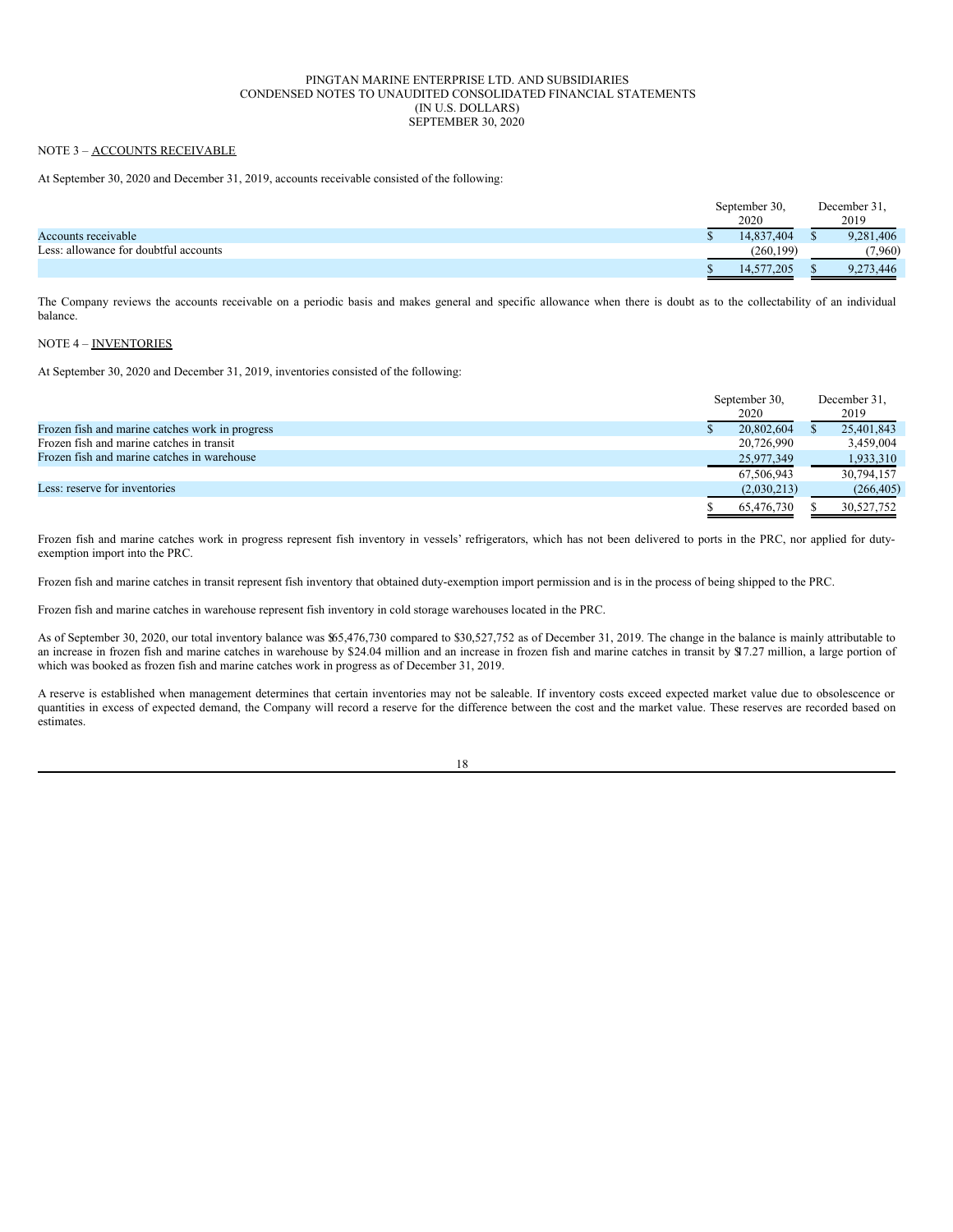### NOTE 3 – ACCOUNTS RECEIVABLE

At September 30, 2020 and December 31, 2019, accounts receivable consisted of the following:

|                                       | September 30,<br>2020 | December 31,<br>2019 |
|---------------------------------------|-----------------------|----------------------|
| Accounts receivable                   | 14,837,404            | 9,281,406            |
| Less: allowance for doubtful accounts | (260.199)             | (7.960)              |
|                                       | 14,577,205            | 9.273.446            |

The Company reviews the accounts receivable on a periodic basis and makes general and specific allowance when there is doubt as to the collectability of an individual balance.

# NOTE 4 – INVENTORIES

At September 30, 2020 and December 31, 2019, inventories consisted of the following:

|                                                 | September 30, |  | December 31, |
|-------------------------------------------------|---------------|--|--------------|
|                                                 | 2020          |  | 2019         |
| Frozen fish and marine catches work in progress | 20,802,604    |  | 25,401,843   |
| Frozen fish and marine catches in transit       | 20,726,990    |  | 3,459,004    |
| Frozen fish and marine catches in warehouse     | 25,977,349    |  | 1,933,310    |
|                                                 | 67.506.943    |  | 30,794,157   |
| Less: reserve for inventories                   | (2,030,213)   |  | (266, 405)   |
|                                                 | 65,476,730    |  | 30,527,752   |

Frozen fish and marine catches work in progress represent fish inventory in vessels' refrigerators, which has not been delivered to ports in the PRC, nor applied for dutyexemption import into the PRC.

Frozen fish and marine catches in transit represent fish inventory that obtained duty-exemption import permission and is in the process of being shipped to the PRC.

Frozen fish and marine catches in warehouse represent fish inventory in cold storage warehouses located in the PRC.

As of September 30, 2020, our total inventory balance was \$65,476,730 compared to \$30,527,752 as of December 31, 2019. The change in the balance is mainly attributable to an increase in frozen fish and marine catches in warehouse by \$24.04 million and an increase in frozen fish and marine catches in transit by \$7.27 million, a large portion of which was booked as frozen fish and marine catches work in progress as of December 31, 2019.

A reserve is established when management determines that certain inventories may not be saleable. If inventory costs exceed expected market value due to obsolescence or quantities in excess of expected demand, the Company will record a reserve for the difference between the cost and the market value. These reserves are recorded based on estimates.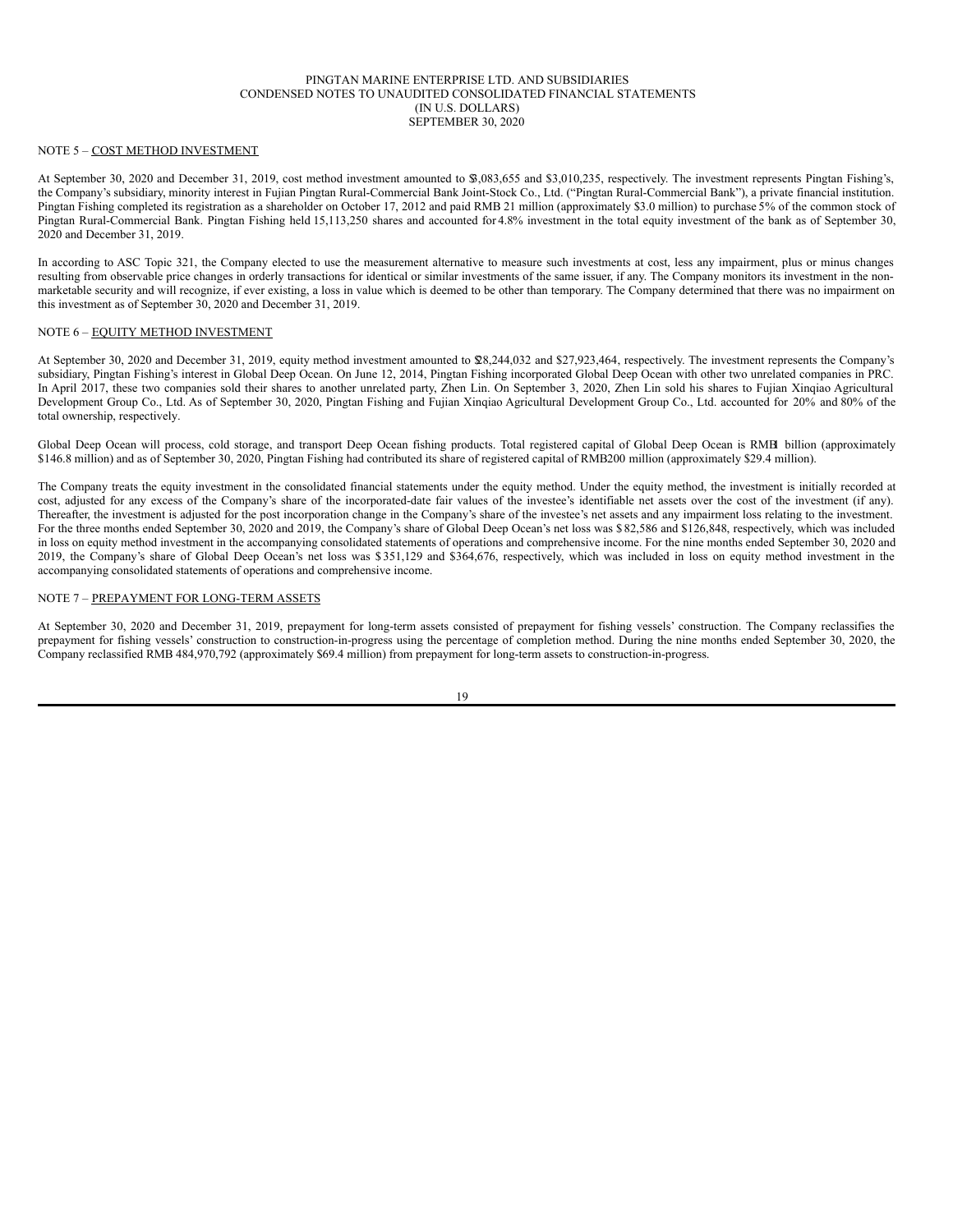#### NOTE 5 – COST METHOD INVESTMENT

At September 30, 2020 and December 31, 2019, cost method investment amounted to \$3,083,655 and \$3,010,235, respectively. The investment represents Pingtan Fishing's, the Company's subsidiary, minority interest in Fujian Pingtan Rural-Commercial Bank Joint-Stock Co., Ltd. ("Pingtan Rural-Commercial Bank"), a private financial institution. Pingtan Fishing completed its registration as a shareholder on October 17, 2012 and paid RMB 21 million (approximately \$3.0 million) to purchase 5% of the common stock of Pingtan Rural-Commercial Bank. Pingtan Fishing held 15,113,250 shares and accounted for 4.8% investment in the total equity investment of the bank as of September 30, 2020 and December 31, 2019.

In according to ASC Topic 321, the Company elected to use the measurement alternative to measure such investments at cost, less any impairment, plus or minus changes resulting from observable price changes in orderly transactions for identical or similar investments of the same issuer, if any. The Company monitors its investment in the nonmarketable security and will recognize, if ever existing, a loss in value which is deemed to be other than temporary. The Company determined that there was no impairment on this investment as of September 30, 2020 and December 31, 2019.

#### NOTE 6 – EQUITY METHOD INVESTMENT

At September 30, 2020 and December 31, 2019, equity method investment amounted to \$28,244,032 and \$27,923,464, respectively. The investment represents the Company's subsidiary, Pingtan Fishing's interest in Global Deep Ocean. On June 12, 2014, Pingtan Fishing incorporated Global Deep Ocean with other two unrelated companies in PRC. In April 2017, these two companies sold their shares to another unrelated party, Zhen Lin. On September 3, 2020, Zhen Lin sold his shares to Fujian Xinqiao Agricultural Development Group Co., Ltd. As of September 30, 2020, Pingtan Fishing and Fujian Xinqiao Agricultural Development Group Co., Ltd. accounted for 20% and 80% of the total ownership, respectively.

Global Deep Ocean will process, cold storage, and transport Deep Ocean fishing products. Total registered capital of Global Deep Ocean is RMB billion (approximately \$146.8 million) and as of September 30, 2020, Pingtan Fishing had contributed its share of registered capital of RMB200 million (approximately \$29.4 million).

The Company treats the equity investment in the consolidated financial statements under the equity method. Under the equity method, the investment is initially recorded at cost, adjusted for any excess of the Company's share of the incorporated-date fair values of the investee's identifiable net assets over the cost of the investment (if any). Thereafter, the investment is adjusted for the post incorporation change in the Company's share of the investee's net assets and any impairment loss relating to the investment. For the three months ended September 30, 2020 and 2019, the Company's share of Global Deep Ocean's net loss was \$ 82,586 and \$126,848, respectively, which was included in loss on equity method investment in the accompanying consolidated statements of operations and comprehensive income. For the nine months ended September 30, 2020 and 2019, the Company's share of Global Deep Ocean's net loss was \$351,129 and \$364,676, respectively, which was included in loss on equity method investment in the accompanying consolidated statements of operations and comprehensive income.

### NOTE 7 – PREPAYMENT FOR LONG-TERM ASSETS

At September 30, 2020 and December 31, 2019, prepayment for long-term assets consisted of prepayment for fishing vessels' construction. The Company reclassifies the prepayment for fishing vessels' construction to construction-in-progress using the percentage of completion method. During the nine months ended September 30, 2020, the Company reclassified RMB 484,970,792 (approximately \$69.4 million) from prepayment for long-term assets to construction-in-progress.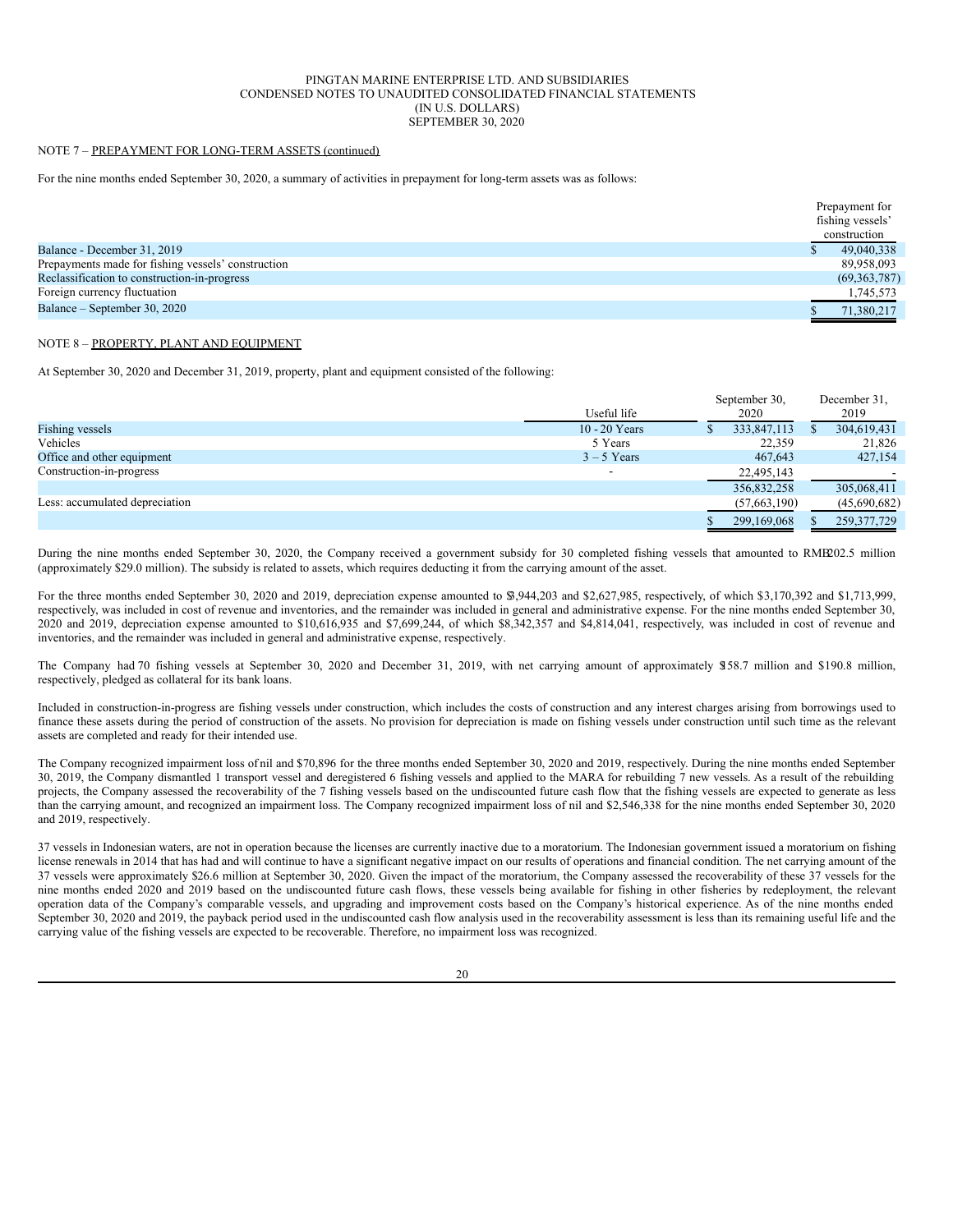### NOTE 7 – PREPAYMENT FOR LONG-TERM ASSETS (continued)

# For the nine months ended September 30, 2020, a summary of activities in prepayment for long-term assets was as follows:

|                                                    | Prepayment for<br>fishing vessels' |
|----------------------------------------------------|------------------------------------|
|                                                    | construction                       |
| Balance - December 31, 2019                        | 49,040,338                         |
| Prepayments made for fishing vessels' construction | 89.958.093                         |
| Reclassification to construction-in-progress       | (69,363,787)                       |
| Foreign currency fluctuation                       | 1,745,573                          |
| Balance – September 30, 2020                       | 71,380,217                         |

### NOTE 8 – PROPERTY, PLANT AND EQUIPMENT

At September 30, 2020 and December 31, 2019, property, plant and equipment consisted of the following:

|                                |                          |  | September 30, | December 31,  |
|--------------------------------|--------------------------|--|---------------|---------------|
|                                | Useful life              |  | 2020          | 2019          |
| Fishing vessels                | $10 - 20$ Years          |  | 333,847,113   | 304,619,431   |
| Vehicles                       | 5 Years                  |  | 22,359        | 21,826        |
| Office and other equipment     | $3 - 5$ Years            |  | 467,643       | 427,154       |
| Construction-in-progress       | $\overline{\phantom{a}}$ |  | 22,495,143    |               |
|                                |                          |  | 356,832,258   | 305,068,411   |
| Less: accumulated depreciation |                          |  | (57,663,190)  | (45,690,682)  |
|                                |                          |  | 299,169,068   | 259, 377, 729 |

During the nine months ended September 30, 2020, the Company received a government subsidy for 30 completed fishing vessels that amounted to RMB202.5 million (approximately \$29.0 million). The subsidy is related to assets, which requires deducting it from the carrying amount of the asset.

For the three months ended September 30, 2020 and 2019, depreciation expense amounted to \$,944,203 and \$2,627,985, respectively, of which \$3,170,392 and \$1,713,999, respectively, was included in cost of revenue and inventories, and the remainder was included in general and administrative expense. For the nine months ended September 30, 2020 and 2019, depreciation expense amounted to \$10,616,935 and \$7,699,244, of which \$8,342,357 and \$4,814,041, respectively, was included in cost of revenue and inventories, and the remainder was included in general and administrative expense, respectively.

The Company had 70 fishing vessels at September 30, 2020 and December 31, 2019, with net carrying amount of approximately \$158.7 million and \$190.8 million, respectively, pledged as collateral for its bank loans.

Included in construction-in-progress are fishing vessels under construction, which includes the costs of construction and any interest charges arising from borrowings used to finance these assets during the period of construction of the assets. No provision for depreciation is made on fishing vessels under construction until such time as the relevant assets are completed and ready for their intended use.

The Company recognized impairment loss of nil and \$70,896 for the three months ended September 30, 2020 and 2019, respectively. During the nine months ended September 30, 2019, the Company dismantled 1 transport vessel and deregistered 6 fishing vessels and applied to the MARA for rebuilding 7 new vessels. As a result of the rebuilding projects, the Company assessed the recoverability of the 7 fishing vessels based on the undiscounted future cash flow that the fishing vessels are expected to generate as less than the carrying amount, and recognized an impairment loss. The Company recognized impairment loss of nil and \$2,546,338 for the nine months ended September 30, 2020 and 2019, respectively.

37 vessels in Indonesian waters, are not in operation because the licenses are currently inactive due to a moratorium. The Indonesian government issued a moratorium on fishing license renewals in 2014 that has had and will continue to have a significant negative impact on our results of operations and financial condition. The net carrying amount of the 37 vessels were approximately \$26.6 million at September 30, 2020. Given the impact of the moratorium, the Company assessed the recoverability of these 37 vessels for the nine months ended 2020 and 2019 based on the undiscounted future cash flows, these vessels being available for fishing in other fisheries by redeployment, the relevant operation data of the Company's comparable vessels, and upgrading and improvement costs based on the Company's historical experience. As of the nine months ended September 30, 2020 and 2019, the payback period used in the undiscounted cash flow analysis used in the recoverability assessment is less than its remaining useful life and the carrying value of the fishing vessels are expected to be recoverable. Therefore, no impairment loss was recognized.

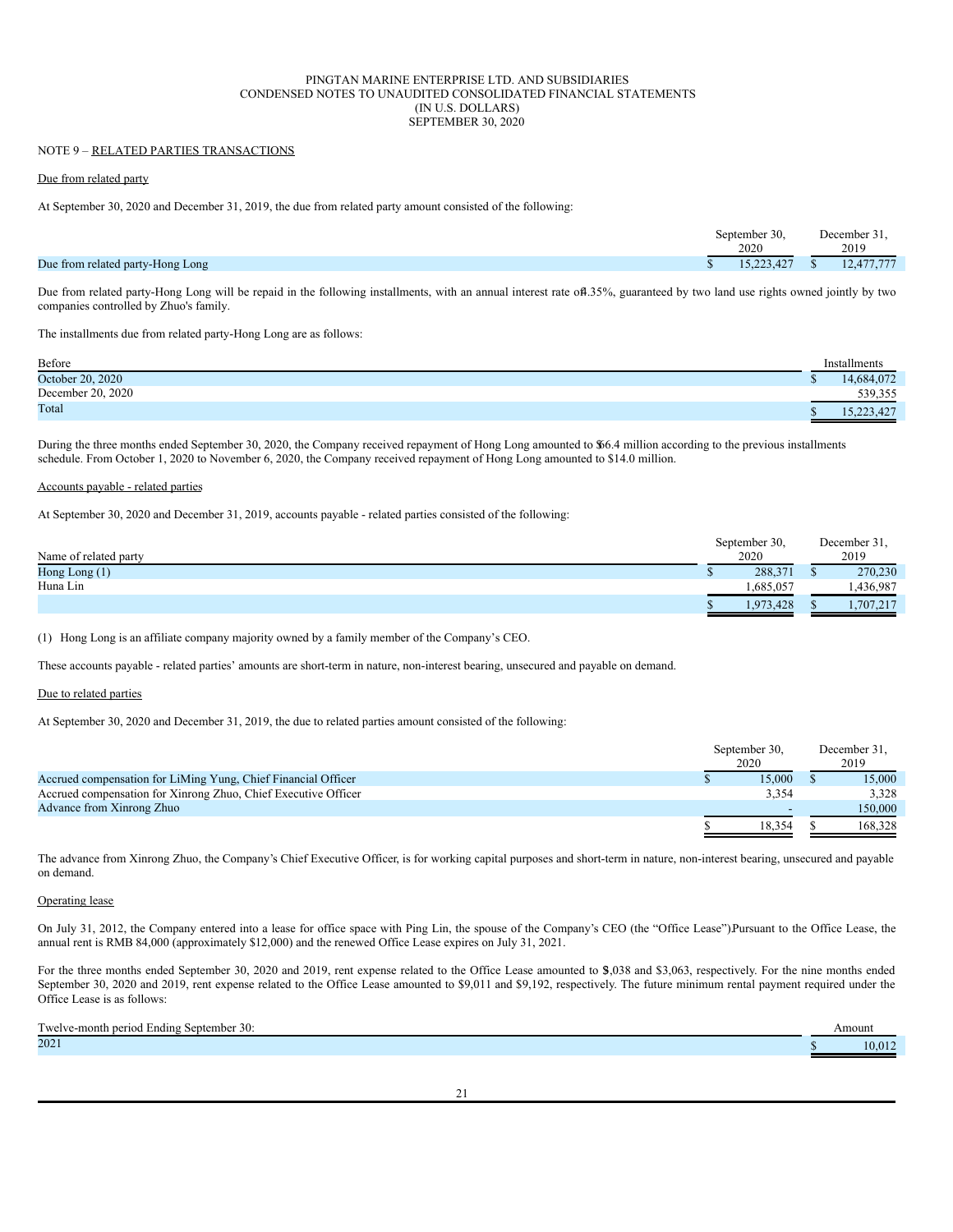### NOTE 9 – RELATED PARTIES TRANSACTIONS

### Due from related party

At September 30, 2020 and December 31, 2019, the due from related party amount consisted of the following:

|                                  | September 30. |  | December 31, |
|----------------------------------|---------------|--|--------------|
|                                  | 2020          |  | 2019         |
| Due from related party-Hong Long | 15.223.427    |  | 12,477,777   |

Due from related party-Hong Long will be repaid in the following installments, with an annual interest rate of 4.35%, guaranteed by two land use rights owned jointly by two companies controlled by Zhuo's family.

The installments due from related party-Hong Long are as follows:

| Before            | Installments             |
|-------------------|--------------------------|
| October 20, 2020  | 1.684.072                |
| December 20, 2020 | 539,355                  |
| Total             | $\sqrt{2}$<br>13,223,42. |

During the three months ended September 30, 2020, the Company received repayment of Hong Long amounted to \$66.4 million according to the previous installments schedule. From October 1, 2020 to November 6, 2020, the Company received repayment of Hong Long amounted to \$14.0 million.

#### Accounts payable - related parties

At September 30, 2020 and December 31, 2019, accounts payable - related parties consisted of the following:

|                       | September 30, |      | December 31. |
|-----------------------|---------------|------|--------------|
| Name of related party | 2020          | 2019 |              |
| Hong Long $(1)$       | 288,371       |      | 270,230      |
| Huna Lin              | 1,685,057     |      | .436,987     |
|                       | 1.973.428     |      | 1,707,217    |

(1) Hong Long is an affiliate company majority owned by a family member of the Company's CEO.

These accounts payable - related parties' amounts are short-term in nature, non-interest bearing, unsecured and payable on demand.

# Due to related parties

At September 30, 2020 and December 31, 2019, the due to related parties amount consisted of the following:

|                                                                | September 30, |      | December 31. |
|----------------------------------------------------------------|---------------|------|--------------|
|                                                                | 2020          | 2019 |              |
| Accrued compensation for LiMing Yung, Chief Financial Officer  | 15.000        |      | 15.000       |
| Accrued compensation for Xinrong Zhuo, Chief Executive Officer | 3,354         |      | 3.328        |
| Advance from Xinrong Zhuo                                      |               |      | 150,000      |
|                                                                | 18.354        |      | 168.328      |

The advance from Xinrong Zhuo, the Company's Chief Executive Officer, is for working capital purposes and short-term in nature, non-interest bearing, unsecured and payable on demand.

#### Operating lease

On July 31, 2012, the Company entered into a lease for office space with Ping Lin, the spouse of the Company's CEO (the "Office Lease").Pursuant to the Office Lease, the annual rent is RMB 84,000 (approximately \$12,000) and the renewed Office Lease expires on July 31, 2021.

For the three months ended September 30, 2020 and 2019, rent expense related to the Office Lease amounted to \$,038 and \$3,063, respectively. For the nine months ended September 30, 2020 and 2019, rent expense related to the Office Lease amounted to \$9,011 and \$9,192, respectively. The future minimum rental payment required under the Office Lease is as follows:

| $\sim$<br>:30.<br>l welve<br>i period<br>e-month<br>. Ending September . | Amount |
|--------------------------------------------------------------------------|--------|
| 2021                                                                     | 10.012 |
|                                                                          |        |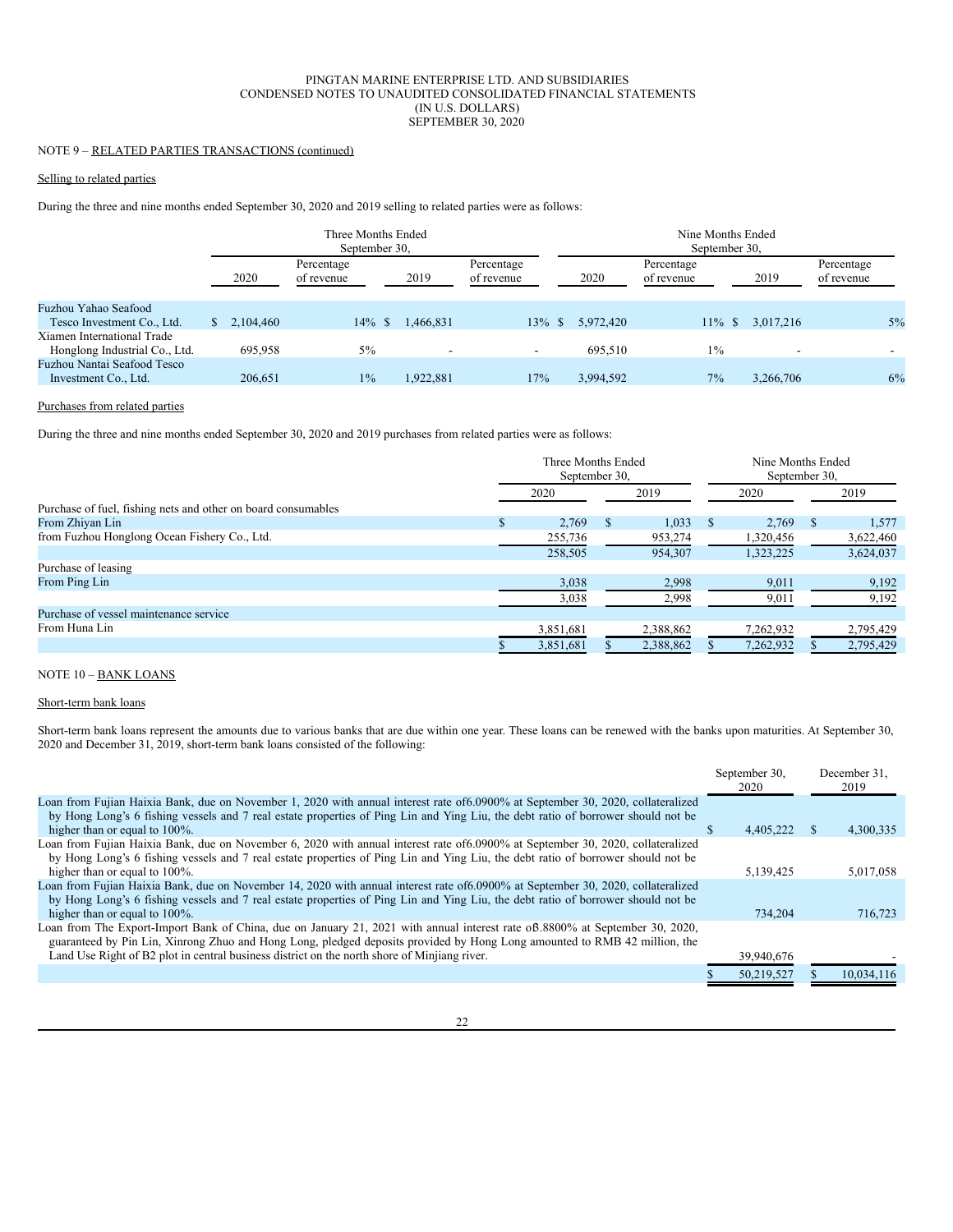# NOTE 9 – RELATED PARTIES TRANSACTIONS (continued)

# Selling to related parties

During the three and nine months ended September 30, 2020 and 2019 selling to related parties were as follows:

|                                                             | Three Months Ended<br>September 30, |           |                          |           | Nine Months Ended<br>September 30, |                          |                          |           |                          |                   |                          |    |
|-------------------------------------------------------------|-------------------------------------|-----------|--------------------------|-----------|------------------------------------|--------------------------|--------------------------|-----------|--------------------------|-------------------|--------------------------|----|
|                                                             |                                     | 2020      | Percentage<br>of revenue |           | 2019                               | Percentage<br>of revenue |                          | 2020      | Percentage<br>of revenue | 2019              | Percentage<br>of revenue |    |
| Fuzhou Yahao Seafood<br>Tesco Investment Co., Ltd.          | S.                                  | 2.104.460 |                          | $14\%$ \$ | 1.466.831                          |                          | $13\%$ \$                | 5.972.420 |                          | 11\% \$ 3.017.216 |                          | 5% |
| Xiamen International Trade<br>Honglong Industrial Co., Ltd. |                                     | 695,958   |                          | $5\%$     | ۰                                  |                          | $\overline{\phantom{a}}$ | 695.510   | $1\%$                    |                   |                          |    |
| Fuzhou Nantai Seafood Tesco<br>Investment Co., Ltd.         |                                     | 206,651   |                          | $1\%$     | 1.922.881                          |                          | 17%                      | 3,994,592 | $7\%$                    | 3.266,706         |                          | 6% |

### Purchases from related parties

During the three and nine months ended September 30, 2020 and 2019 purchases from related parties were as follows:

|                                                               | Three Months Ended<br>September 30, |           |          |           | Nine Months Ended<br>September 30, |           |    |           |
|---------------------------------------------------------------|-------------------------------------|-----------|----------|-----------|------------------------------------|-----------|----|-----------|
|                                                               |                                     | 2020      |          | 2019      |                                    | 2020      |    | 2019      |
| Purchase of fuel, fishing nets and other on board consumables |                                     |           |          |           |                                    |           |    |           |
| From Zhiyan Lin                                               | \$                                  | 2.769     | <b>S</b> | 1.033     | -S                                 | 2.769     | -S | 1,577     |
| from Fuzhou Honglong Ocean Fishery Co., Ltd.                  |                                     | 255,736   |          | 953,274   |                                    | 1,320,456 |    | 3,622,460 |
|                                                               |                                     | 258,505   |          | 954,307   |                                    | 1,323,225 |    | 3,624,037 |
| Purchase of leasing                                           |                                     |           |          |           |                                    |           |    |           |
| From Ping Lin                                                 |                                     | 3,038     |          | 2,998     |                                    | 9,011     |    | 9,192     |
|                                                               |                                     | 3,038     |          | 2,998     |                                    | 9,011     |    | 9,192     |
| Purchase of vessel maintenance service                        |                                     |           |          |           |                                    |           |    |           |
| From Huna Lin                                                 |                                     | 3,851,681 |          | 2,388,862 |                                    | 7,262,932 |    | 2,795,429 |
|                                                               |                                     | 3,851,681 |          | 2,388,862 |                                    | 7,262,932 |    | 2,795,429 |

# NOTE 10 – BANK LOANS

# Short-term bank loans

Short-term bank loans represent the amounts due to various banks that are due within one year. These loans can be renewed with the banks upon maturities. At September 30, 2020 and December 31, 2019, short-term bank loans consisted of the following:

|                                                                                                                                                                                                                                                                                                                                                             |   | September 30,<br>2020 | December 31,<br>2019 |
|-------------------------------------------------------------------------------------------------------------------------------------------------------------------------------------------------------------------------------------------------------------------------------------------------------------------------------------------------------------|---|-----------------------|----------------------|
| Loan from Fujian Haixia Bank, due on November 1, 2020 with annual interest rate of 6.0900% at September 30, 2020, collateralized<br>by Hong Long's 6 fishing vessels and 7 real estate properties of Ping Lin and Ying Liu, the debt ratio of borrower should not be<br>higher than or equal to 100%.                                                       | ъ | 4.405.222             | 4,300,335            |
| Loan from Fujian Haixia Bank, due on November 6, 2020 with annual interest rate of 6.0900% at September 30, 2020, collateralized<br>by Hong Long's 6 fishing vessels and 7 real estate properties of Ping Lin and Ying Liu, the debt ratio of borrower should not be<br>higher than or equal to 100%.                                                       |   | 5,139,425             | 5,017,058            |
| Loan from Fujian Haixia Bank, due on November 14, 2020 with annual interest rate of 6.0900% at September 30, 2020, collateralized<br>by Hong Long's 6 fishing vessels and 7 real estate properties of Ping Lin and Ying Liu, the debt ratio of borrower should not be<br>higher than or equal to 100%.                                                      |   | 734,204               | 716.723              |
| Loan from The Export-Import Bank of China, due on January 21, 2021 with annual interest rate of 8.8800% at September 30, 2020,<br>guaranteed by Pin Lin, Xinrong Zhuo and Hong Long, pledged deposits provided by Hong Long amounted to RMB 42 million, the<br>Land Use Right of B2 plot in central business district on the north shore of Minjiang river. |   | 39,940,676            |                      |
|                                                                                                                                                                                                                                                                                                                                                             |   | 50,219,527            | 10,034,116           |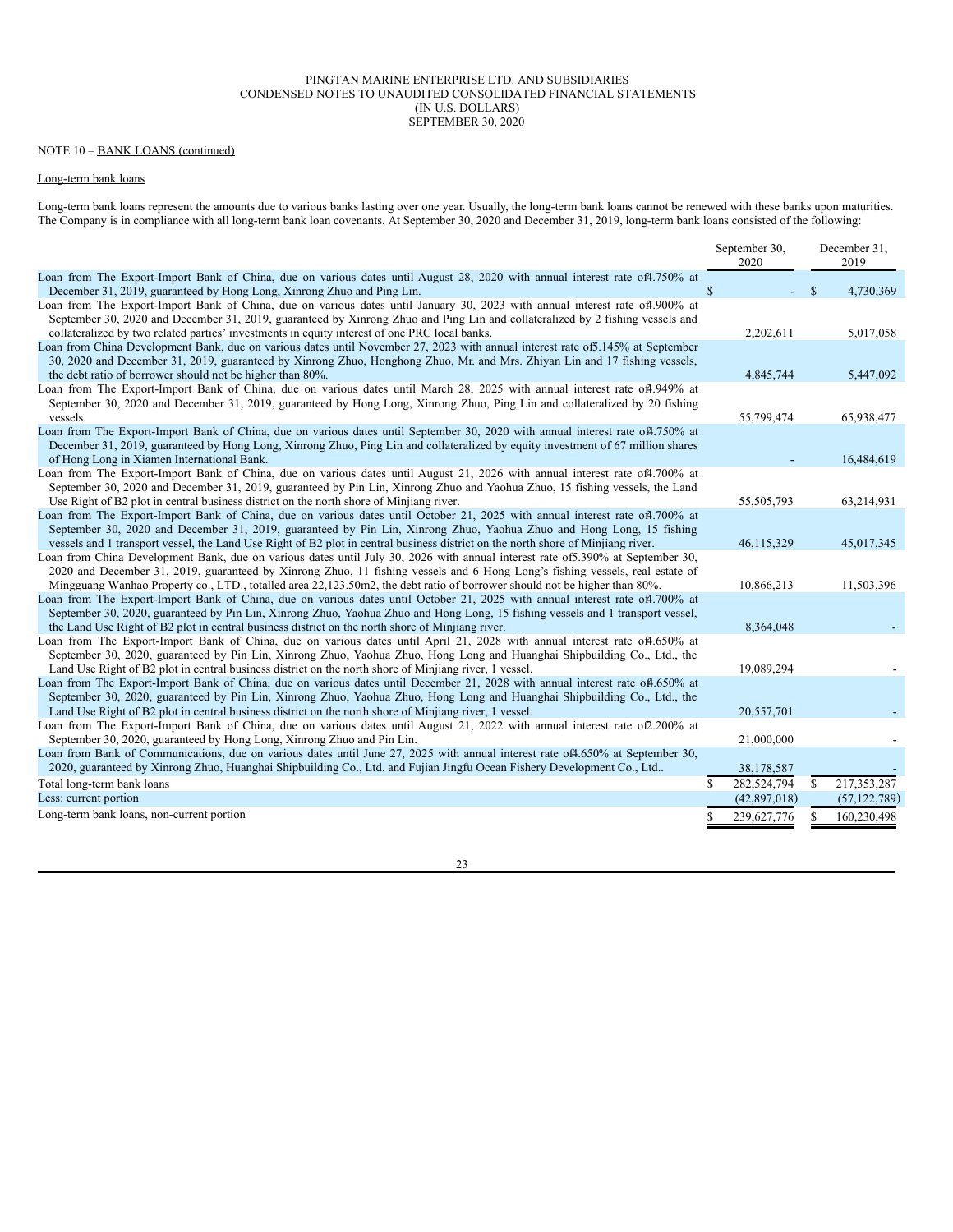# NOTE 10 – BANK LOANS (continued)

# Long-term bank loans

Long-term bank loans represent the amounts due to various banks lasting over one year. Usually, the long-term bank loans cannot be renewed with these banks upon maturities. The Company is in compliance with all long-term bank loan covenants. At September 30, 2020 and December 31, 2019, long-term bank loans consisted of the following:

|                                                                                                                                                                                                                                                                                                                                                                                              | September 30,<br>2020 |    | December 31,<br>2019 |
|----------------------------------------------------------------------------------------------------------------------------------------------------------------------------------------------------------------------------------------------------------------------------------------------------------------------------------------------------------------------------------------------|-----------------------|----|----------------------|
| Loan from The Export-Import Bank of China, due on various dates until August 28, 2020 with annual interest rate of 4.750% at<br>December 31, 2019, guaranteed by Hong Long, Xinrong Zhuo and Ping Lin.                                                                                                                                                                                       | $\mathbf S$           | \$ | 4,730,369            |
| Loan from The Export-Import Bank of China, due on various dates until January 30, 2023 with annual interest rate of 4.900% at<br>September 30, 2020 and December 31, 2019, guaranteed by Xinrong Zhuo and Ping Lin and collateralized by 2 fishing vessels and<br>collateralized by two related parties' investments in equity interest of one PRC local banks.                              | 2,202,611             |    | 5,017,058            |
| Loan from China Development Bank, due on various dates until November 27, 2023 with annual interest rate of 5.145% at September<br>30, 2020 and December 31, 2019, guaranteed by Xinrong Zhuo, Honghong Zhuo, Mr. and Mrs. Zhiyan Lin and 17 fishing vessels,<br>the debt ratio of borrower should not be higher than 80%.                                                                   | 4,845,744             |    | 5,447,092            |
| Loan from The Export-Import Bank of China, due on various dates until March 28, 2025 with annual interest rate of 4.949% at<br>September 30, 2020 and December 31, 2019, guaranteed by Hong Long, Xinrong Zhuo, Ping Lin and collateralized by 20 fishing<br>vessels.                                                                                                                        | 55,799,474            |    | 65,938,477           |
| Loan from The Export-Import Bank of China, due on various dates until September 30, 2020 with annual interest rate of 4.750% at<br>December 31, 2019, guaranteed by Hong Long, Xinrong Zhuo, Ping Lin and collateralized by equity investment of 67 million shares<br>of Hong Long in Xiamen International Bank.                                                                             |                       |    | 16,484,619           |
| Loan from The Export-Import Bank of China, due on various dates until August 21, 2026 with annual interest rate of 4.700% at<br>September 30, 2020 and December 31, 2019, guaranteed by Pin Lin, Xinrong Zhuo and Yaohua Zhuo, 15 fishing vessels, the Land<br>Use Right of B2 plot in central business district on the north shore of Minjiang river.                                       | 55,505,793            |    | 63,214,931           |
| Loan from The Export-Import Bank of China, due on various dates until October 21, 2025 with annual interest rate of 4.700% at<br>September 30, 2020 and December 31, 2019, guaranteed by Pin Lin, Xinrong Zhuo, Yaohua Zhuo and Hong Long, 15 fishing<br>vessels and 1 transport vessel, the Land Use Right of B2 plot in central business district on the north shore of Minjiang river.    | 46,115,329            |    | 45,017,345           |
| Loan from China Development Bank, due on various dates until July 30, 2026 with annual interest rate of 5.390% at September 30,<br>2020 and December 31, 2019, guaranteed by Xinrong Zhuo, 11 fishing vessels and 6 Hong Long's fishing vessels, real estate of<br>Mingguang Wanhao Property co., LTD., totalled area 22,123.50m2, the debt ratio of borrower should not be higher than 80%. | 10,866,213            |    | 11,503,396           |
| Loan from The Export-Import Bank of China, due on various dates until October 21, 2025 with annual interest rate of 4.700% at<br>September 30, 2020, guaranteed by Pin Lin, Xinrong Zhuo, Yaohua Zhuo and Hong Long, 15 fishing vessels and 1 transport vessel,<br>the Land Use Right of B2 plot in central business district on the north shore of Minjiang river.                          | 8,364,048             |    |                      |
| Loan from The Export-Import Bank of China, due on various dates until April 21, 2028 with annual interest rate of 4.650% at<br>September 30, 2020, guaranteed by Pin Lin, Xinrong Zhuo, Yaohua Zhuo, Hong Long and Huanghai Shipbuilding Co., Ltd., the<br>Land Use Right of B2 plot in central business district on the north shore of Minjiang river, 1 vessel.                            | 19,089,294            |    |                      |
| Loan from The Export-Import Bank of China, due on various dates until December 21, 2028 with annual interest rate of 4.650% at<br>September 30, 2020, guaranteed by Pin Lin, Xinrong Zhuo, Yaohua Zhuo, Hong Long and Huanghai Shipbuilding Co., Ltd., the<br>Land Use Right of B2 plot in central business district on the north shore of Minjiang river, 1 vessel.                         | 20,557,701            |    |                      |
| Loan from The Export-Import Bank of China, due on various dates until August 21, 2022 with annual interest rate of 2.200% at<br>September 30, 2020, guaranteed by Hong Long, Xinrong Zhuo and Pin Lin.                                                                                                                                                                                       | 21,000,000            |    |                      |
| Loan from Bank of Communications, due on various dates until June 27, 2025 with annual interest rate of 4.650% at September 30,<br>2020, guaranteed by Xinrong Zhuo, Huanghai Shipbuilding Co., Ltd. and Fujian Jingfu Ocean Fishery Development Co., Ltd                                                                                                                                    | 38,178,587            |    |                      |
| Total long-term bank loans                                                                                                                                                                                                                                                                                                                                                                   | 282,524,794<br>S      | \$ | 217,353,287          |
| Less: current portion                                                                                                                                                                                                                                                                                                                                                                        | (42,897,018)          |    | (57, 122, 789)       |
| Long-term bank loans, non-current portion                                                                                                                                                                                                                                                                                                                                                    | 239,627,776<br>\$     | S. | 160,230,498          |

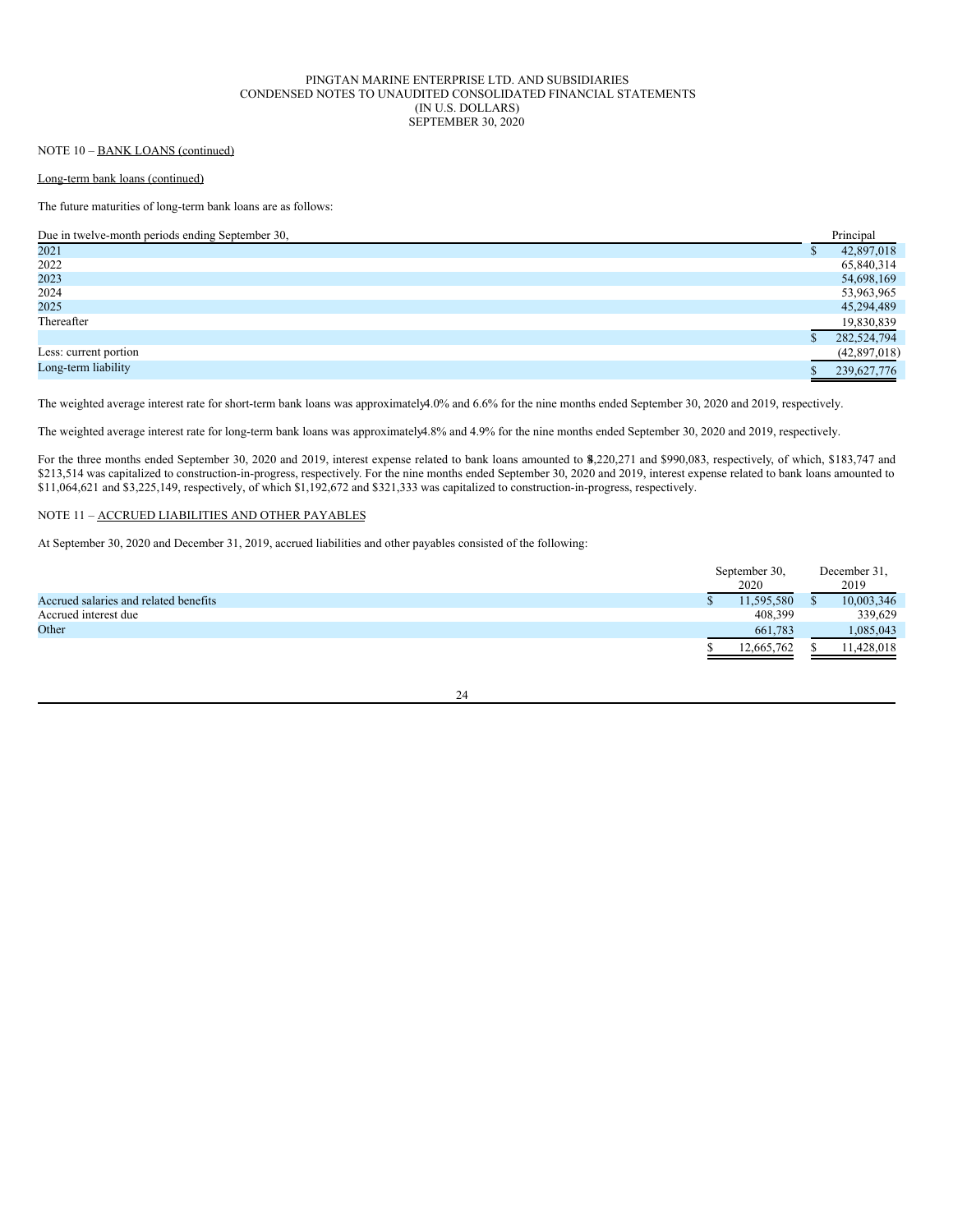NOTE 10 – BANK LOANS (continued)

Long-term bank loans (continued)

The future maturities of long-term bank loans are as follows:

Due in twelve-month periods ending September 30, Principal

| <u>bac in encre monum periodo enumny beptenio er boy</u> |              |
|----------------------------------------------------------|--------------|
| 2021                                                     | 42,897,018   |
| 2022                                                     | 65,840,314   |
| 2023                                                     | 54,698,169   |
| 2024                                                     | 53,963,965   |
| 2025                                                     | 45,294,489   |
| Thereafter                                               | 19,830,839   |
|                                                          | 282,524,794  |
| Less: current portion                                    | (42,897,018) |
| Long-term liability                                      | 239,627,776  |
|                                                          |              |

The weighted average interest rate for short-term bank loans was approximately4.0% and 6.6% for the nine months ended September 30, 2020 and 2019, respectively.

The weighted average interest rate for long-term bank loans was approximately4.8% and 4.9% for the nine months ended September 30, 2020 and 2019, respectively.

For the three months ended September 30, 2020 and 2019, interest expense related to bank loans amounted to \$,220,271 and \$990,083, respectively, of which, \$183,747 and \$213,514 was capitalized to construction-in-progress, respectively. For the nine months ended September 30, 2020 and 2019, interest expense related to bank loans amounted to \$11,064,621 and \$3,225,149, respectively, of which \$1,192,672 and \$321,333 was capitalized to construction-in-progress, respectively.

# NOTE 11 – ACCRUED LIABILITIES AND OTHER PAYABLES

At September 30, 2020 and December 31, 2019, accrued liabilities and other payables consisted of the following:

|                                       | September 30,<br>2020 | December 31,<br>2019 |
|---------------------------------------|-----------------------|----------------------|
| Accrued salaries and related benefits | 11.595.580            | 10,003,346           |
| Accrued interest due                  | 408,399               | 339.629              |
| Other                                 | 661.783               | .085,043             |
|                                       | 12.665.762            | 11.428.018           |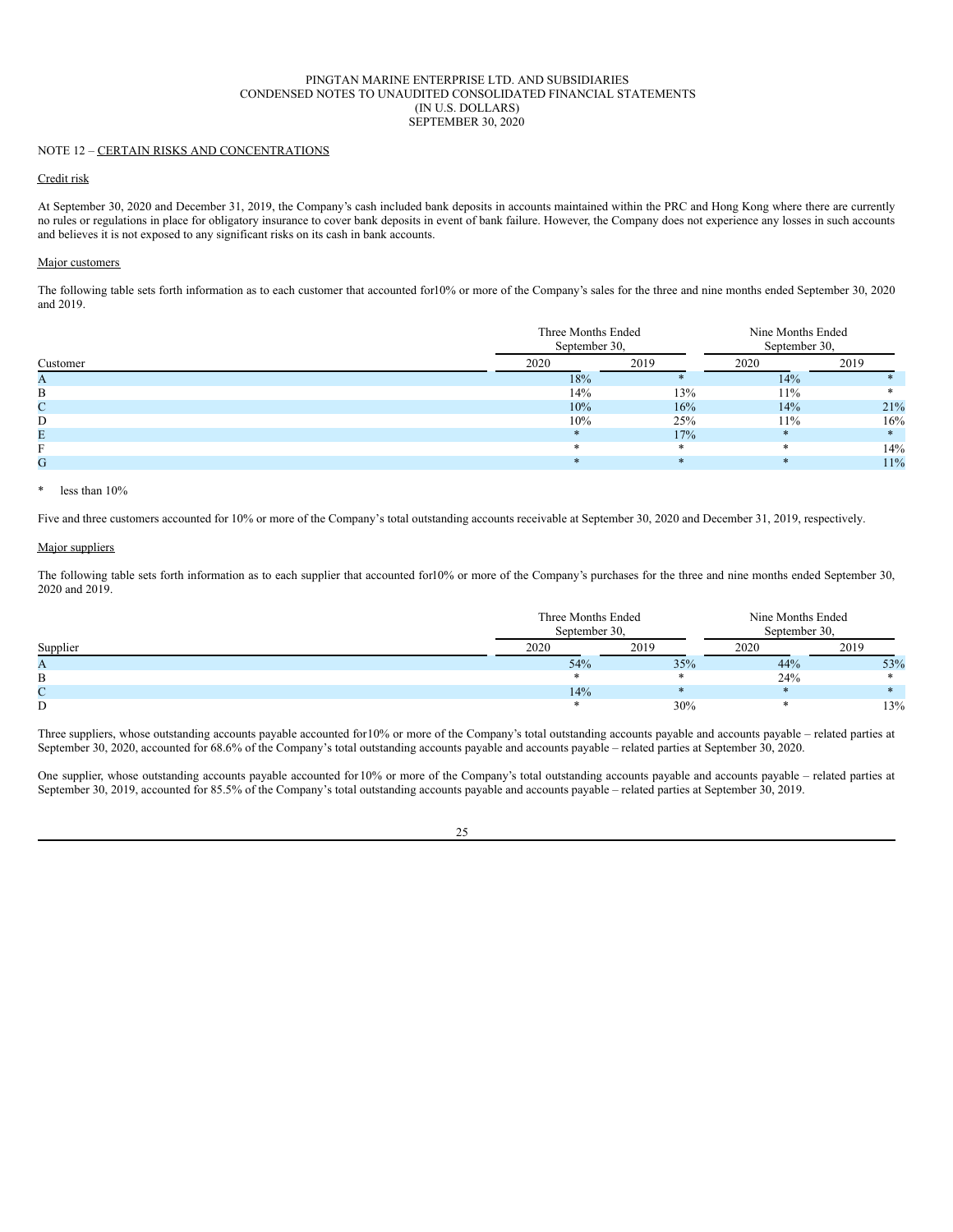#### NOTE 12 – CERTAIN RISKS AND CONCENTRATIONS

# Credit risk

At September 30, 2020 and December 31, 2019, the Company's cash included bank deposits in accounts maintained within the PRC and Hong Kong where there are currently no rules or regulations in place for obligatory insurance to cover bank deposits in event of bank failure. However, the Company does not experience any losses in such accounts and believes it is not exposed to any significant risks on its cash in bank accounts.

### Major customers

The following table sets forth information as to each customer that accounted for10% or more of the Company's sales for the three and nine months ended September 30, 2020 and 2019.

|          | Three Months Ended<br>September 30, | Nine Months Ended<br>September 30, |        |      |
|----------|-------------------------------------|------------------------------------|--------|------|
| Customer | 2020                                | 2019                               | 2020   | 2019 |
| A        | 18%                                 |                                    | 14%    |      |
| B        | 14%                                 | 13%                                | 11%    |      |
| С        | 10%                                 | 16%                                | 14%    | 21%  |
| D        | 10%                                 | 25%                                | 11%    | 16%  |
| Е        | $*$                                 | 17%                                | $\ast$ |      |
|          | *                                   | $\ast$                             |        | 14%  |
| G        |                                     | $\Delta$                           |        | 11%  |

#### less than  $10%$

Five and three customers accounted for 10% or more of the Company's total outstanding accounts receivable at September 30, 2020 and December 31, 2019, respectively.

### Major suppliers

The following table sets forth information as to each supplier that accounted for10% or more of the Company's purchases for the three and nine months ended September 30, 2020 and 2019.

|                 | Three Months Ended<br>September 30, | Nine Months Ended<br>September 30, |      |      |
|-----------------|-------------------------------------|------------------------------------|------|------|
| Supplier        | 2020                                | 2019                               | 2020 | 2019 |
| A               | 54%                                 | 35%                                | 44%  | 53%  |
| B               | *                                   |                                    | 24%  |      |
| $\sqrt{ }$<br>◡ | 14%                                 |                                    |      |      |
| D               |                                     | 30%                                |      | 13%  |

Three suppliers, whose outstanding accounts payable accounted for 10% or more of the Company's total outstanding accounts payable and accounts payable – related parties at September 30, 2020, accounted for 68.6% of the Company's total outstanding accounts payable and accounts payable – related parties at September 30, 2020.

One supplier, whose outstanding accounts payable accounted for 10% or more of the Company's total outstanding accounts payable and accounts payable – related parties at September 30, 2019, accounted for 85.5% of the Company's total outstanding accounts payable and accounts payable – related parties at September 30, 2019.

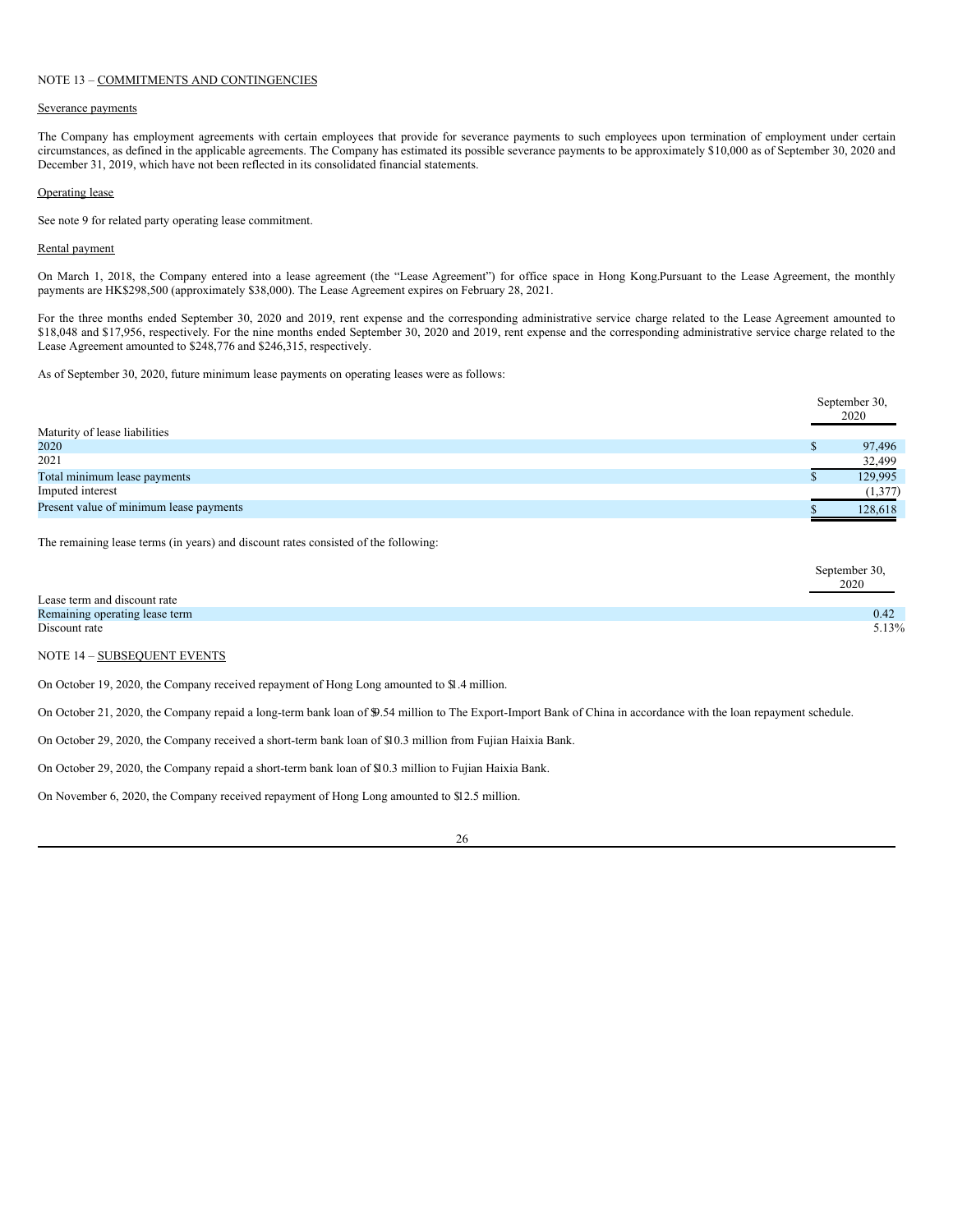#### NOTE 13 – COMMITMENTS AND CONTINGENCIES

#### Severance payments

The Company has employment agreements with certain employees that provide for severance payments to such employees upon termination of employment under certain circumstances, as defined in the applicable agreements. The Company has estimated its possible severance payments to be approximately \$10,000 as of September 30, 2020 and December 31, 2019, which have not been reflected in its consolidated financial statements.

#### Operating lease

See note 9 for related party operating lease commitment.

#### Rental payment

On March 1, 2018, the Company entered into a lease agreement (the "Lease Agreement") for office space in Hong Kong.Pursuant to the Lease Agreement, the monthly payments are HK\$298,500 (approximately \$38,000). The Lease Agreement expires on February 28, 2021.

For the three months ended September 30, 2020 and 2019, rent expense and the corresponding administrative service charge related to the Lease Agreement amounted to \$18,048 and \$17,956, respectively. For the nine months ended September 30, 2020 and 2019, rent expense and the corresponding administrative service charge related to the Lease Agreement amounted to \$248,776 and \$246,315, respectively.

As of September 30, 2020, future minimum lease payments on operating leases were as follows:

| Maturity of lease liabilities           | September 30,<br>2020 |
|-----------------------------------------|-----------------------|
| 2020                                    | 97,496                |
| 2021                                    | 32,499                |
| Total minimum lease payments            | 129,995               |
| Imputed interest                        | (1,377)               |
| Present value of minimum lease payments | 128,618               |

The remaining lease terms (in years) and discount rates consisted of the following:

|                                | September 30,<br>2020 |
|--------------------------------|-----------------------|
| Lease term and discount rate   |                       |
| Remaining operating lease term | 0.42                  |
| Discount rate                  | 5.13%                 |

#### NOTE 14 – SUBSEQUENT EVENTS

On October 19, 2020, the Company received repayment of Hong Long amounted to \$1.4 million.

On October 21, 2020, the Company repaid a long-term bank loan of \$9.54 million to The Export-Import Bank of China in accordance with the loan repayment schedule.

On October 29, 2020, the Company received a short-term bank loan of \$10.3 million from Fujian Haixia Bank.

On October 29, 2020, the Company repaid a short-term bank loan of \$10.3 million to Fujian Haixia Bank.

On November 6, 2020, the Company received repayment of Hong Long amounted to \$12.5 million.

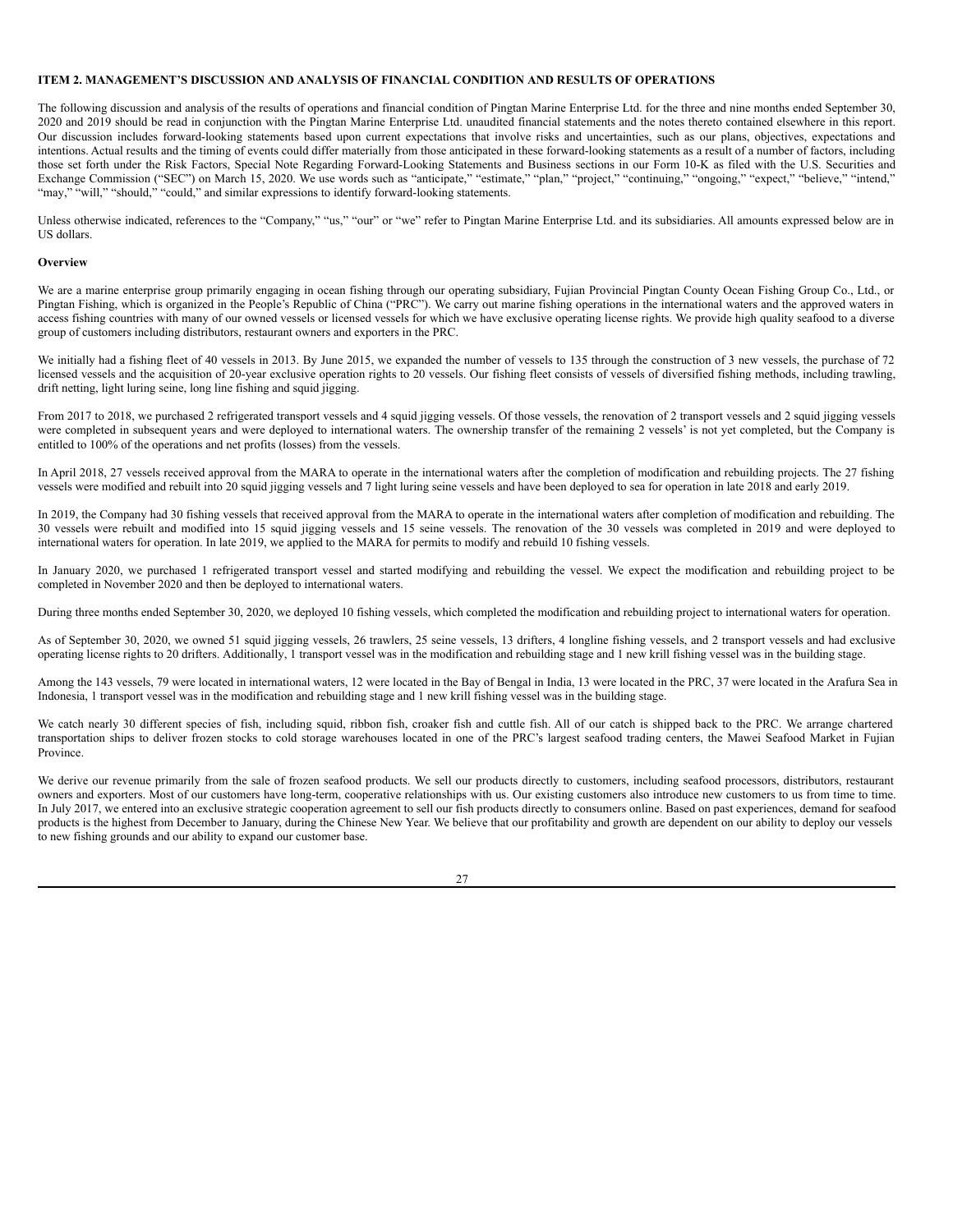### **ITEM 2. MANAGEMENT'S DISCUSSION AND ANALYSIS OF FINANCIAL CONDITION AND RESULTS OF OPERATIONS**

The following discussion and analysis of the results of operations and financial condition of Pingtan Marine Enterprise Ltd. for the three and nine months ended September 30, 2020 and 2019 should be read in conjunction with the Pingtan Marine Enterprise Ltd. unaudited financial statements and the notes thereto contained elsewhere in this report. Our discussion includes forward-looking statements based upon current expectations that involve risks and uncertainties, such as our plans, objectives, expectations and intentions. Actual results and the timing of events could differ materially from those anticipated in these forward-looking statements as a result of a number of factors, including those set forth under the Risk Factors, Special Note Regarding Forward-Looking Statements and Business sections in our Form 10-K as filed with the U.S. Securities and Exchange Commission ("SEC") on March 15, 2020. We use words such as "anticipate," "estimate," "plan," "project," "continuing," "ongoing," "expect," "believe," "intend," "may," "will," "should," "could," and similar expressions to identify forward-looking statements.

Unless otherwise indicated, references to the "Company," "us," "our" or "we" refer to Pingtan Marine Enterprise Ltd. and its subsidiaries. All amounts expressed below are in US dollars.

#### **Overview**

We are a marine enterprise group primarily engaging in ocean fishing through our operating subsidiary, Fujian Provincial Pingtan County Ocean Fishing Group Co., Ltd., or Pingtan Fishing, which is organized in the People's Republic of China ("PRC"). We carry out marine fishing operations in the international waters and the approved waters in access fishing countries with many of our owned vessels or licensed vessels for which we have exclusive operating license rights. We provide high quality seafood to a diverse group of customers including distributors, restaurant owners and exporters in the PRC.

We initially had a fishing fleet of 40 vessels in 2013. By June 2015, we expanded the number of vessels to 135 through the construction of 3 new vessels, the purchase of 72 licensed vessels and the acquisition of 20-year exclusive operation rights to 20 vessels. Our fishing fleet consists of vessels of diversified fishing methods, including trawling, drift netting, light luring seine, long line fishing and squid jigging.

From 2017 to 2018, we purchased 2 refrigerated transport vessels and 4 squid jigging vessels. Of those vessels, the renovation of 2 transport vessels and 2 squid jigging vessels were completed in subsequent years and were deployed to international waters. The ownership transfer of the remaining 2 vessels' is not yet completed, but the Company is entitled to 100% of the operations and net profits (losses) from the vessels.

In April 2018, 27 vessels received approval from the MARA to operate in the international waters after the completion of modification and rebuilding projects. The 27 fishing vessels were modified and rebuilt into 20 squid jigging vessels and 7 light luring seine vessels and have been deployed to sea for operation in late 2018 and early 2019.

In 2019, the Company had 30 fishing vessels that received approval from the MARA to operate in the international waters after completion of modification and rebuilding. The 30 vessels were rebuilt and modified into 15 squid jigging vessels and 15 seine vessels. The renovation of the 30 vessels was completed in 2019 and were deployed to international waters for operation. In late 2019, we applied to the MARA for permits to modify and rebuild 10 fishing vessels.

In January 2020, we purchased 1 refrigerated transport vessel and started modifying and rebuilding the vessel. We expect the modification and rebuilding project to be completed in November 2020 and then be deployed to international waters.

During three months ended September 30, 2020, we deployed 10 fishing vessels, which completed the modification and rebuilding project to international waters for operation.

As of September 30, 2020, we owned 51 squid jigging vessels, 26 trawlers, 25 seine vessels, 13 drifters, 4 longline fishing vessels, and 2 transport vessels and had exclusive operating license rights to 20 drifters. Additionally, 1 transport vessel was in the modification and rebuilding stage and 1 new krill fishing vessel was in the building stage.

Among the 143 vessels, 79 were located in international waters, 12 were located in the Bay of Bengal in India, 13 were located in the PRC, 37 were located in the Arafura Sea in Indonesia, 1 transport vessel was in the modification and rebuilding stage and 1 new krill fishing vessel was in the building stage.

We catch nearly 30 different species of fish, including squid, ribbon fish, croaker fish and cuttle fish. All of our catch is shipped back to the PRC. We arrange chartered transportation ships to deliver frozen stocks to cold storage warehouses located in one of the PRC's largest seafood trading centers, the Mawei Seafood Market in Fujian Province.

We derive our revenue primarily from the sale of frozen seafood products. We sell our products directly to customers, including seafood processors, distributors, restaurant owners and exporters. Most of our customers have long-term, cooperative relationships with us. Our existing customers also introduce new customers to us from time to time. In July 2017, we entered into an exclusive strategic cooperation agreement to sell our fish products directly to consumers online. Based on past experiences, demand for seafood products is the highest from December to January, during the Chinese New Year. We believe that our profitability and growth are dependent on our ability to deploy our vessels to new fishing grounds and our ability to expand our customer base.

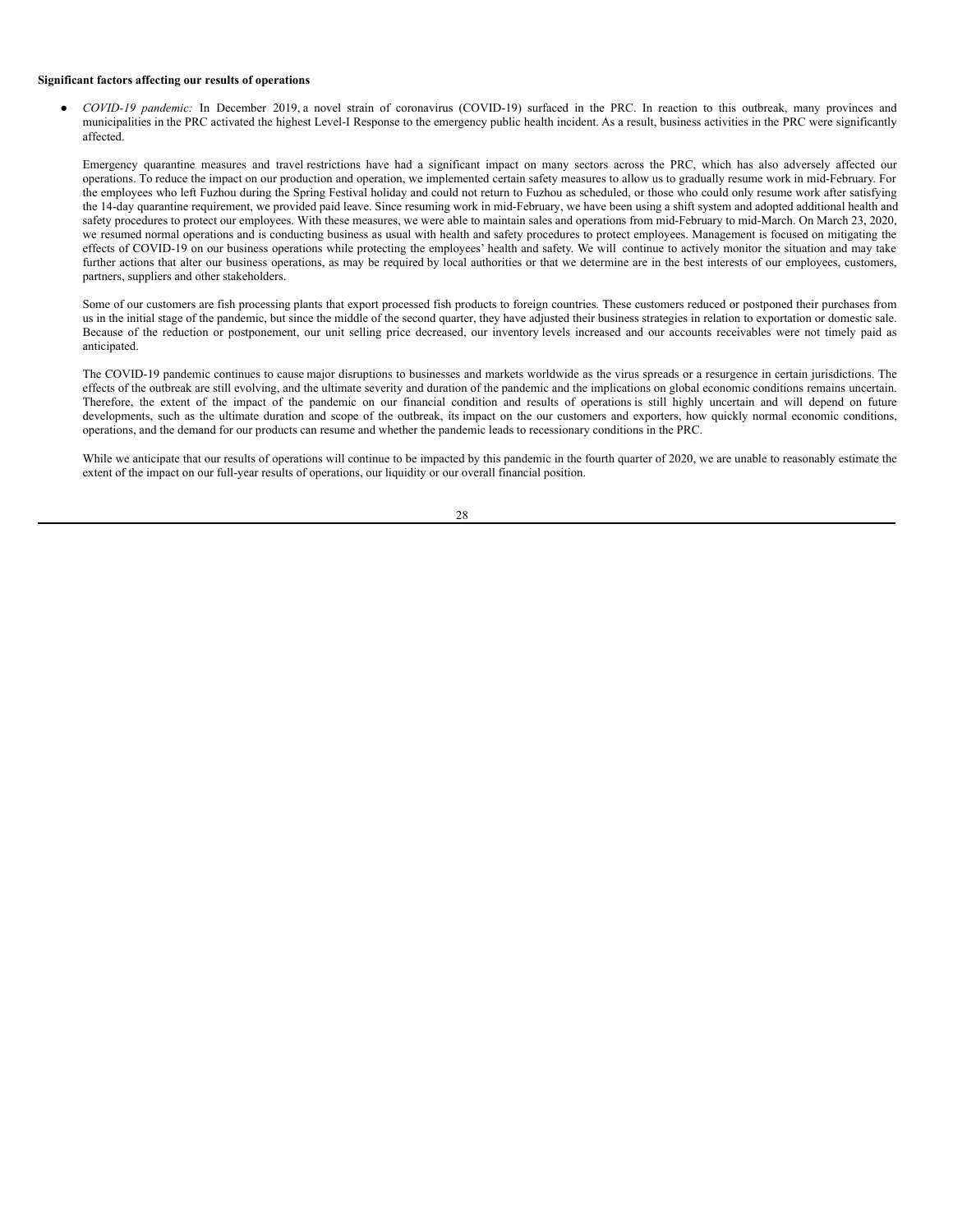#### **Significant factors affecting our results of operations**

● *COVID-19 pandemic:* In December 2019, a novel strain of coronavirus (COVID-19) surfaced in the PRC. In reaction to this outbreak, many provinces and municipalities in the PRC activated the highest Level-I Response to the emergency public health incident. As a result, business activities in the PRC were significantly affected.

Emergency quarantine measures and travel restrictions have had a significant impact on many sectors across the PRC, which has also adversely affected our operations. To reduce the impact on our production and operation, we implemented certain safety measures to allow us to gradually resume work in mid-February. For the employees who left Fuzhou during the Spring Festival holiday and could not return to Fuzhou as scheduled, or those who could only resume work after satisfying the 14-day quarantine requirement, we provided paid leave. Since resuming work in mid-February, we have been using a shift system and adopted additional health and safety procedures to protect our employees. With these measures, we were able to maintain sales and operations from mid-February to mid-March. On March 23, 2020, we resumed normal operations and is conducting business as usual with health and safety procedures to protect employees. Management is focused on mitigating the effects of COVID-19 on our business operations while protecting the employees' health and safety. We will continue to actively monitor the situation and may take further actions that alter our business operations, as may be required by local authorities or that we determine are in the best interests of our employees, customers, partners, suppliers and other stakeholders.

Some of our customers are fish processing plants that export processed fish products to foreign countries. These customers reduced or postponed their purchases from us in the initial stage of the pandemic, but since the middle of the second quarter, they have adjusted their business strategies in relation to exportation or domestic sale. Because of the reduction or postponement, our unit selling price decreased, our inventory levels increased and our accounts receivables were not timely paid as anticipated.

The COVID-19 pandemic continues to cause major disruptions to businesses and markets worldwide as the virus spreads or a resurgence in certain jurisdictions. The effects of the outbreak are still evolving, and the ultimate severity and duration of the pandemic and the implications on global economic conditions remains uncertain. Therefore, the extent of the impact of the pandemic on our financial condition and results of operations is still highly uncertain and will depend on future developments, such as the ultimate duration and scope of the outbreak, its impact on the our customers and exporters, how quickly normal economic conditions, operations, and the demand for our products can resume and whether the pandemic leads to recessionary conditions in the PRC.

While we anticipate that our results of operations will continue to be impacted by this pandemic in the fourth quarter of 2020, we are unable to reasonably estimate the extent of the impact on our full-year results of operations, our liquidity or our overall financial position.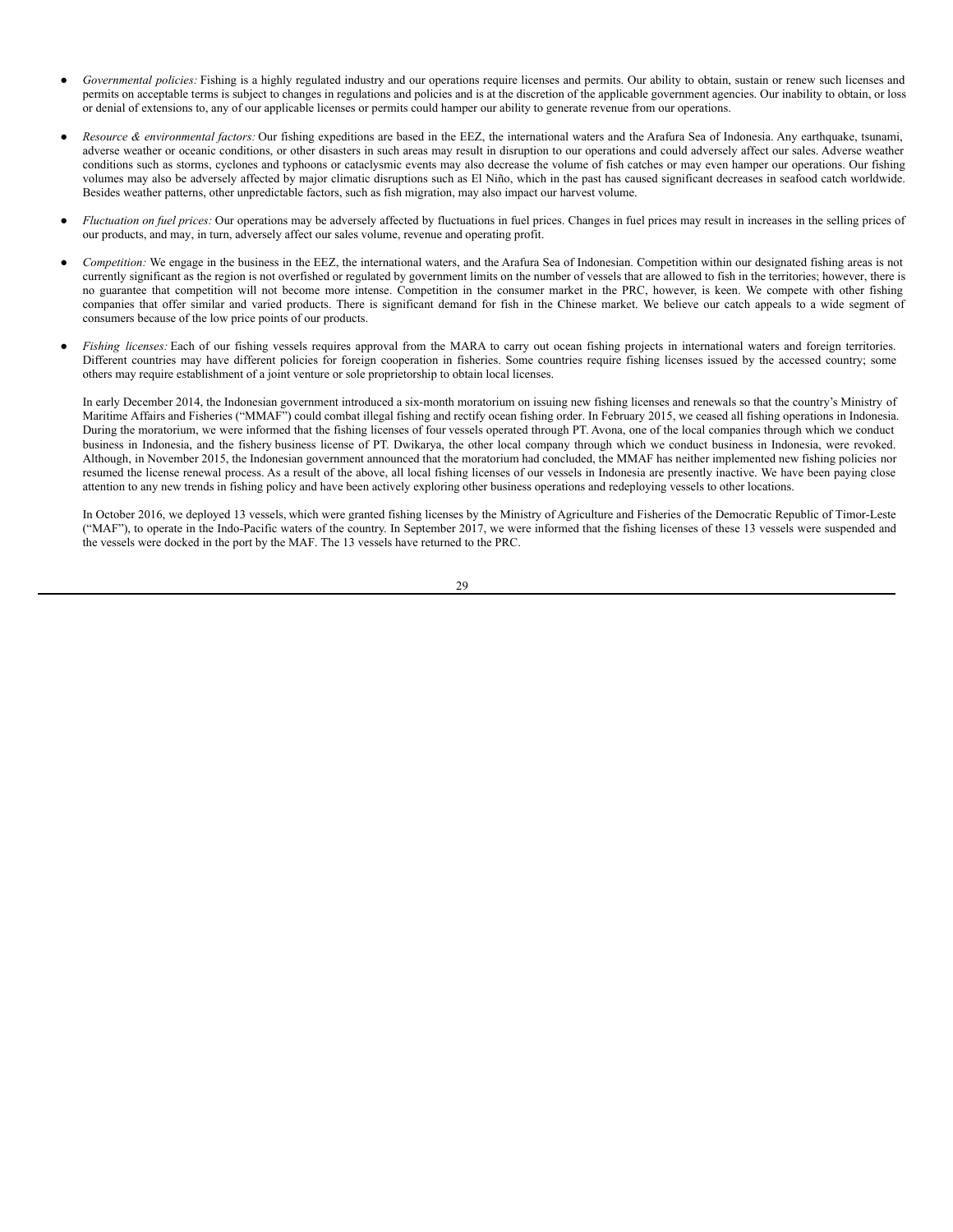- Governmental policies: Fishing is a highly regulated industry and our operations require licenses and permits. Our ability to obtain, sustain or renew such licenses and permits on acceptable terms is subject to changes in regulations and policies and is at the discretion of the applicable government agencies. Our inability to obtain, or loss or denial of extensions to, any of our applicable licenses or permits could hamper our ability to generate revenue from our operations.
- *Resource & environmental factors:* Our fishing expeditions are based in the EEZ, the international waters and the Arafura Sea of Indonesia. Any earthquake, tsunami, adverse weather or oceanic conditions, or other disasters in such areas may result in disruption to our operations and could adversely affect our sales. Adverse weather conditions such as storms, cyclones and typhoons or cataclysmic events may also decrease the volume of fish catches or may even hamper our operations. Our fishing volumes may also be adversely affected by major climatic disruptions such as El Niño, which in the past has caused significant decreases in seafood catch worldwide. Besides weather patterns, other unpredictable factors, such as fish migration, may also impact our harvest volume.
- *Fluctuation on fuel prices:* Our operations may be adversely affected by fluctuations in fuel prices. Changes in fuel prices may result in increases in the selling prices of our products, and may, in turn, adversely affect our sales volume, revenue and operating profit.
- *Competition:* We engage in the business in the EEZ, the international waters, and the Arafura Sea of Indonesian. Competition within our designated fishing areas is not currently significant as the region is not overfished or regulated by government limits on the number of vessels that are allowed to fish in the territories; however, there is no guarantee that competition will not become more intense. Competition in the consumer market in the PRC, however, is keen. We compete with other fishing companies that offer similar and varied products. There is significant demand for fish in the Chinese market. We believe our catch appeals to a wide segment of consumers because of the low price points of our products.
- Fishing licenses: Each of our fishing vessels requires approval from the MARA to carry out ocean fishing projects in international waters and foreign territories. Different countries may have different policies for foreign cooperation in fisheries. Some countries require fishing licenses issued by the accessed country; some others may require establishment of a joint venture or sole proprietorship to obtain local licenses.

In early December 2014, the Indonesian government introduced a six-month moratorium on issuing new fishing licenses and renewals so that the country's Ministry of Maritime Affairs and Fisheries ("MMAF") could combat illegal fishing and rectify ocean fishing order. In February 2015, we ceased all fishing operations in Indonesia. During the moratorium, we were informed that the fishing licenses of four vessels operated through PT. Avona, one of the local companies through which we conduct business in Indonesia, and the fishery business license of PT. Dwikarya, the other local company through which we conduct business in Indonesia, were revoked. Although, in November 2015, the Indonesian government announced that the moratorium had concluded, the MMAF has neither implemented new fishing policies nor resumed the license renewal process. As a result of the above, all local fishing licenses of our vessels in Indonesia are presently inactive. We have been paying close attention to any new trends in fishing policy and have been actively exploring other business operations and redeploying vessels to other locations.

In October 2016, we deployed 13 vessels, which were granted fishing licenses by the Ministry of Agriculture and Fisheries of the Democratic Republic of Timor-Leste ("MAF"), to operate in the Indo-Pacific waters of the country. In September 2017, we were informed that the fishing licenses of these 13 vessels were suspended and the vessels were docked in the port by the MAF. The 13 vessels have returned to the PRC.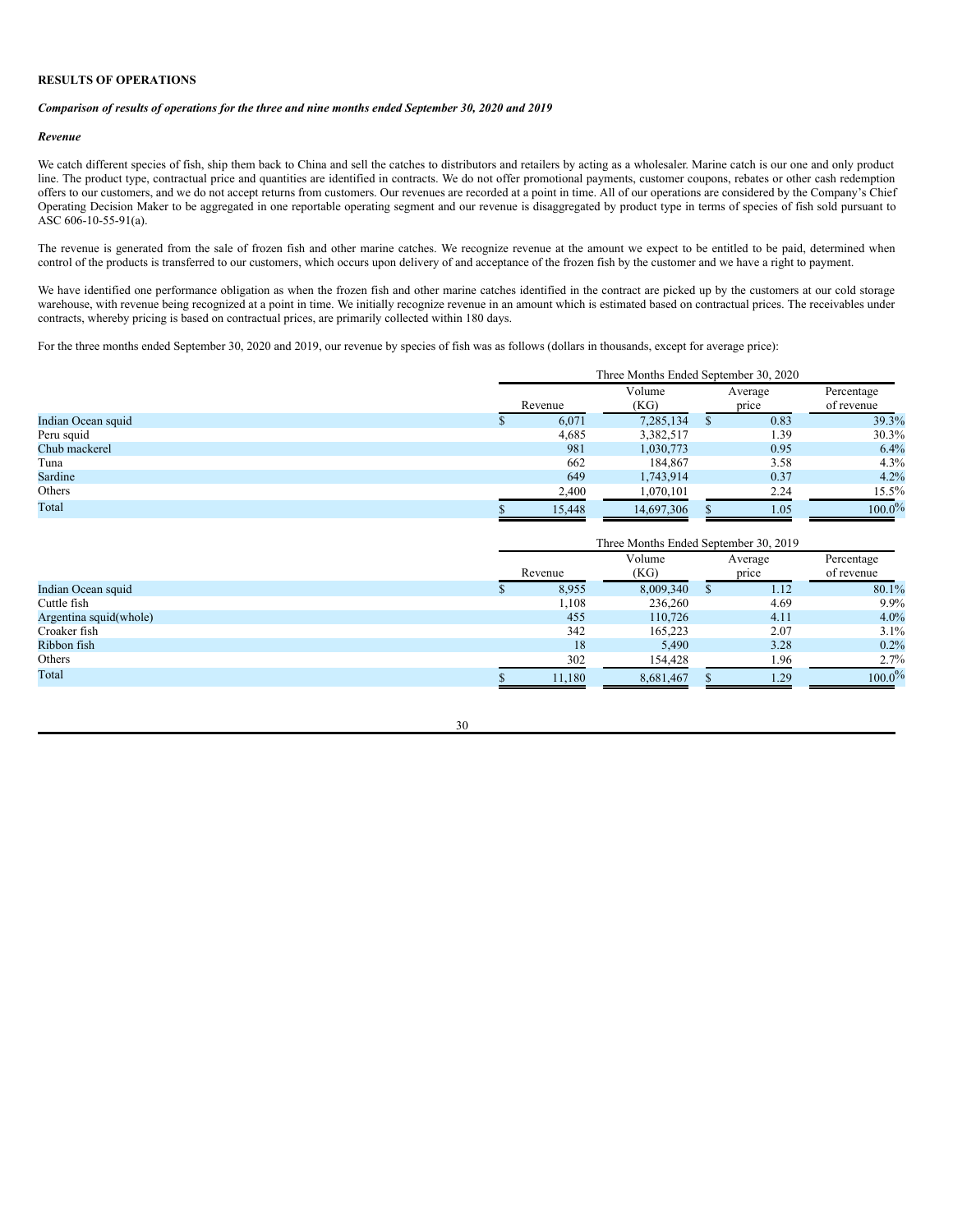# **RESULTS OF OPERATIONS**

# *Comparison of results of operations for the three and nine months ended September 30, 2020 and 2019*

#### *Revenue*

We catch different species of fish, ship them back to China and sell the catches to distributors and retailers by acting as a wholesaler. Marine catch is our one and only product line. The product type, contractual price and quantities are identified in contracts. We do not offer promotional payments, customer coupons, rebates or other cash redemption offers to our customers, and we do not accept returns from customers. Our revenues are recorded at a point in time. All of our operations are considered by the Company's Chief Operating Decision Maker to be aggregated in one reportable operating segment and our revenue is disaggregated by product type in terms of species of fish sold pursuant to ASC 606-10-55-91(a).

The revenue is generated from the sale of frozen fish and other marine catches. We recognize revenue at the amount we expect to be entitled to be paid, determined when control of the products is transferred to our customers, which occurs upon delivery of and acceptance of the frozen fish by the customer and we have a right to payment.

We have identified one performance obligation as when the frozen fish and other marine catches identified in the contract are picked up by the customers at our cold storage warehouse, with revenue being recognized at a point in time. We initially recognize revenue in an amount which is estimated based on contractual prices. The receivables under contracts, whereby pricing is based on contractual prices, are primarily collected within 180 days.

For the three months ended September 30, 2020 and 2019, our revenue by species of fish was as follows (dollars in thousands, except for average price):

|                    | Three Months Ended September 30, 2020 |            |   |                  |                          |  |  |
|--------------------|---------------------------------------|------------|---|------------------|--------------------------|--|--|
|                    | Volume<br>(KG)<br>Revenue             |            |   | Average<br>price | Percentage<br>of revenue |  |  |
| Indian Ocean squid | 6,071                                 | 7,285,134  | S | 0.83             | 39.3%                    |  |  |
| Peru squid         | 4,685                                 | 3,382,517  |   | 1.39             | 30.3%                    |  |  |
| Chub mackerel      | 981                                   | 1,030,773  |   | 0.95             | 6.4%                     |  |  |
| Tuna               | 662                                   | 184.867    |   | 3.58             | $4.3\%$                  |  |  |
| Sardine            | 649                                   | 1,743,914  |   | 0.37             | 4.2%                     |  |  |
| Others             | 2,400                                 | 1,070,101  |   | 2.24             | 15.5%                    |  |  |
| Total              | 15,448                                | 14,697,306 |   | 1.05             | $100.0\%$                |  |  |

|                        |  | Three Months Ended September 30, 2019 |                |                  |      |                          |  |  |  |  |
|------------------------|--|---------------------------------------|----------------|------------------|------|--------------------------|--|--|--|--|
|                        |  | Revenue                               | Volume<br>(KG) | Average<br>price |      | Percentage<br>of revenue |  |  |  |  |
| Indian Ocean squid     |  | 8,955                                 | 8,009,340      |                  | 1.12 | 80.1%                    |  |  |  |  |
| Cuttle fish            |  | 1,108                                 | 236,260        |                  | 4.69 | $9.9\%$                  |  |  |  |  |
| Argentina squid(whole) |  | 455                                   | 110,726        |                  | 4.11 | 4.0%                     |  |  |  |  |
| Croaker fish           |  | 342                                   | 165.223        |                  | 2.07 | $3.1\%$                  |  |  |  |  |
| Ribbon fish            |  | 18                                    | 5,490          |                  | 3.28 | 0.2%                     |  |  |  |  |
| Others                 |  | 302                                   | 154,428        |                  | 1.96 | 2.7%                     |  |  |  |  |
| Total                  |  | 11,180                                | 8,681,467      |                  | 1.29 | $100.0\%$                |  |  |  |  |

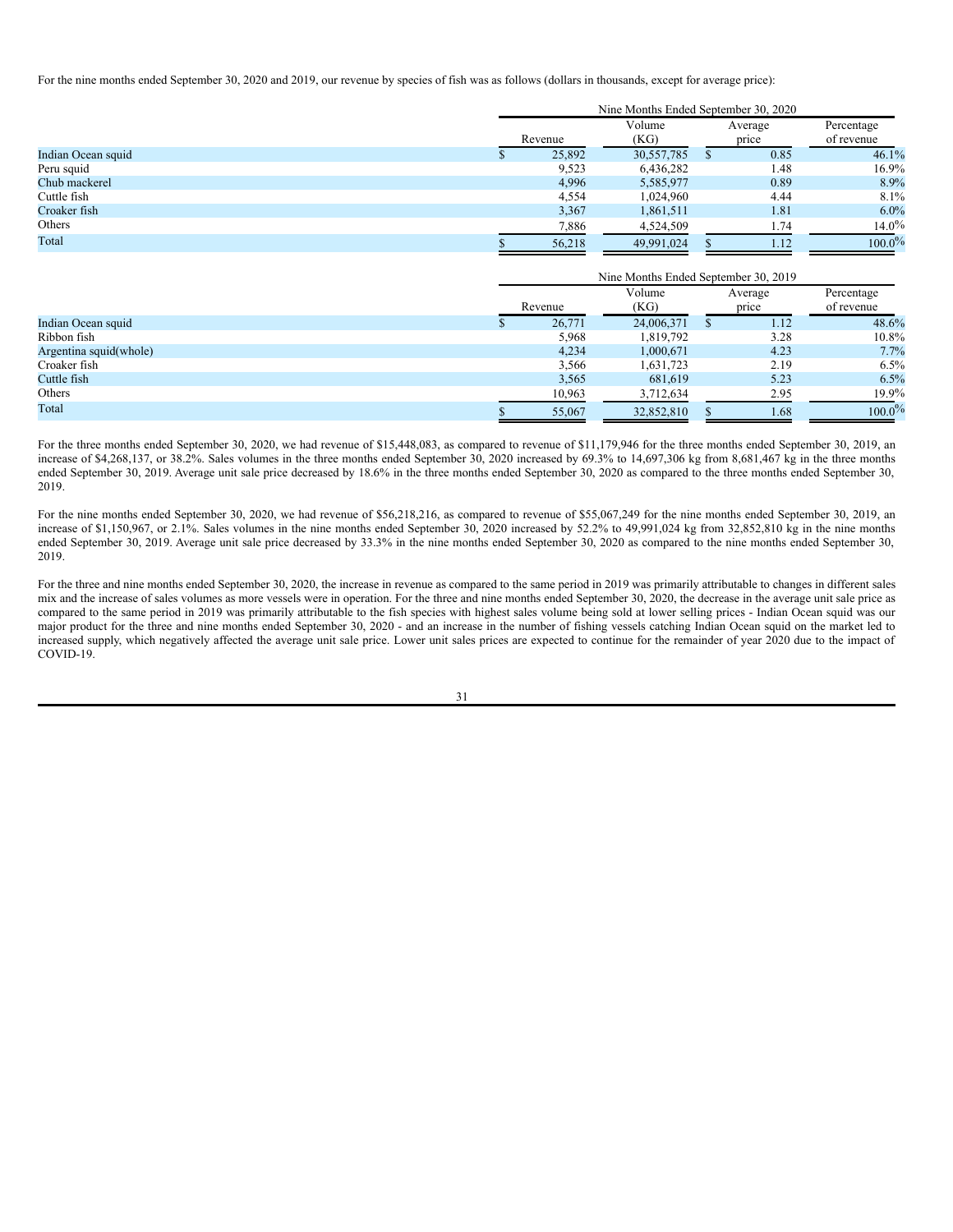For the nine months ended September 30, 2020 and 2019, our revenue by species of fish was as follows (dollars in thousands, except for average price):

|                    | Nine Months Ended September 30, 2020 |         |                |  |                  |                          |  |  |  |  |
|--------------------|--------------------------------------|---------|----------------|--|------------------|--------------------------|--|--|--|--|
|                    |                                      | Revenue | Volume<br>(KG) |  | Average<br>price | Percentage<br>of revenue |  |  |  |  |
| Indian Ocean squid |                                      | 25,892  | 30,557,785     |  | 0.85             | 46.1%                    |  |  |  |  |
| Peru squid         |                                      | 9,523   | 6,436,282      |  | 1.48             | 16.9%                    |  |  |  |  |
| Chub mackerel      |                                      | 4,996   | 5,585,977      |  | 0.89             | 8.9%                     |  |  |  |  |
| Cuttle fish        |                                      | 4,554   | 1,024,960      |  | 4.44             | 8.1%                     |  |  |  |  |
| Croaker fish       |                                      | 3,367   | 1,861,511      |  | 1.81             | $6.0\%$                  |  |  |  |  |
| Others             |                                      | 7,886   | 4,524,509      |  | 1.74             | 14.0%                    |  |  |  |  |
| Total              |                                      | 56,218  | 49,991,024     |  | 1.12             | $100.0\%$                |  |  |  |  |

|                        | Nine Months Ended September 30, 2019 |         |                |   |                  |                          |  |  |  |  |
|------------------------|--------------------------------------|---------|----------------|---|------------------|--------------------------|--|--|--|--|
|                        |                                      | Revenue | Volume<br>(KG) |   | Average<br>price | Percentage<br>of revenue |  |  |  |  |
| Indian Ocean squid     |                                      | 26,771  | 24,006,371     | ъ | 1.12             | 48.6%                    |  |  |  |  |
| Ribbon fish            |                                      | 5,968   | 1,819,792      |   | 3.28             | 10.8%                    |  |  |  |  |
| Argentina squid(whole) |                                      | 4.234   | 1,000.671      |   | 4.23             | 7.7%                     |  |  |  |  |
| Croaker fish           |                                      | 3,566   | 1,631,723      |   | 2.19             | 6.5%                     |  |  |  |  |
| Cuttle fish            |                                      | 3,565   | 681,619        |   | 5.23             | 6.5%                     |  |  |  |  |
| Others                 |                                      | 10,963  | 3,712,634      |   | 2.95             | 19.9%                    |  |  |  |  |
| Total                  |                                      | 55,067  | 32,852,810     |   | 1.68             | $100.0\%$                |  |  |  |  |

For the three months ended September 30, 2020, we had revenue of \$15,448,083, as compared to revenue of \$11,179,946 for the three months ended September 30, 2019, an increase of \$4,268,137, or 38.2%. Sales volumes in the three months ended September 30, 2020 increased by 69.3% to 14,697,306 kg from 8,681,467 kg in the three months ended September 30, 2019. Average unit sale price decreased by 18.6% in the three months ended September 30, 2020 as compared to the three months ended September 30, 2019.

For the nine months ended September 30, 2020, we had revenue of \$56,218,216, as compared to revenue of \$55,067,249 for the nine months ended September 30, 2019, an increase of \$1,150,967, or 2.1%. Sales volumes in the nine months ended September 30, 2020 increased by 52.2% to 49,991,024 kg from 32,852,810 kg in the nine months ended September 30, 2019. Average unit sale price decreased by 33.3% in the nine months ended September 30, 2020 as compared to the nine months ended September 30, 2019.

For the three and nine months ended September 30, 2020, the increase in revenue as compared to the same period in 2019 was primarily attributable to changes in different sales mix and the increase of sales volumes as more vessels were in operation. For the three and nine months ended September 30, 2020, the decrease in the average unit sale price as compared to the same period in 2019 was primarily attributable to the fish species with highest sales volume being sold at lower selling prices - Indian Ocean squid was our major product for the three and nine months ended September 30, 2020 - and an increase in the number of fishing vessels catching Indian Ocean squid on the market led to increased supply, which negatively affected the average unit sale price. Lower unit sales prices are expected to continue for the remainder of year 2020 due to the impact of COVID-19.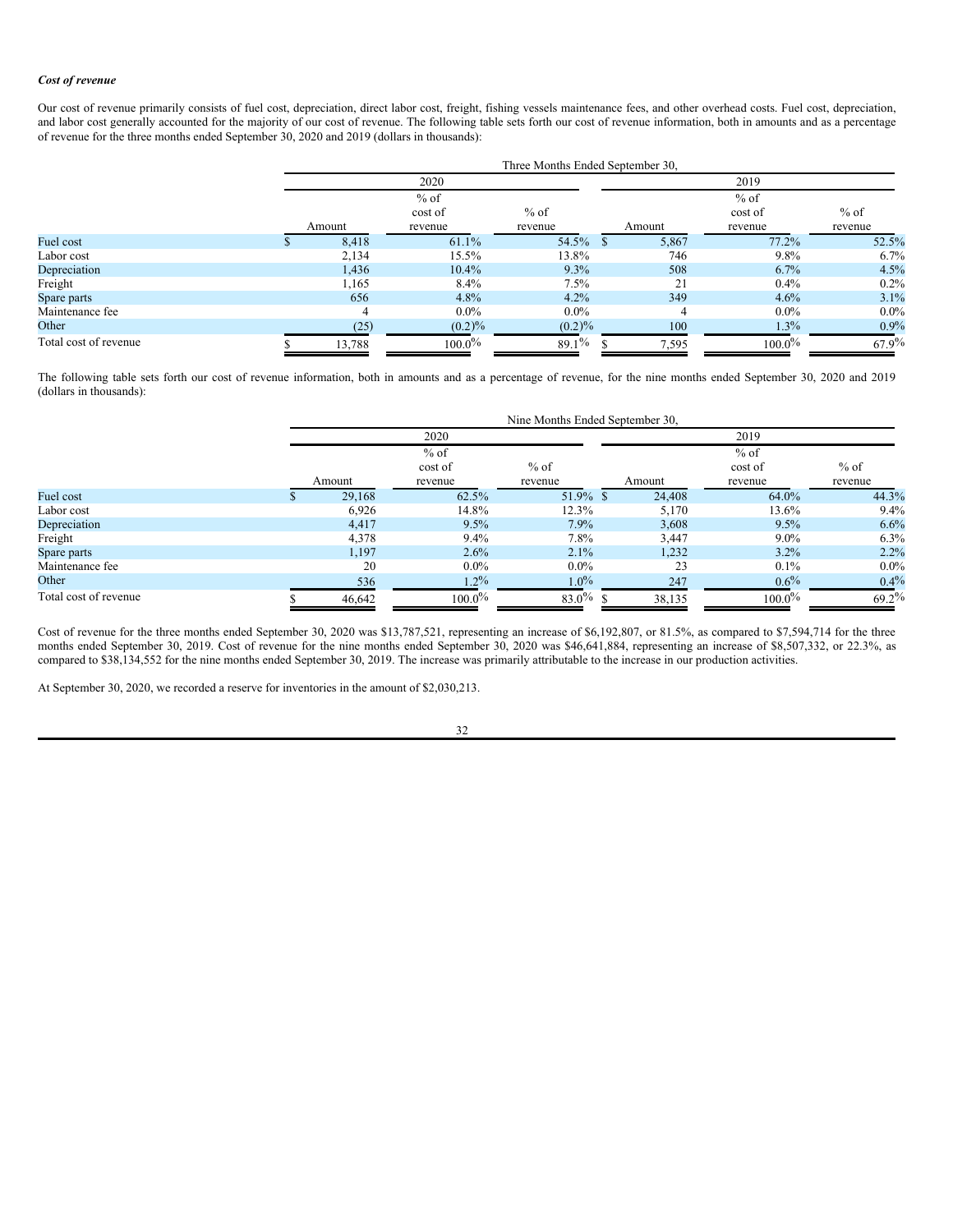#### *Cost of revenue*

Our cost of revenue primarily consists of fuel cost, depreciation, direct labor cost, freight, fishing vessels maintenance fees, and other overhead costs. Fuel cost, depreciation, and labor cost generally accounted for the majority of our cost of revenue. The following table sets forth our cost of revenue information, both in amounts and as a percentage of revenue for the three months ended September 30, 2020 and 2019 (dollars in thousands):

|                       |        |           | Three Months Ended September 30, |        |           |          |  |  |  |
|-----------------------|--------|-----------|----------------------------------|--------|-----------|----------|--|--|--|
|                       |        | 2020      |                                  |        | 2019      |          |  |  |  |
|                       |        | $%$ of    |                                  |        | $%$ of    |          |  |  |  |
|                       |        | cost of   | $%$ of                           |        | cost of   | $%$ of   |  |  |  |
|                       | Amount | revenue   | revenue                          | Amount | revenue   | revenue  |  |  |  |
| Fuel cost             | 8,418  | 61.1%     | 54.5% \$                         | 5,867  | 77.2%     | 52.5%    |  |  |  |
| Labor cost            | 2,134  | 15.5%     | 13.8%                            | 746    | 9.8%      | 6.7%     |  |  |  |
| Depreciation          | 1,436  | $10.4\%$  | $9.3\%$                          | 508    | 6.7%      | 4.5%     |  |  |  |
| Freight               | 1,165  | 8.4%      | $7.5\%$                          | 21     | 0.4%      | $0.2\%$  |  |  |  |
| Spare parts           | 656    | 4.8%      | $4.2\%$                          | 349    | 4.6%      | 3.1%     |  |  |  |
| Maintenance fee       |        | $0.0\%$   | $0.0\%$                          |        | $0.0\%$   | $0.0\%$  |  |  |  |
| Other                 | (25)   | $(0.2)\%$ | (0.2)%                           | 100    | 1.3%      | 0.9%     |  |  |  |
| Total cost of revenue | 13,788 | $100.0\%$ | $89.1\%$                         | 7,595  | $100.0\%$ | $67.9\%$ |  |  |  |

The following table sets forth our cost of revenue information, both in amounts and as a percentage of revenue, for the nine months ended September 30, 2020 and 2019 (dollars in thousands):

|                       |        |           | Nine Months Ended September 30, |        |           |          |
|-----------------------|--------|-----------|---------------------------------|--------|-----------|----------|
|                       |        | 2020      |                                 |        |           |          |
|                       |        | $%$ of    |                                 |        | $%$ of    |          |
|                       |        | cost of   | $%$ of                          |        | cost of   | $%$ of   |
|                       | Amount | revenue   | revenue                         | Amount | revenue   | revenue  |
| Fuel cost             | 29,168 | 62.5%     | $51.9\%$ \$                     | 24,408 | 64.0%     | 44.3%    |
| Labor cost            | 6,926  | 14.8%     | 12.3%                           | 5,170  | 13.6%     | $9.4\%$  |
| Depreciation          | 4,417  | 9.5%      | 7.9%                            | 3,608  | 9.5%      | 6.6%     |
| Freight               | 4,378  | 9.4%      | $7.8\%$                         | 3,447  | $9.0\%$   | 6.3%     |
| Spare parts           | 1,197  | 2.6%      | $2.1\%$                         | 1,232  | 3.2%      | 2.2%     |
| Maintenance fee       | 20     | $0.0\%$   | $0.0\%$                         | 23     | $0.1\%$   | $0.0\%$  |
| Other                 | 536    | $1.2\%$   | $1.0\%$                         | 247    | $0.6\%$   | $0.4\%$  |
| Total cost of revenue | 46,642 | $100.0\%$ | $83.0\%$ \$                     | 38,135 | $100.0\%$ | $69.2\%$ |

Cost of revenue for the three months ended September 30, 2020 was \$13,787,521, representing an increase of \$6,192,807, or 81.5%, as compared to \$7,594,714 for the three months ended September 30, 2019. Cost of revenue for the nine months ended September 30, 2020 was \$46,641,884, representing an increase of \$8,507,332, or 22.3%, as compared to \$38,134,552 for the nine months ended September 30, 2019. The increase was primarily attributable to the increase in our production activities.

At September 30, 2020, we recorded a reserve for inventories in the amount of \$2,030,213.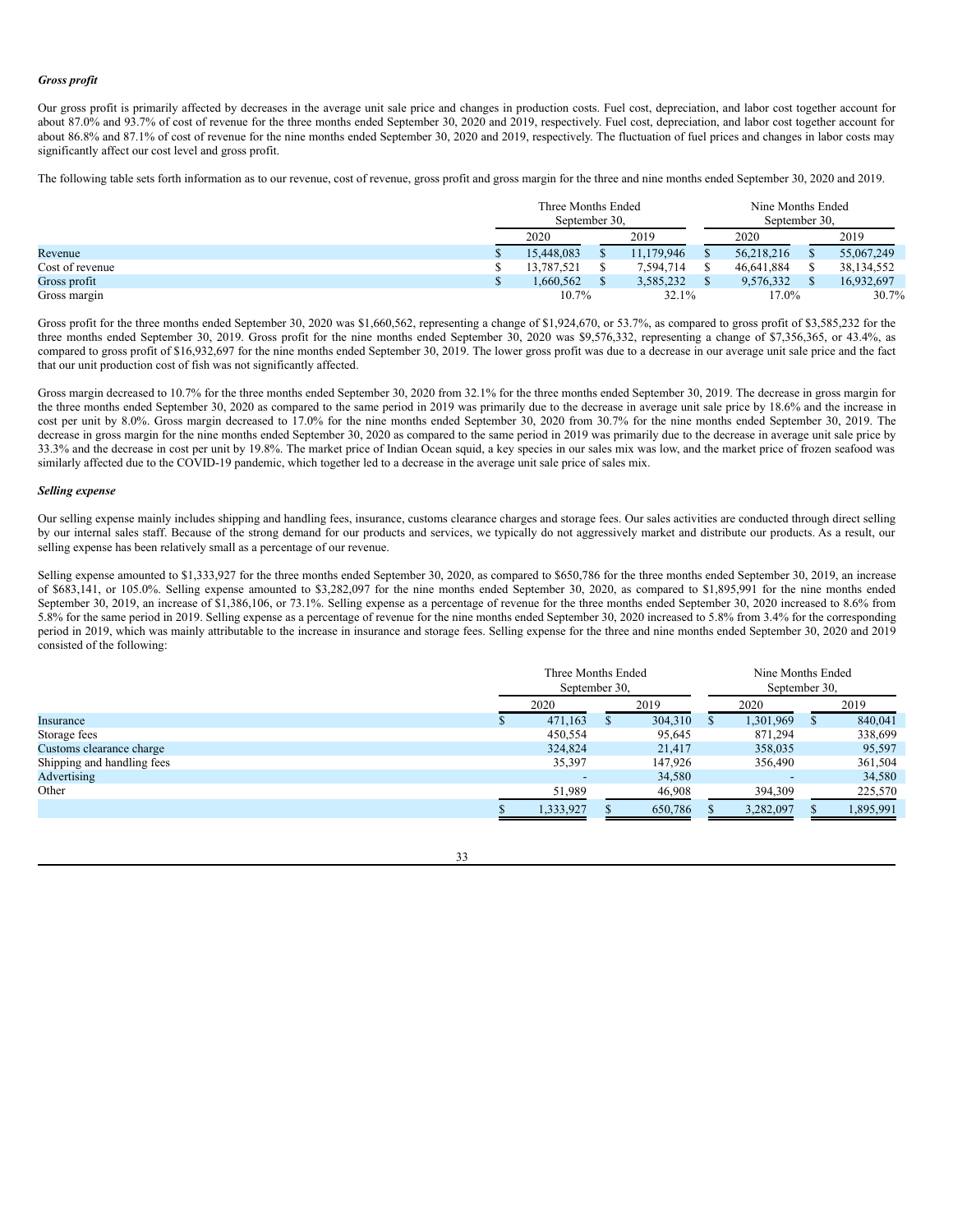#### *Gross profit*

Our gross profit is primarily affected by decreases in the average unit sale price and changes in production costs. Fuel cost, depreciation, and labor cost together account for about 87.0% and 93.7% of cost of revenue for the three months ended September 30, 2020 and 2019, respectively. Fuel cost, depreciation, and labor cost together account for about 86.8% and 87.1% of cost of revenue for the nine months ended September 30, 2020 and 2019, respectively. The fluctuation of fuel prices and changes in labor costs may significantly affect our cost level and gross profit.

The following table sets forth information as to our revenue, cost of revenue, gross profit and gross margin for the three and nine months ended September 30, 2020 and 2019.

|                 |    | Three Months Ended<br>September 30. |  |            |  | Nine Months Ended<br>September 30. |  |            |
|-----------------|----|-------------------------------------|--|------------|--|------------------------------------|--|------------|
|                 |    | 2020                                |  | 2019       |  | 2020                               |  | 2019       |
| Revenue         |    | 15,448,083                          |  | 11.179.946 |  | 56,218,216                         |  | 55,067,249 |
| Cost of revenue |    | 13.787.521                          |  | 7.594.714  |  | 46.641.884                         |  | 38,134,552 |
| Gross profit    | .n | 1.660.562                           |  | 3,585,232  |  | 9,576,332                          |  | 16,932,697 |
| Gross margin    |    | $10.7\%$                            |  | 32.1%      |  | 17.0%                              |  | 30.7%      |

Gross profit for the three months ended September 30, 2020 was \$1,660,562, representing a change of \$1,924,670, or 53.7%, as compared to gross profit of \$3,585,232 for the three months ended September 30, 2019. Gross profit for the nine months ended September 30, 2020 was \$9,576,332, representing a change of \$7,356,365, or 43.4%, as compared to gross profit of \$16,932,697 for the nine months ended September 30, 2019. The lower gross profit was due to a decrease in our average unit sale price and the fact that our unit production cost of fish was not significantly affected.

Gross margin decreased to 10.7% for the three months ended September 30, 2020 from 32.1% for the three months ended September 30, 2019. The decrease in gross margin for the three months ended September 30, 2020 as compared to the same period in 2019 was primarily due to the decrease in average unit sale price by 18.6% and the increase in cost per unit by 8.0%. Gross margin decreased to 17.0% for the nine months ended September 30, 2020 from 30.7% for the nine months ended September 30, 2019. The decrease in gross margin for the nine months ended September 30, 2020 as compared to the same period in 2019 was primarily due to the decrease in average unit sale price by 33.3% and the decrease in cost per unit by 19.8%. The market price of Indian Ocean squid, a key species in our sales mix was low, and the market price of frozen seafood was similarly affected due to the COVID-19 pandemic, which together led to a decrease in the average unit sale price of sales mix.

#### *Selling expense*

Our selling expense mainly includes shipping and handling fees, insurance, customs clearance charges and storage fees. Our sales activities are conducted through direct selling by our internal sales staff. Because of the strong demand for our products and services, we typically do not aggressively market and distribute our products. As a result, our selling expense has been relatively small as a percentage of our revenue.

Selling expense amounted to \$1,333,927 for the three months ended September 30, 2020, as compared to \$650,786 for the three months ended September 30, 2019, an increase of \$683,141, or 105.0%. Selling expense amounted to \$3,282,097 for the nine months ended September 30, 2020, as compared to \$1,895,991 for the nine months ended September 30, 2019, an increase of \$1,386,106, or 73.1%. Selling expense as a percentage of revenue for the three months ended September 30, 2020 increased to 8.6% from 5.8% for the same period in 2019. Selling expense as a percentage of revenue for the nine months ended September 30, 2020 increased to 5.8% from 3.4% for the corresponding period in 2019, which was mainly attributable to the increase in insurance and storage fees. Selling expense for the three and nine months ended September 30, 2020 and 2019 consisted of the following:

|                            | Three Months Ended<br>September 30, |   |         |  | Nine Months Ended<br>September 30. |    |           |  |
|----------------------------|-------------------------------------|---|---------|--|------------------------------------|----|-----------|--|
|                            | 2020                                |   | 2019    |  | 2020                               |    | 2019      |  |
| Insurance                  | 471.163                             | D | 304,310 |  | 1,301,969                          | Ъ. | 840,041   |  |
| Storage fees               | 450,554                             |   | 95,645  |  | 871,294                            |    | 338,699   |  |
| Customs clearance charge   | 324,824                             |   | 21.417  |  | 358,035                            |    | 95,597    |  |
| Shipping and handling fees | 35,397                              |   | 147.926 |  | 356,490                            |    | 361,504   |  |
| Advertising                |                                     |   | 34,580  |  | -                                  |    | 34,580    |  |
| Other                      | 51,989                              |   | 46,908  |  | 394,309                            |    | 225,570   |  |
|                            | 1,333,927                           |   | 650,786 |  | 3,282,097                          |    | 1,895,991 |  |

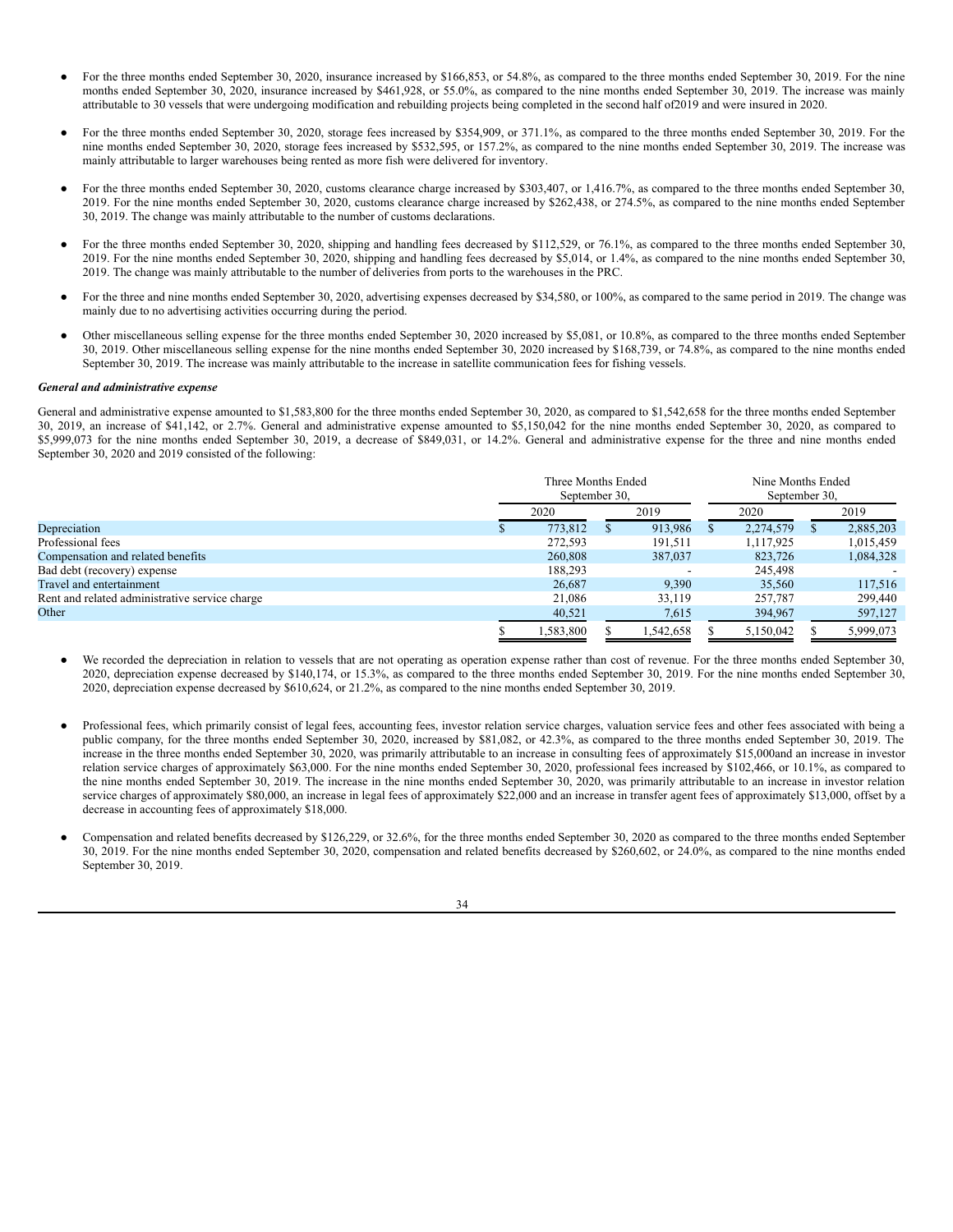- For the three months ended September 30, 2020, insurance increased by \$166,853, or 54.8%, as compared to the three months ended September 30, 2019. For the nine months ended September 30, 2020, insurance increased by \$461,928, or 55.0%, as compared to the nine months ended September 30, 2019. The increase was mainly attributable to 30 vessels that were undergoing modification and rebuilding projects being completed in the second half of2019 and were insured in 2020.
- For the three months ended September 30, 2020, storage fees increased by \$354,909, or 371.1%, as compared to the three months ended September 30, 2019. For the nine months ended September 30, 2020, storage fees increased by \$532,595, or 157.2%, as compared to the nine months ended September 30, 2019. The increase was mainly attributable to larger warehouses being rented as more fish were delivered for inventory.
- For the three months ended September 30, 2020, customs clearance charge increased by \$303,407, or 1,416.7%, as compared to the three months ended September 30, 2019. For the nine months ended September 30, 2020, customs clearance charge increased by \$262,438, or 274.5%, as compared to the nine months ended September 30, 2019. The change was mainly attributable to the number of customs declarations.
- For the three months ended September 30, 2020, shipping and handling fees decreased by \$112,529, or 76.1%, as compared to the three months ended September 30, 2019. For the nine months ended September 30, 2020, shipping and handling fees decreased by \$5,014, or 1.4%, as compared to the nine months ended September 30, 2019. The change was mainly attributable to the number of deliveries from ports to the warehouses in the PRC.
- For the three and nine months ended September 30, 2020, advertising expenses decreased by \$34,580, or 100%, as compared to the same period in 2019. The change was mainly due to no advertising activities occurring during the period.
- Other miscellaneous selling expense for the three months ended September 30, 2020 increased by \$5,081, or 10.8%, as compared to the three months ended September 30, 2019. Other miscellaneous selling expense for the nine months ended September 30, 2020 increased by \$168,739, or 74.8%, as compared to the nine months ended September 30, 2019. The increase was mainly attributable to the increase in satellite communication fees for fishing vessels.

#### *General and administrative expense*

General and administrative expense amounted to \$1,583,800 for the three months ended September 30, 2020, as compared to \$1,542,658 for the three months ended September 30, 2019, an increase of \$41,142, or 2.7%. General and administrative expense amounted to \$5,150,042 for the nine months ended September 30, 2020, as compared to \$5,999,073 for the nine months ended September 30, 2019, a decrease of \$849,031, or 14.2%. General and administrative expense for the three and nine months ended September 30, 2020 and 2019 consisted of the following:

|                                                | Three Months Ended<br>September 30, |  |          |  | Nine Months Ended<br>September 30, |  |           |  |
|------------------------------------------------|-------------------------------------|--|----------|--|------------------------------------|--|-----------|--|
|                                                | 2020                                |  | 2019     |  | 2020                               |  | 2019      |  |
| Depreciation                                   | 773,812                             |  | 913,986  |  | 2,274,579                          |  | 2,885,203 |  |
| Professional fees                              | 272,593                             |  | 191,511  |  | 1,117,925                          |  | 1,015,459 |  |
| Compensation and related benefits              | 260,808                             |  | 387,037  |  | 823,726                            |  | 1,084,328 |  |
| Bad debt (recovery) expense                    | 188,293                             |  |          |  | 245,498                            |  |           |  |
| Travel and entertainment                       | 26,687                              |  | 9,390    |  | 35,560                             |  | 117,516   |  |
| Rent and related administrative service charge | 21,086                              |  | 33,119   |  | 257,787                            |  | 299,440   |  |
| Other                                          | 40,521                              |  | 7,615    |  | 394,967                            |  | 597,127   |  |
|                                                | 1,583,800                           |  | 542,658. |  | 5,150,042                          |  | 5,999,073 |  |

- We recorded the depreciation in relation to vessels that are not operating as operation expense rather than cost of revenue. For the three months ended September 30, 2020, depreciation expense decreased by \$140,174, or 15.3%, as compared to the three months ended September 30, 2019. For the nine months ended September 30, 2020, depreciation expense decreased by \$610,624, or 21.2%, as compared to the nine months ended September 30, 2019.
- Professional fees, which primarily consist of legal fees, accounting fees, investor relation service charges, valuation service fees and other fees associated with being a public company, for the three months ended September 30, 2020, increased by \$81,082, or 42.3%, as compared to the three months ended September 30, 2019. The increase in the three months ended September 30, 2020, was primarily attributable to an increase in consulting fees of approximately \$15,000and an increase in investor relation service charges of approximately \$63,000. For the nine months ended September 30, 2020, professional fees increased by \$102,466, or 10.1%, as compared to the nine months ended September 30, 2019. The increase in the nine months ended September 30, 2020, was primarily attributable to an increase in investor relation service charges of approximately \$80,000, an increase in legal fees of approximately \$22,000 and an increase in transfer agent fees of approximately \$13,000, offset by a decrease in accounting fees of approximately \$18,000.
- Compensation and related benefits decreased by \$126,229, or 32.6%, for the three months ended September 30, 2020 as compared to the three months ended September 30, 2019. For the nine months ended September 30, 2020, compensation and related benefits decreased by \$260,602, or 24.0%, as compared to the nine months ended September 30, 2019.

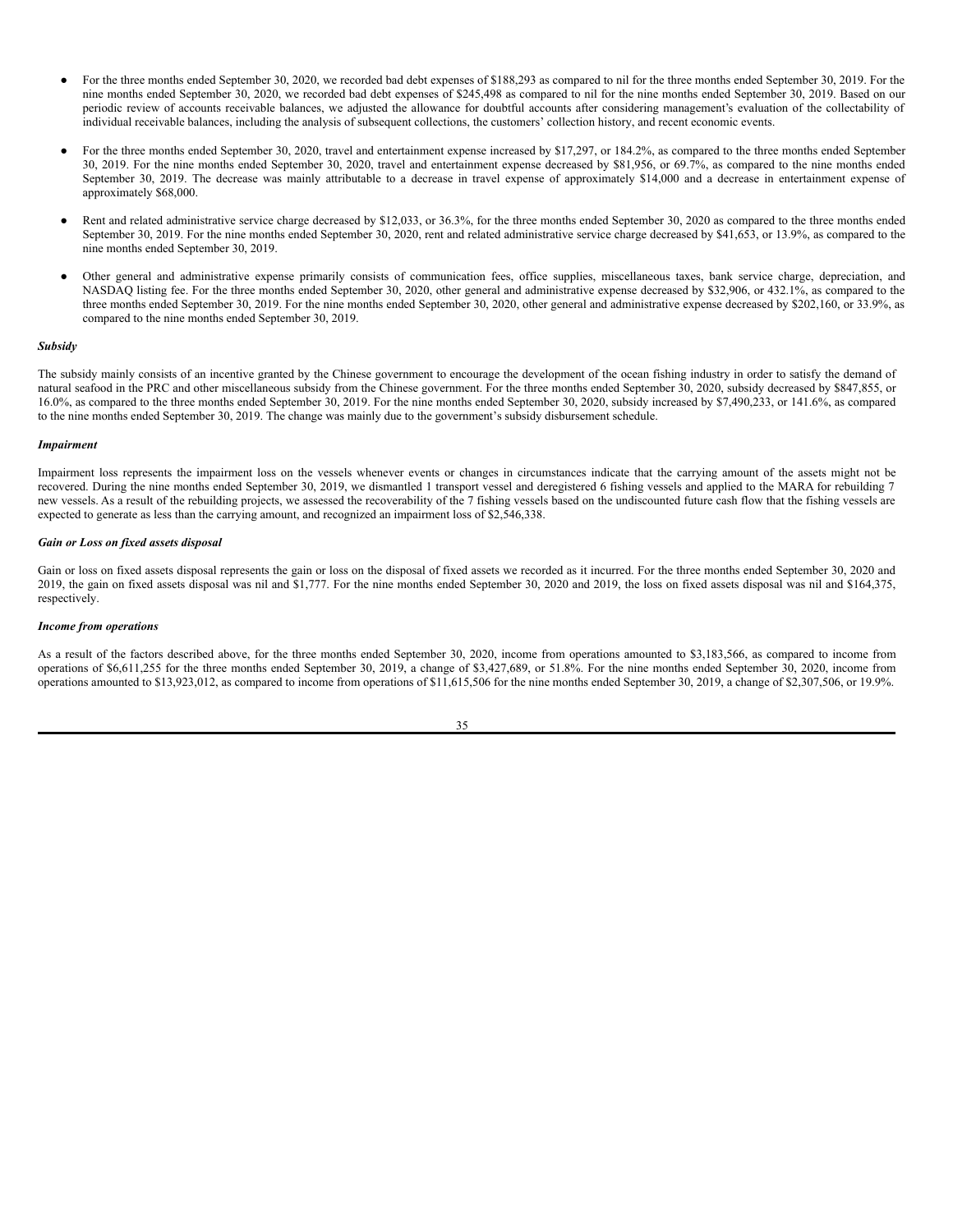- For the three months ended September 30, 2020, we recorded bad debt expenses of \$188,293 as compared to nil for the three months ended September 30, 2019. For the nine months ended September 30, 2020, we recorded bad debt expenses of \$245,498 as compared to nil for the nine months ended September 30, 2019. Based on our periodic review of accounts receivable balances, we adjusted the allowance for doubtful accounts after considering management's evaluation of the collectability of individual receivable balances, including the analysis of subsequent collections, the customers' collection history, and recent economic events.
- For the three months ended September 30, 2020, travel and entertainment expense increased by \$17,297, or 184.2%, as compared to the three months ended September 30, 2019. For the nine months ended September 30, 2020, travel and entertainment expense decreased by \$81,956, or 69.7%, as compared to the nine months ended September 30, 2019. The decrease was mainly attributable to a decrease in travel expense of approximately \$14,000 and a decrease in entertainment expense of approximately \$68,000.
- Rent and related administrative service charge decreased by \$12,033, or 36.3%, for the three months ended September 30, 2020 as compared to the three months ended September 30, 2019. For the nine months ended September 30, 2020, rent and related administrative service charge decreased by \$41,653, or 13.9%, as compared to the nine months ended September 30, 2019.
- Other general and administrative expense primarily consists of communication fees, office supplies, miscellaneous taxes, bank service charge, depreciation, and NASDAQ listing fee. For the three months ended September 30, 2020, other general and administrative expense decreased by \$32,906, or 432.1%, as compared to the three months ended September 30, 2019. For the nine months ended September 30, 2020, other general and administrative expense decreased by \$202,160, or 33.9%, as compared to the nine months ended September 30, 2019.

#### *Subsidy*

The subsidy mainly consists of an incentive granted by the Chinese government to encourage the development of the ocean fishing industry in order to satisfy the demand of natural seafood in the PRC and other miscellaneous subsidy from the Chinese government. For the three months ended September 30, 2020, subsidy decreased by \$847,855, or 16.0%, as compared to the three months ended September 30, 2019. For the nine months ended September 30, 2020, subsidy increased by \$7,490,233, or 141.6%, as compared to the nine months ended September 30, 2019. The change was mainly due to the government's subsidy disbursement schedule.

#### *Impairment*

Impairment loss represents the impairment loss on the vessels whenever events or changes in circumstances indicate that the carrying amount of the assets might not be recovered. During the nine months ended September 30, 2019, we dismantled 1 transport vessel and deregistered 6 fishing vessels and applied to the MARA for rebuilding 7 new vessels. As a result of the rebuilding projects, we assessed the recoverability of the 7 fishing vessels based on the undiscounted future cash flow that the fishing vessels are expected to generate as less than the carrying amount, and recognized an impairment loss of \$2,546,338.

#### *Gain or Loss on fixed assets disposal*

Gain or loss on fixed assets disposal represents the gain or loss on the disposal of fixed assets we recorded as it incurred. For the three months ended September 30, 2020 and 2019, the gain on fixed assets disposal was nil and \$1,777. For the nine months ended September 30, 2020 and 2019, the loss on fixed assets disposal was nil and \$164,375, respectively.

### *Income from operations*

As a result of the factors described above, for the three months ended September 30, 2020, income from operations amounted to \$3,183,566, as compared to income from operations of \$6,611,255 for the three months ended September 30, 2019, a change of \$3,427,689, or 51.8%. For the nine months ended September 30, 2020, income from operations amounted to \$13,923,012, as compared to income from operations of \$11,615,506 for the nine months ended September 30, 2019, a change of \$2,307,506, or 19.9%.

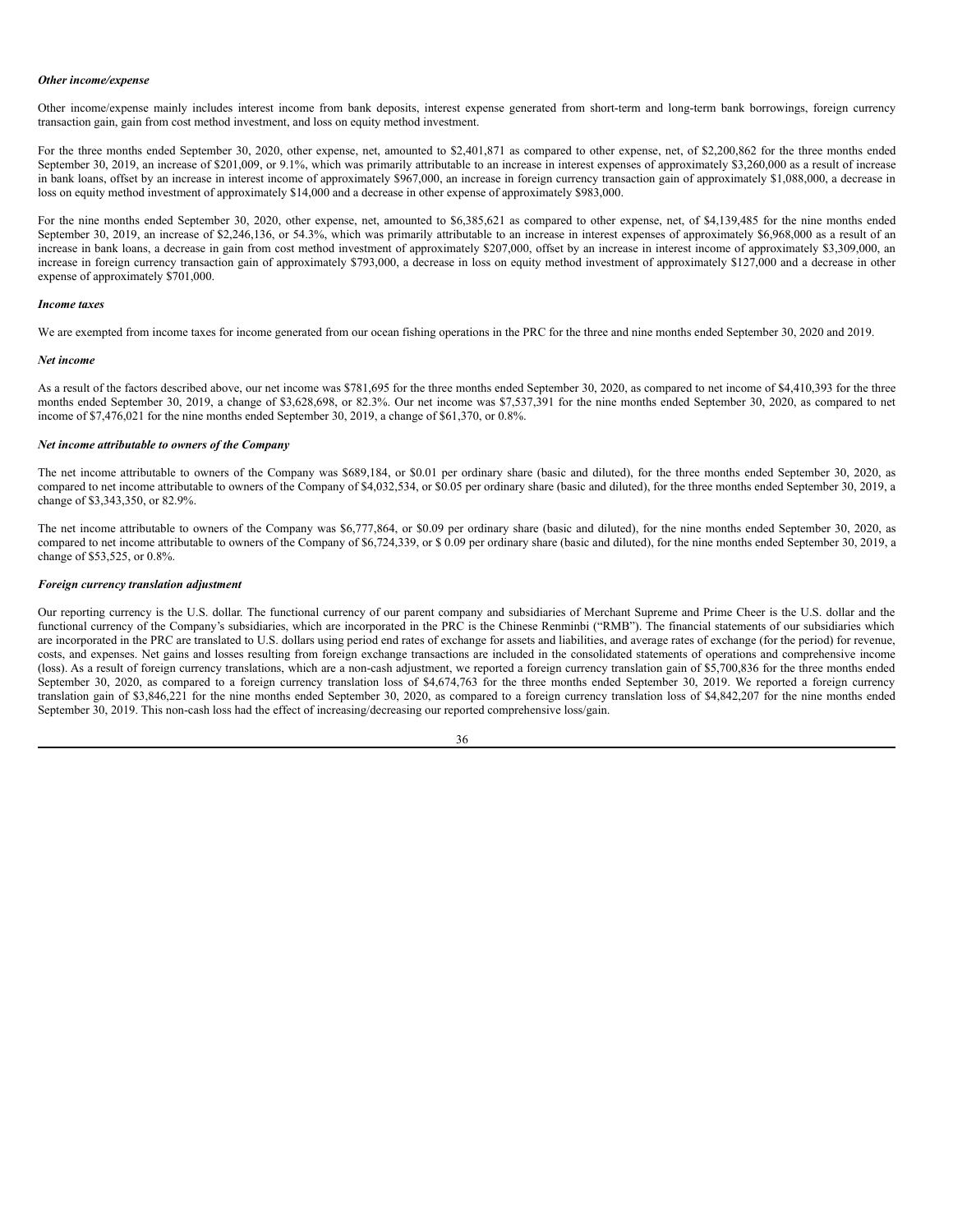#### *Other income/expense*

Other income/expense mainly includes interest income from bank deposits, interest expense generated from short-term and long-term bank borrowings, foreign currency transaction gain, gain from cost method investment, and loss on equity method investment.

For the three months ended September 30, 2020, other expense, net, amounted to \$2,401,871 as compared to other expense, net, of \$2,200,862 for the three months ended September 30, 2019, an increase of \$201,009, or 9.1%, which was primarily attributable to an increase in interest expenses of approximately \$3,260,000 as a result of increase in bank loans, offset by an increase in interest income of approximately \$967,000, an increase in foreign currency transaction gain of approximately \$1,088,000, a decrease in loss on equity method investment of approximately \$14,000 and a decrease in other expense of approximately \$983,000.

For the nine months ended September 30, 2020, other expense, net, amounted to \$6,385,621 as compared to other expense, net, of \$4,139,485 for the nine months ended September 30, 2019, an increase of \$2,246,136, or 54.3%, which was primarily attributable to an increase in interest expenses of approximately \$6,968,000 as a result of an increase in bank loans, a decrease in gain from cost method investment of approximately \$207,000, offset by an increase in interest income of approximately \$3,309,000, an increase in foreign currency transaction gain of approximately \$793,000, a decrease in loss on equity method investment of approximately \$127,000 and a decrease in other expense of approximately \$701,000.

#### *Income taxes*

We are exempted from income taxes for income generated from our ocean fishing operations in the PRC for the three and nine months ended September 30, 2020 and 2019.

#### *Net income*

As a result of the factors described above, our net income was \$781,695 for the three months ended September 30, 2020, as compared to net income of \$4,410,393 for the three months ended September 30, 2019, a change of \$3,628,698, or 82.3%. Our net income was \$7,537,391 for the nine months ended September 30, 2020, as compared to net income of \$7,476,021 for the nine months ended September 30, 2019, a change of \$61,370, or 0.8%.

#### *Net income attributable to owners of the Company*

The net income attributable to owners of the Company was \$689,184, or \$0.01 per ordinary share (basic and diluted), for the three months ended September 30, 2020, as compared to net income attributable to owners of the Company of \$4,032,534, or \$0.05 per ordinary share (basic and diluted), for the three months ended September 30, 2019, a change of \$3,343,350, or 82.9%.

The net income attributable to owners of the Company was \$6,777,864, or \$0.09 per ordinary share (basic and diluted), for the nine months ended September 30, 2020, as compared to net income attributable to owners of the Company of \$6,724,339, or \$ 0.09 per ordinary share (basic and diluted), for the nine months ended September 30, 2019, a change of \$53,525, or 0.8%.

#### *Foreign currency translation adjustment*

Our reporting currency is the U.S. dollar. The functional currency of our parent company and subsidiaries of Merchant Supreme and Prime Cheer is the U.S. dollar and the functional currency of the Company's subsidiaries, which are incorporated in the PRC is the Chinese Renminbi ("RMB"). The financial statements of our subsidiaries which are incorporated in the PRC are translated to U.S. dollars using period end rates of exchange for assets and liabilities, and average rates of exchange (for the period) for revenue, costs, and expenses. Net gains and losses resulting from foreign exchange transactions are included in the consolidated statements of operations and comprehensive income (loss). As a result of foreign currency translations, which are a non-cash adjustment, we reported a foreign currency translation gain of \$5,700,836 for the three months ended September 30, 2020, as compared to a foreign currency translation loss of \$4,674,763 for the three months ended September 30, 2019. We reported a foreign currency translation gain of \$3,846,221 for the nine months ended September 30, 2020, as compared to a foreign currency translation loss of \$4,842,207 for the nine months ended September 30, 2019. This non-cash loss had the effect of increasing/decreasing our reported comprehensive loss/gain.

| I<br>I<br>× | i<br>I<br>×<br>٧ |  |
|-------------|------------------|--|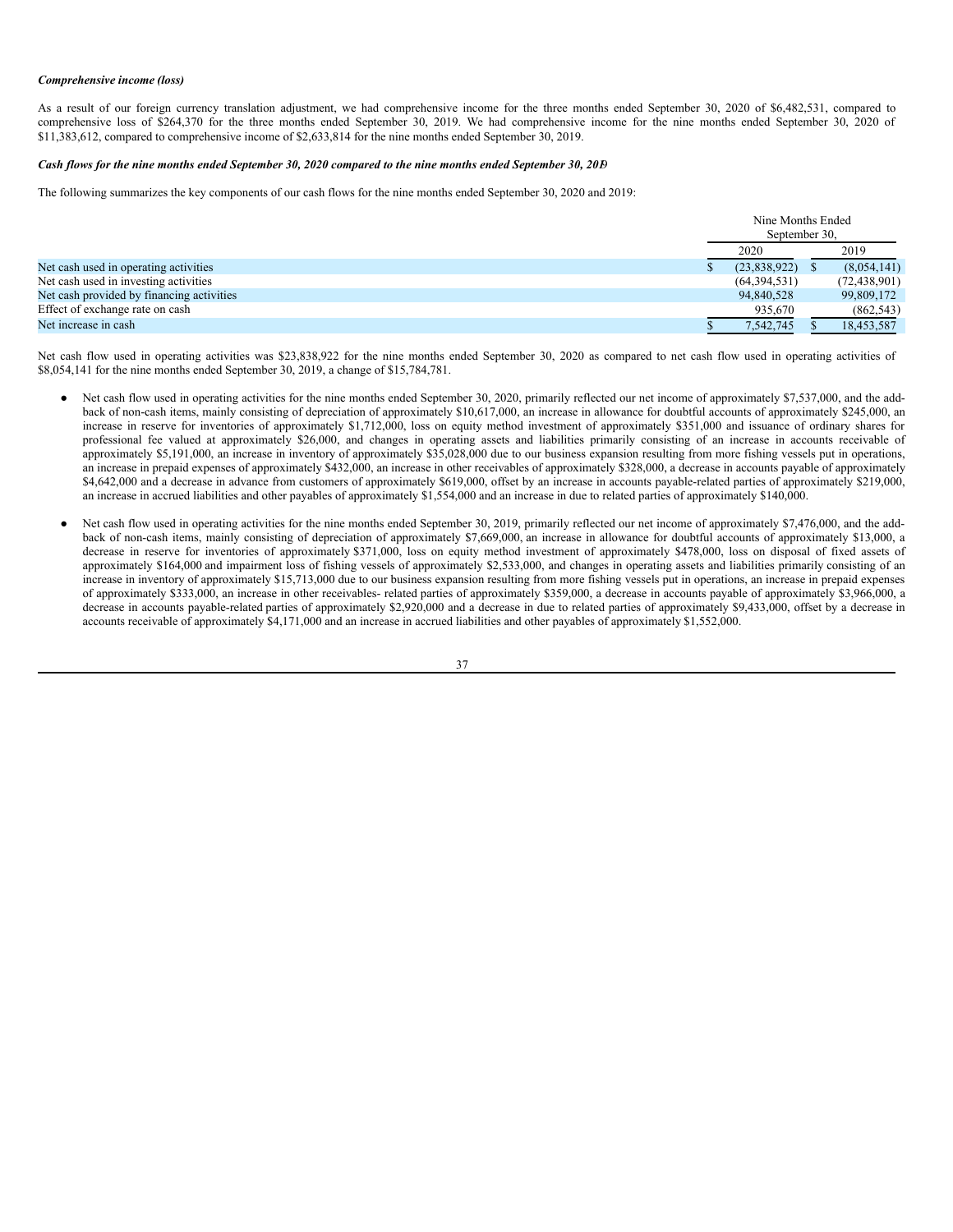#### *Comprehensive income (loss)*

As a result of our foreign currency translation adjustment, we had comprehensive income for the three months ended September 30, 2020 of \$6,482,531, compared to comprehensive loss of \$264,370 for the three months ended September 30, 2019. We had comprehensive income for the nine months ended September 30, 2020 of \$11,383,612, compared to comprehensive income of \$2,633,814 for the nine months ended September 30, 2019.

### Cash flows for the nine months ended September 30, 2020 compared to the nine months ended September 30, 20 D

The following summarizes the key components of our cash flows for the nine months ended September 30, 2020 and 2019:

|                                           |                | Nine Months Ended<br>September 30. |  |  |
|-------------------------------------------|----------------|------------------------------------|--|--|
|                                           | 2020           | 2019                               |  |  |
| Net cash used in operating activities     | (23,838,922)   | (8,054,141)                        |  |  |
| Net cash used in investing activities     | (64, 394, 531) | (72, 438, 901)                     |  |  |
| Net cash provided by financing activities | 94,840,528     | 99,809,172                         |  |  |
| Effect of exchange rate on cash           | 935.670        | (862, 543)                         |  |  |
| Net increase in cash                      | 7,542,745      | 18,453,587                         |  |  |

Net cash flow used in operating activities was \$23,838,922 for the nine months ended September 30, 2020 as compared to net cash flow used in operating activities of \$8,054,141 for the nine months ended September 30, 2019, a change of \$15,784,781.

- Net cash flow used in operating activities for the nine months ended September 30, 2020, primarily reflected our net income of approximately \$7,537,000, and the addback of non-cash items, mainly consisting of depreciation of approximately \$10,617,000, an increase in allowance for doubtful accounts of approximately \$245,000, an increase in reserve for inventories of approximately \$1,712,000, loss on equity method investment of approximately \$351,000 and issuance of ordinary shares for professional fee valued at approximately \$26,000, and changes in operating assets and liabilities primarily consisting of an increase in accounts receivable of approximately \$5,191,000, an increase in inventory of approximately  $$35,028,000$  due to our business expansion resulting from more fishing vessels put in operations, an increase in prepaid expenses of approximately \$432,000, an increase in other receivables of approximately \$328,000, a decrease in accounts payable of approximately \$4,642,000 and a decrease in advance from customers of approximately \$619,000, offset by an increase in accounts payable-related parties of approximately \$219,000, an increase in accrued liabilities and other payables of approximately \$1,554,000 and an increase in due to related parties of approximately \$140,000.
- Net cash flow used in operating activities for the nine months ended September 30, 2019, primarily reflected our net income of approximately \$7,476,000, and the addback of non-cash items, mainly consisting of depreciation of approximately \$7,669,000, an increase in allowance for doubtful accounts of approximately \$13,000, a decrease in reserve for inventories of approximately \$371,000, loss on equity method investment of approximately \$478,000, loss on disposal of fixed assets of approximately \$164,000 and impairment loss of fishing vessels of approximately \$2,533,000, and changes in operating assets and liabilities primarily consisting of an increase in inventory of approximately \$15,713,000 due to our business expansion resulting from more fishing vessels put in operations, an increase in prepaid expenses of approximately \$333,000, an increase in other receivables- related parties of approximately \$359,000, a decrease in accounts payable of approximately \$3,966,000, a decrease in accounts payable-related parties of approximately \$2,920,000 and a decrease in due to related parties of approximately \$9,433,000, offset by a decrease in accounts receivable of approximately \$4,171,000 and an increase in accrued liabilities and other payables of approximately \$1,552,000.

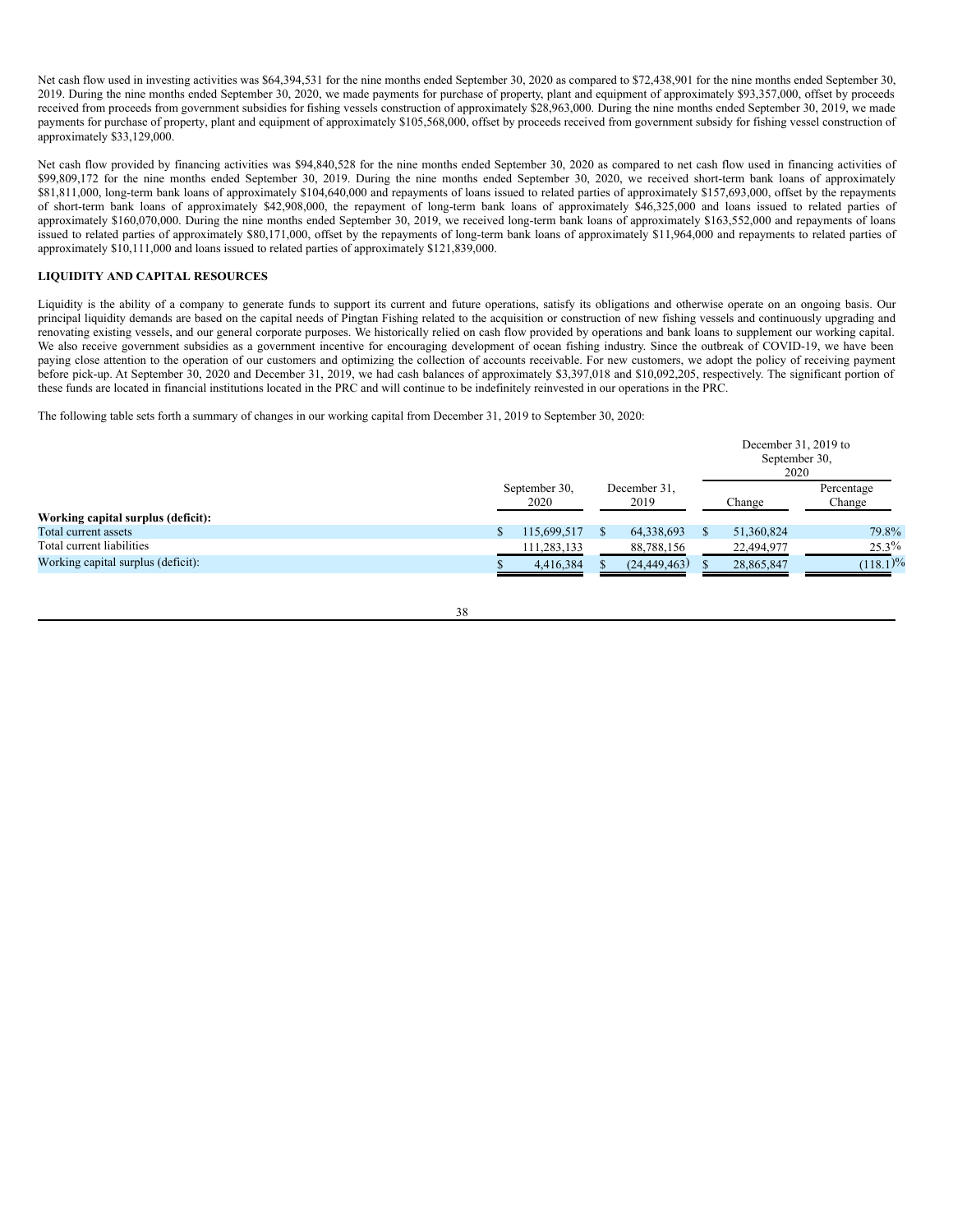Net cash flow used in investing activities was \$64,394,531 for the nine months ended September 30, 2020 as compared to \$72,438,901 for the nine months ended September 30, 2019. During the nine months ended September 30, 2020, we made payments for purchase of property, plant and equipment of approximately \$93,357,000, offset by proceeds received from proceeds from government subsidies for fishing vessels construction of approximately \$28,963,000. During the nine months ended September 30, 2019, we made payments for purchase of property, plant and equipment of approximately \$105,568,000, offset by proceeds received from government subsidy for fishing vessel construction of approximately \$33,129,000.

Net cash flow provided by financing activities was \$94,840,528 for the nine months ended September 30, 2020 as compared to net cash flow used in financing activities of \$99,809,172 for the nine months ended September 30, 2019. During the nine months ended September 30, 2020, we received short-term bank loans of approximately \$81,811,000, long-term bank loans of approximately \$104,640,000 and repayments of loans issued to related parties of approximately \$157,693,000, offset by the repayments of short-term bank loans of approximately \$42,908,000, the repayment of long-term bank loans of approximately \$46,325,000 and loans issued to related parties of approximately \$160,070,000. During the nine months ended September 30, 2019, we received long-term bank loans of approximately \$163,552,000 and repayments of loans issued to related parties of approximately \$80,171,000, offset by the repayments of long-term bank loans of approximately \$11,964,000 and repayments to related parties of approximately \$10,111,000 and loans issued to related parties of approximately \$121,839,000.

### **LIQUIDITY AND CAPITAL RESOURCES**

Liquidity is the ability of a company to generate funds to support its current and future operations, satisfy its obligations and otherwise operate on an ongoing basis. Our principal liquidity demands are based on the capital needs of Pingtan Fishing related to the acquisition or construction of new fishing vessels and continuously upgrading and renovating existing vessels, and our general corporate purposes. We historically relied on cash flow provided by operations and bank loans to supplement our working capital. We also receive government subsidies as a government incentive for encouraging development of ocean fishing industry. Since the outbreak of COVID-19, we have been paying close attention to the operation of our customers and optimizing the collection of accounts receivable. For new customers, we adopt the policy of receiving payment before pick-up. At September 30, 2020 and December 31, 2019, we had cash balances of approximately \$3,397,018 and \$10,092,205, respectively. The significant portion of these funds are located in financial institutions located in the PRC and will continue to be indefinitely reinvested in our operations in the PRC.

The following table sets forth a summary of changes in our working capital from December 31, 2019 to September 30, 2020:

|                                    |                       |             |                      |                | December $31, 2019$ to<br>September 30,<br>2020 |                      |
|------------------------------------|-----------------------|-------------|----------------------|----------------|-------------------------------------------------|----------------------|
| Working capital surplus (deficit): | September 30,<br>2020 |             | December 31,<br>2019 |                | Change                                          | Percentage<br>Change |
| Total current assets               |                       | 115,699,517 |                      | 64,338,693     | 51,360,824                                      | 79.8%                |
| Total current liabilities          |                       | 111,283,133 |                      | 88,788,156     | 22,494,977                                      | 25.3%                |
| Working capital surplus (deficit): |                       | 4,416,384   |                      | (24, 449, 463) | 28,865,847                                      | $(118.1)$ %          |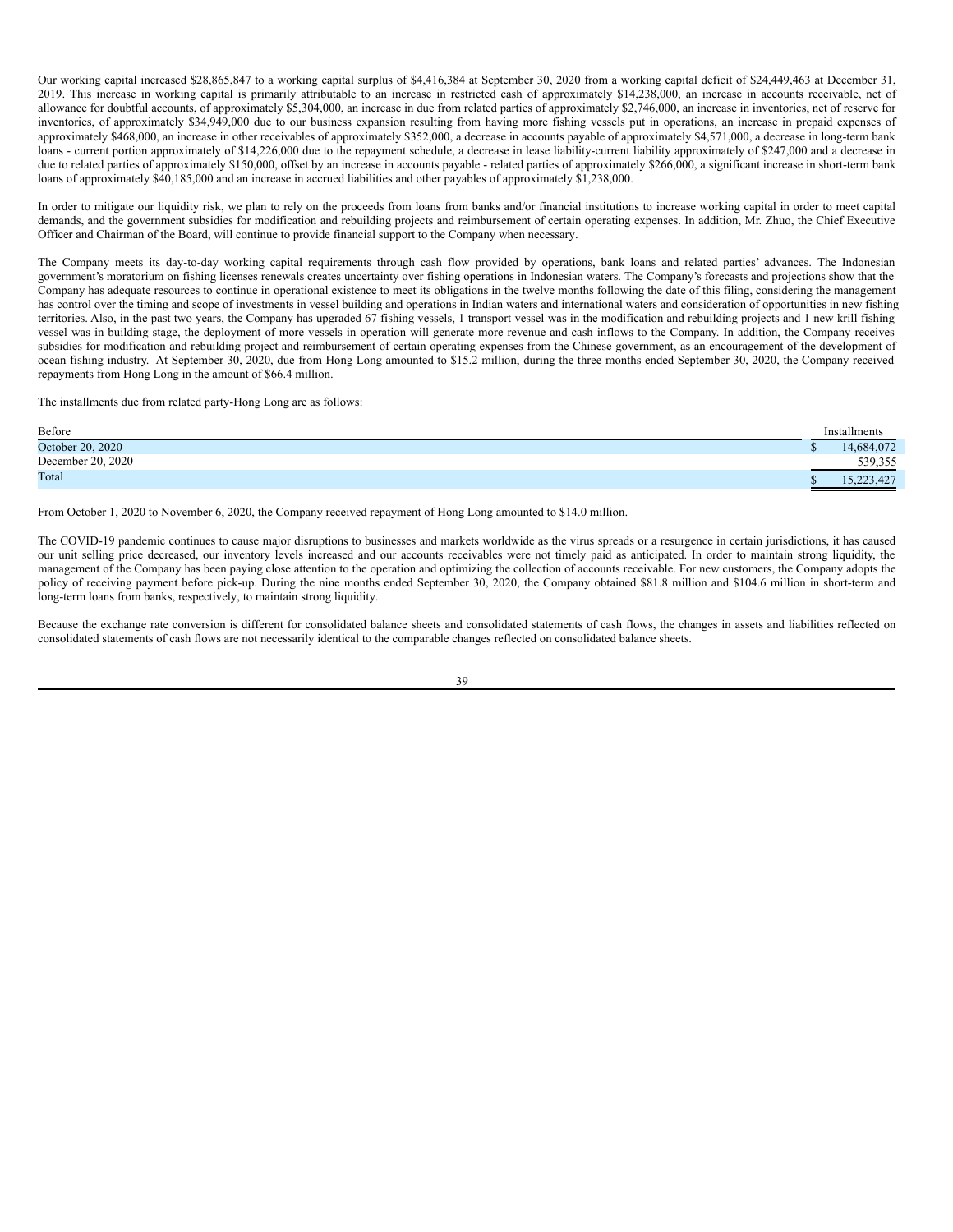Our working capital increased \$28,865,847 to a working capital surplus of \$4,416,384 at September 30, 2020 from a working capital deficit of \$24,449,463 at December 31, 2019. This increase in working capital is primarily attributable to an increase in restricted cash of approximately \$14,238,000, an increase in accounts receivable, net of allowance for doubtful accounts, of approximately \$5,304,000, an increase in due from related parties of approximately \$2,746,000, an increase in inventories, net of reserve for inventories, of approximately \$34,949,000 due to our business expansion resulting from having more fishing vessels put in operations, an increase in prepaid expenses of approximately \$468,000, an increase in other receivables of approximately \$352,000, a decrease in accounts payable of approximately \$4,571,000, a decrease in long-term bank loans - current portion approximately of \$14,226,000 due to the repayment schedule, a decrease in lease liability-current liability approximately of \$247,000 and a decrease in due to related parties of approximately \$150,000, offset by an increase in accounts payable - related parties of approximately \$266,000, a significant increase in short-term bank loans of approximately \$40,185,000 and an increase in accrued liabilities and other payables of approximately \$1,238,000.

In order to mitigate our liquidity risk, we plan to rely on the proceeds from loans from banks and/or financial institutions to increase working capital in order to meet capital demands, and the government subsidies for modification and rebuilding projects and reimbursement of certain operating expenses. In addition, Mr. Zhuo, the Chief Executive Officer and Chairman of the Board, will continue to provide financial support to the Company when necessary.

The Company meets its day-to-day working capital requirements through cash flow provided by operations, bank loans and related parties' advances. The Indonesian government's moratorium on fishing licenses renewals creates uncertainty over fishing operations in Indonesian waters. The Company's forecasts and projections show that the Company has adequate resources to continue in operational existence to meet its obligations in the twelve months following the date of this filing, considering the management has control over the timing and scope of investments in vessel building and operations in Indian waters and international waters and consideration of opportunities in new fishing territories. Also, in the past two years, the Company has upgraded 67 fishing vessels, 1 transport vessel was in the modification and rebuilding projects and 1 new krill fishing vessel was in building stage, the deployment of more vessels in operation will generate more revenue and cash inflows to the Company. In addition, the Company receives subsidies for modification and rebuilding project and reimbursement of certain operating expenses from the Chinese government, as an encouragement of the development of ocean fishing industry. At September 30, 2020, due from Hong Long amounted to \$15.2 million, during the three months ended September 30, 2020, the Company received repayments from Hong Long in the amount of \$66.4 million.

The installments due from related party-Hong Long are as follows:

| Before            | Installments |
|-------------------|--------------|
| October 20, 2020  | 14.684.072   |
| December 20, 2020 | 539,355      |
| Total             | 15.223.427   |

From October 1, 2020 to November 6, 2020, the Company received repayment of Hong Long amounted to \$14.0 million.

The COVID-19 pandemic continues to cause major disruptions to businesses and markets worldwide as the virus spreads or a resurgence in certain jurisdictions, it has caused our unit selling price decreased, our inventory levels increased and our accounts receivables were not timely paid as anticipated. In order to maintain strong liquidity, the management of the Company has been paying close attention to the operation and optimizing the collection of accounts receivable. For new customers, the Company adopts the policy of receiving payment before pick-up. During the nine months ended September 30, 2020, the Company obtained \$81.8 million and \$104.6 million in short-term and long-term loans from banks, respectively, to maintain strong liquidity.

Because the exchange rate conversion is different for consolidated balance sheets and consolidated statements of cash flows, the changes in assets and liabilities reflected on consolidated statements of cash flows are not necessarily identical to the comparable changes reflected on consolidated balance sheets.

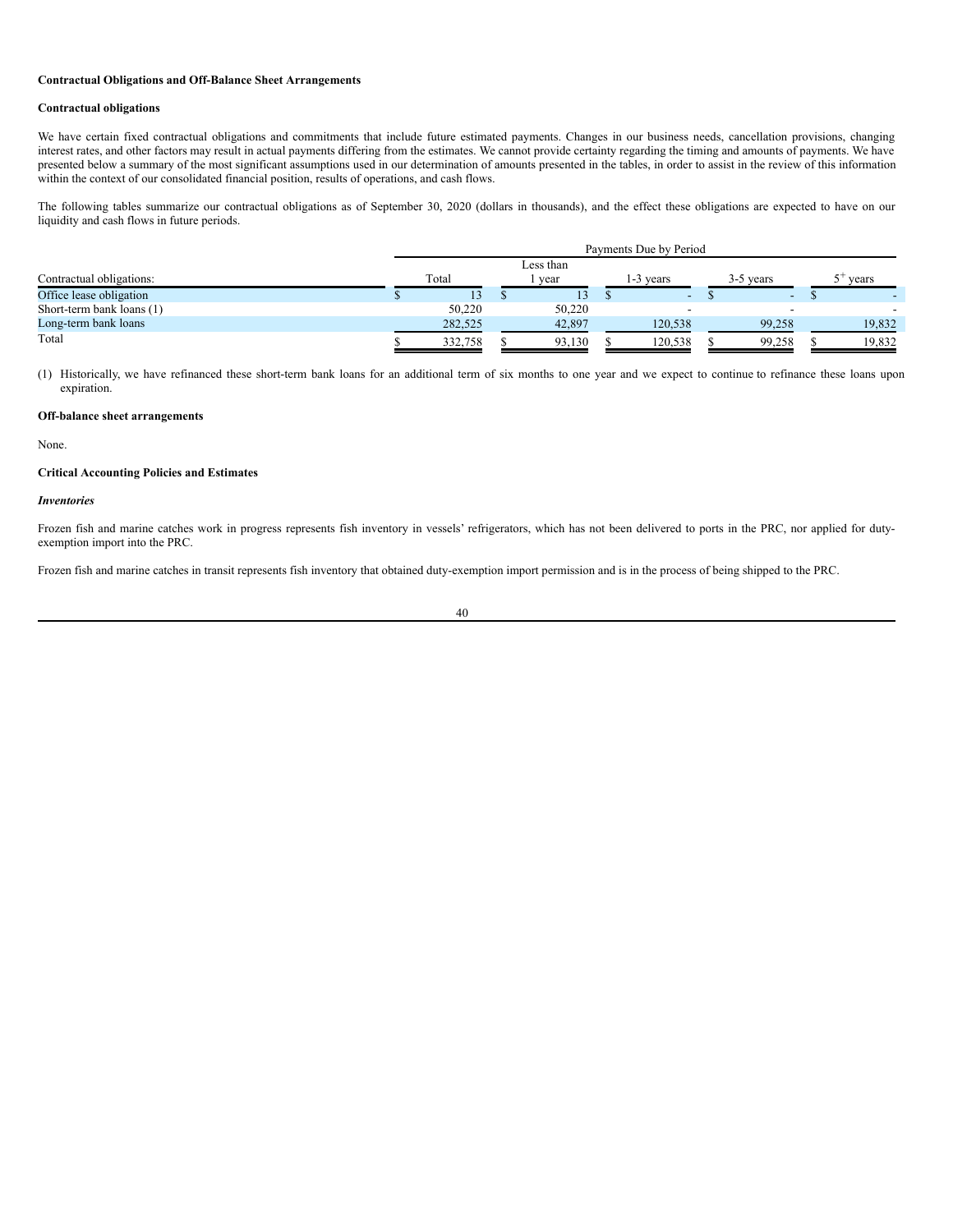### **Contractual Obligations and Off-Balance Sheet Arrangements**

## **Contractual obligations**

We have certain fixed contractual obligations and commitments that include future estimated payments. Changes in our business needs, cancellation provisions, changing interest rates, and other factors may result in actual payments differing from the estimates. We cannot provide certainty regarding the timing and amounts of payments. We have presented below a summary of the most significant assumptions used in our determination of amounts presented in the tables, in order to assist in the review of this information within the context of our consolidated financial position, results of operations, and cash flows.

The following tables summarize our contractual obligations as of September 30, 2020 (dollars in thousands), and the effect these obligations are expected to have on our liquidity and cash flows in future periods.

|                           | Payments Due by Period |  |           |  |                          |  |                          |  |        |  |
|---------------------------|------------------------|--|-----------|--|--------------------------|--|--------------------------|--|--------|--|
|                           |                        |  | Less than |  |                          |  |                          |  |        |  |
| Contractual obligations:  | Total                  |  | vear      |  | 1-3 years                |  | 3-5 vears                |  | years  |  |
| Office lease obligation   | 13                     |  | 13        |  | $\overline{\phantom{0}}$ |  | $\overline{\phantom{0}}$ |  |        |  |
| Short-term bank loans (1) | 50,220                 |  | 50,220    |  | -                        |  | $\overline{\phantom{0}}$ |  |        |  |
| Long-term bank loans      | 282.525                |  | 42.897    |  | 120,538                  |  | 99.258                   |  | 19.832 |  |
| Total                     | 332,758                |  | 93,130    |  | 120,538                  |  | 99,258                   |  | 19,832 |  |

(1) Historically, we have refinanced these short-term bank loans for an additional term of six months to one year and we expect to continue to refinance these loans upon expiration.

### **Off-balance sheet arrangements**

None.

### **Critical Accounting Policies and Estimates**

#### *Inventories*

Frozen fish and marine catches work in progress represents fish inventory in vessels' refrigerators, which has not been delivered to ports in the PRC, nor applied for dutyexemption import into the PRC.

Frozen fish and marine catches in transit represents fish inventory that obtained duty-exemption import permission and is in the process of being shipped to the PRC.

$$
^{40}
$$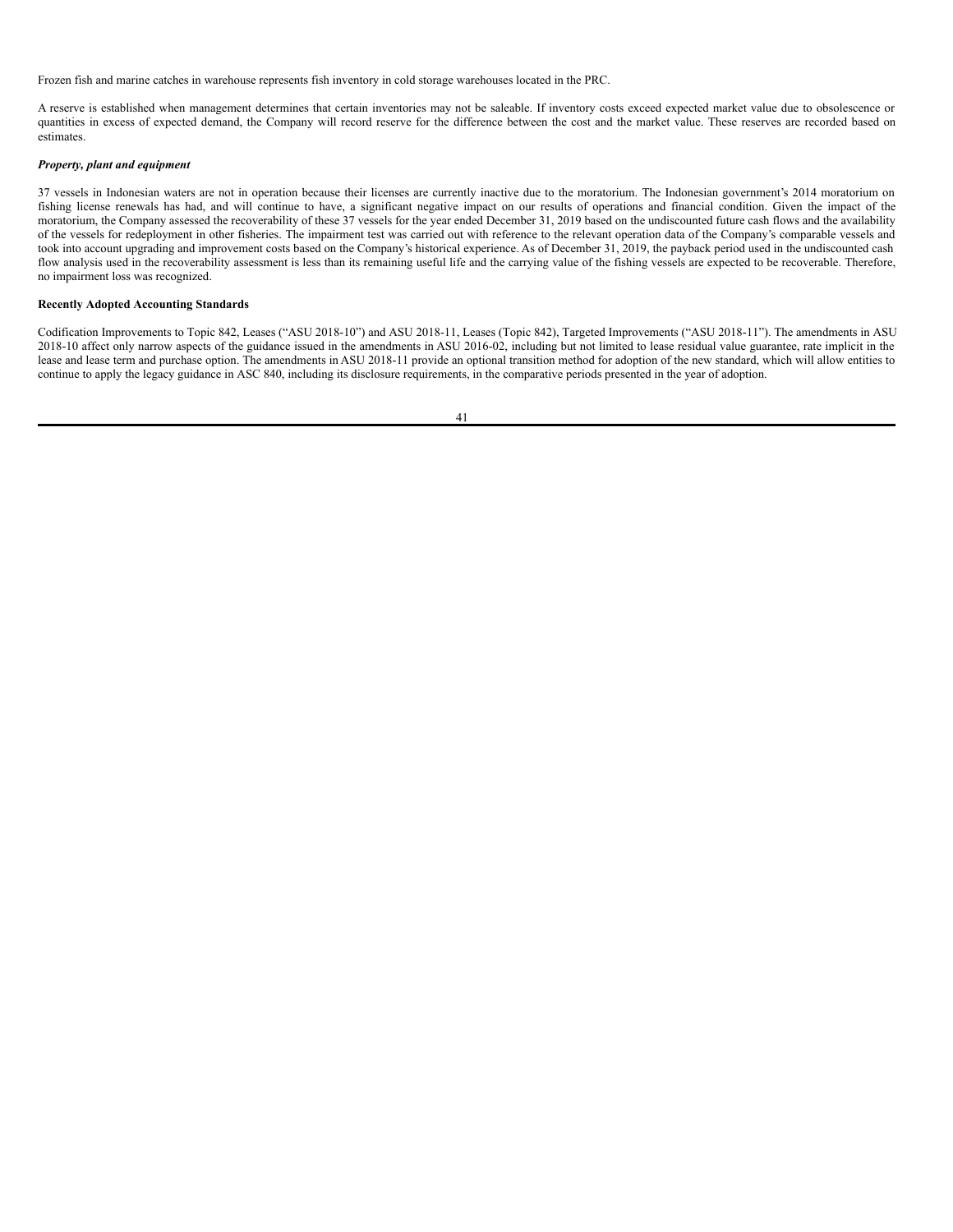Frozen fish and marine catches in warehouse represents fish inventory in cold storage warehouses located in the PRC.

A reserve is established when management determines that certain inventories may not be saleable. If inventory costs exceed expected market value due to obsolescence or quantities in excess of expected demand, the Company will record reserve for the difference between the cost and the market value. These reserves are recorded based on estimates.

### *Property, plant and equipment*

37 vessels in Indonesian waters are not in operation because their licenses are currently inactive due to the moratorium. The Indonesian government's 2014 moratorium on fishing license renewals has had, and will continue to have, a significant negative impact on our results of operations and financial condition. Given the impact of the moratorium, the Company assessed the recoverability of these 37 vessels for the year ended December 31, 2019 based on the undiscounted future cash flows and the availability of the vessels for redeployment in other fisheries. The impairment test was carried out with reference to the relevant operation data of the Company's comparable vessels and took into account upgrading and improvement costs based on the Company's historical experience. As of December 31, 2019, the payback period used in the undiscounted cash flow analysis used in the recoverability assessment is less than its remaining useful life and the carrying value of the fishing vessels are expected to be recoverable. Therefore, no impairment loss was recognized.

### **Recently Adopted Accounting Standards**

Codification Improvements to Topic 842, Leases ("ASU 2018-10") and ASU 2018-11, Leases (Topic 842), Targeted Improvements ("ASU 2018-11"). The amendments in ASU 2018-10 affect only narrow aspects of the guidance issued in the amendments in ASU 2016-02, including but not limited to lease residual value guarantee, rate implicit in the lease and lease term and purchase option. The amendments in ASU 2018-11 provide an optional transition method for adoption of the new standard, which will allow entities to continue to apply the legacy guidance in ASC 840, including its disclosure requirements, in the comparative periods presented in the year of adoption.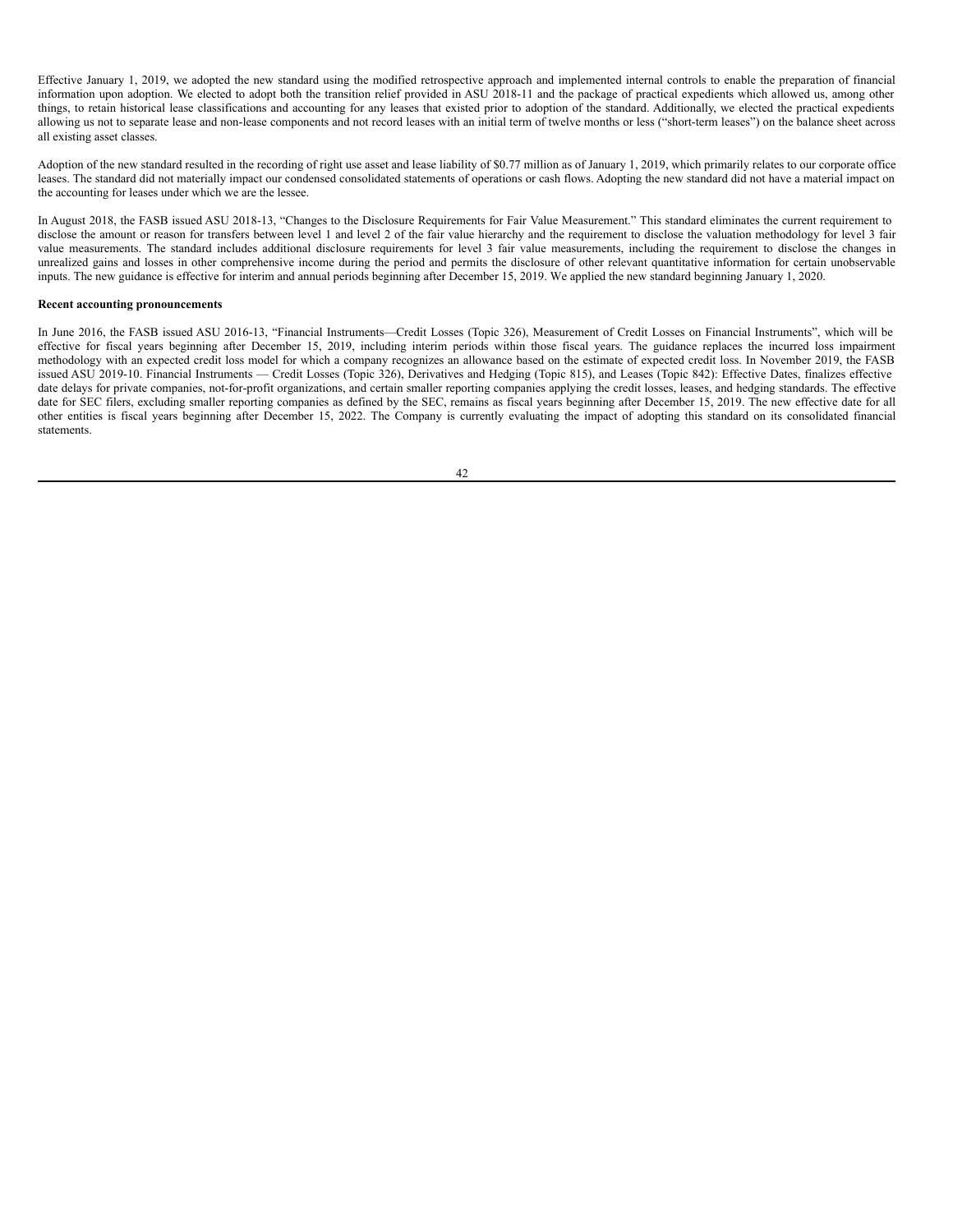Effective January 1, 2019, we adopted the new standard using the modified retrospective approach and implemented internal controls to enable the preparation of financial information upon adoption. We elected to adopt both the transition relief provided in ASU 2018-11 and the package of practical expedients which allowed us, among other things, to retain historical lease classifications and accounting for any leases that existed prior to adoption of the standard. Additionally, we elected the practical expedients allowing us not to separate lease and non-lease components and not record leases with an initial term of twelve months or less ("short-term leases") on the balance sheet across all existing asset classes.

Adoption of the new standard resulted in the recording of right use asset and lease liability of \$0.77 million as of January 1, 2019, which primarily relates to our corporate office leases. The standard did not materially impact our condensed consolidated statements of operations or cash flows. Adopting the new standard did not have a material impact on the accounting for leases under which we are the lessee.

In August 2018, the FASB issued ASU 2018-13, "Changes to the Disclosure Requirements for Fair Value Measurement." This standard eliminates the current requirement to disclose the amount or reason for transfers between level 1 and level 2 of the fair value hierarchy and the requirement to disclose the valuation methodology for level 3 fair value measurements. The standard includes additional disclosure requirements for level 3 fair value measurements, including the requirement to disclose the changes in unrealized gains and losses in other comprehensive income during the period and permits the disclosure of other relevant quantitative information for certain unobservable inputs. The new guidance is effective for interim and annual periods beginning after December 15, 2019. We applied the new standard beginning January 1, 2020.

### **Recent accounting pronouncements**

In June 2016, the FASB issued ASU 2016-13, "Financial Instruments—Credit Losses (Topic 326), Measurement of Credit Losses on Financial Instruments", which will be effective for fiscal years beginning after December 15, 2019, including interim periods within those fiscal years. The guidance replaces the incurred loss impairment methodology with an expected credit loss model for which a company recognizes an allowance based on the estimate of expected credit loss. In November 2019, the FASB issued ASU 2019-10. Financial Instruments — Credit Losses (Topic 326), Derivatives and Hedging (Topic 815), and Leases (Topic 842): Effective Dates, finalizes effective date delays for private companies, not-for-profit organizations, and certain smaller reporting companies applying the credit losses, leases, and hedging standards. The effective date for SEC filers, excluding smaller reporting companies as defined by the SEC, remains as fiscal years beginning after December 15, 2019. The new effective date for all other entities is fiscal years beginning after December 15, 2022. The Company is currently evaluating the impact of adopting this standard on its consolidated financial statements.

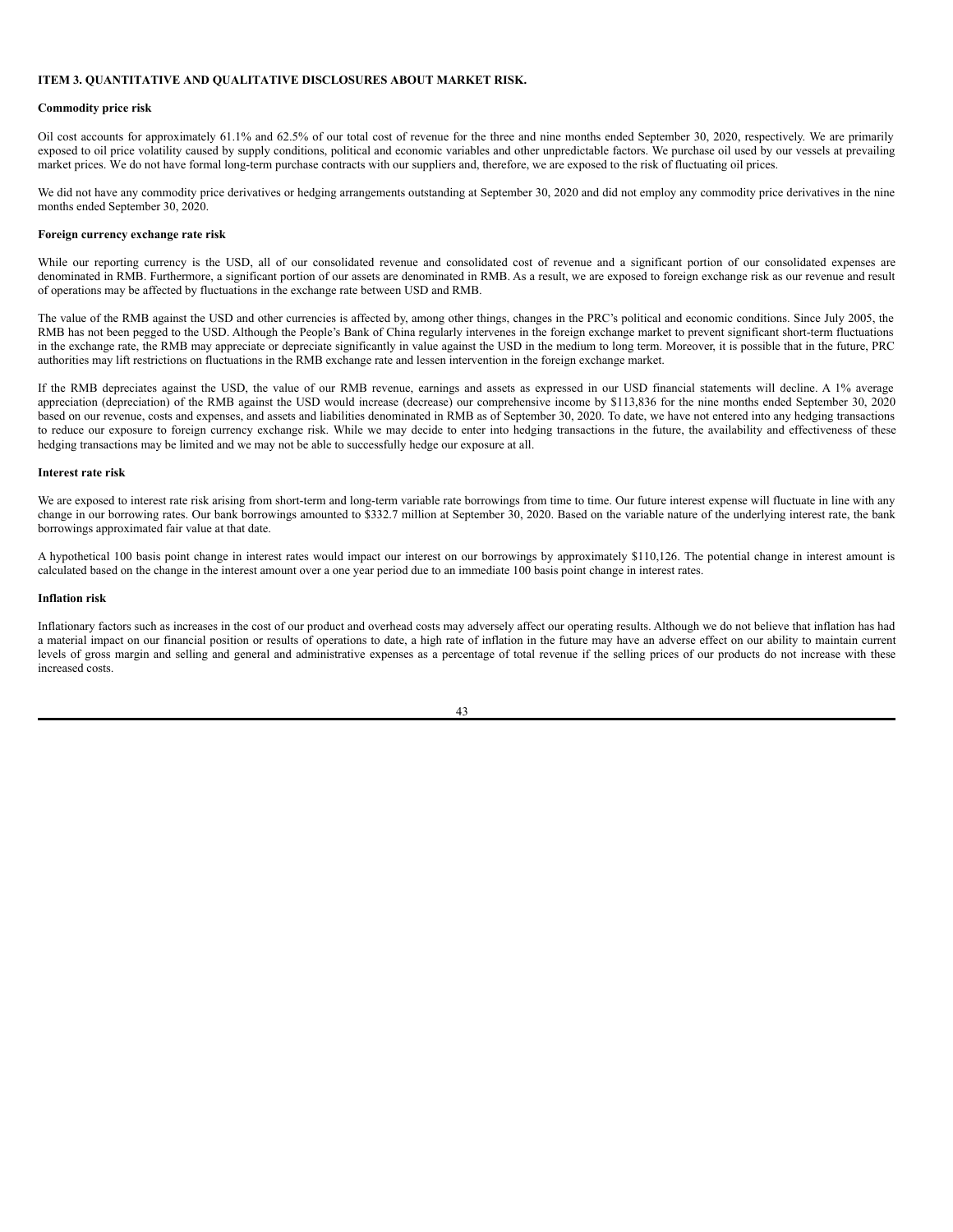#### **ITEM 3. QUANTITATIVE AND QUALITATIVE DISCLOSURES ABOUT MARKET RISK.**

# **Commodity price risk**

Oil cost accounts for approximately 61.1% and 62.5% of our total cost of revenue for the three and nine months ended September 30, 2020, respectively. We are primarily exposed to oil price volatility caused by supply conditions, political and economic variables and other unpredictable factors. We purchase oil used by our vessels at prevailing market prices. We do not have formal long-term purchase contracts with our suppliers and, therefore, we are exposed to the risk of fluctuating oil prices.

We did not have any commodity price derivatives or hedging arrangements outstanding at September 30, 2020 and did not employ any commodity price derivatives in the nine months ended September 30, 2020.

#### **Foreign currency exchange rate risk**

While our reporting currency is the USD, all of our consolidated revenue and consolidated cost of revenue and a significant portion of our consolidated expenses are denominated in RMB. Furthermore, a significant portion of our assets are denominated in RMB. As a result, we are exposed to foreign exchange risk as our revenue and result of operations may be affected by fluctuations in the exchange rate between USD and RMB.

The value of the RMB against the USD and other currencies is affected by, among other things, changes in the PRC's political and economic conditions. Since July 2005, the RMB has not been pegged to the USD. Although the People's Bank of China regularly intervenes in the foreign exchange market to prevent significant short-term fluctuations in the exchange rate, the RMB may appreciate or depreciate significantly in value against the USD in the medium to long term. Moreover, it is possible that in the future, PRC authorities may lift restrictions on fluctuations in the RMB exchange rate and lessen intervention in the foreign exchange market.

If the RMB depreciates against the USD, the value of our RMB revenue, earnings and assets as expressed in our USD financial statements will decline. A 1% average appreciation (depreciation) of the RMB against the USD would increase (decrease) our comprehensive income by \$113,836 for the nine months ended September 30, 2020 based on our revenue, costs and expenses, and assets and liabilities denominated in RMB as of September 30, 2020. To date, we have not entered into any hedging transactions to reduce our exposure to foreign currency exchange risk. While we may decide to enter into hedging transactions in the future, the availability and effectiveness of these hedging transactions may be limited and we may not be able to successfully hedge our exposure at all.

#### **Interest rate risk**

We are exposed to interest rate risk arising from short-term and long-term variable rate borrowings from time to time. Our future interest expense will fluctuate in line with any change in our borrowing rates. Our bank borrowings amounted to \$332.7 million at September 30, 2020. Based on the variable nature of the underlying interest rate, the bank borrowings approximated fair value at that date.

A hypothetical 100 basis point change in interest rates would impact our interest on our borrowings by approximately \$110,126. The potential change in interest amount is calculated based on the change in the interest amount over a one year period due to an immediate 100 basis point change in interest rates.

#### **Inflation risk**

Inflationary factors such as increases in the cost of our product and overhead costs may adversely affect our operating results. Although we do not believe that inflation has had a material impact on our financial position or results of operations to date, a high rate of inflation in the future may have an adverse effect on our ability to maintain current levels of gross margin and selling and general and administrative expenses as a percentage of total revenue if the selling prices of our products do not increase with these increased costs.

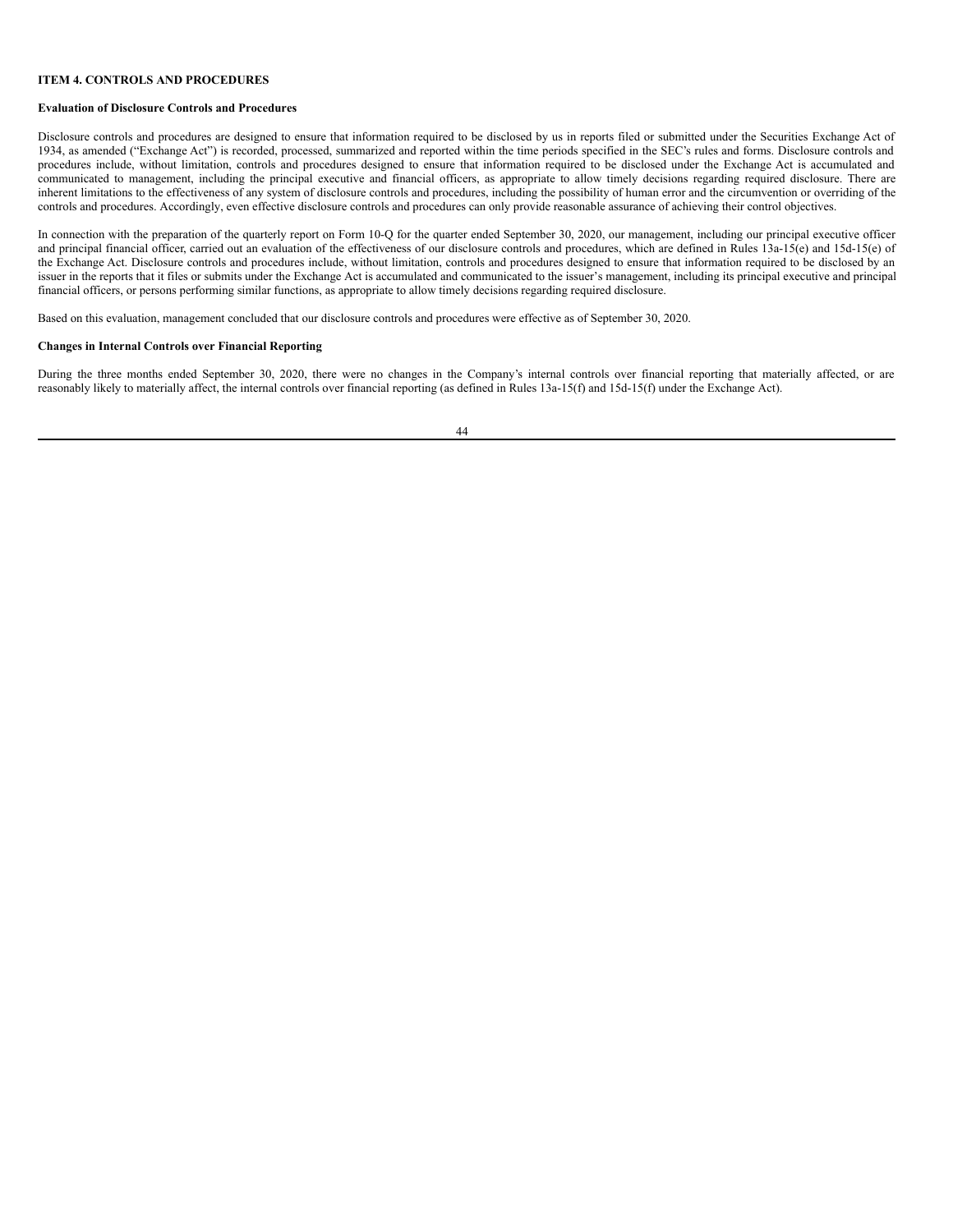### **ITEM 4. CONTROLS AND PROCEDURES**

### **Evaluation of Disclosure Controls and Procedures**

Disclosure controls and procedures are designed to ensure that information required to be disclosed by us in reports filed or submitted under the Securities Exchange Act of 1934, as amended ("Exchange Act") is recorded, processed, summarized and reported within the time periods specified in the SEC's rules and forms. Disclosure controls and procedures include, without limitation, controls and procedures designed to ensure that information required to be disclosed under the Exchange Act is accumulated and communicated to management, including the principal executive and financial officers, as appropriate to allow timely decisions regarding required disclosure. There are inherent limitations to the effectiveness of any system of disclosure controls and procedures, including the possibility of human error and the circumvention or overriding of the controls and procedures. Accordingly, even effective disclosure controls and procedures can only provide reasonable assurance of achieving their control objectives.

In connection with the preparation of the quarterly report on Form 10-Q for the quarter ended September 30, 2020, our management, including our principal executive officer and principal financial officer, carried out an evaluation of the effectiveness of our disclosure controls and procedures, which are defined in Rules 13a-15(e) and 15d-15(e) of the Exchange Act. Disclosure controls and procedures include, without limitation, controls and procedures designed to ensure that information required to be disclosed by an issuer in the reports that it files or submits under the Exchange Act is accumulated and communicated to the issuer's management, including its principal executive and principal financial officers, or persons performing similar functions, as appropriate to allow timely decisions regarding required disclosure.

Based on this evaluation, management concluded that our disclosure controls and procedures were effective as of September 30, 2020.

#### **Changes in Internal Controls over Financial Reporting**

During the three months ended September 30, 2020, there were no changes in the Company's internal controls over financial reporting that materially affected, or are reasonably likely to materially affect, the internal controls over financial reporting (as defined in Rules 13a-15(f) and 15d-15(f) under the Exchange Act).

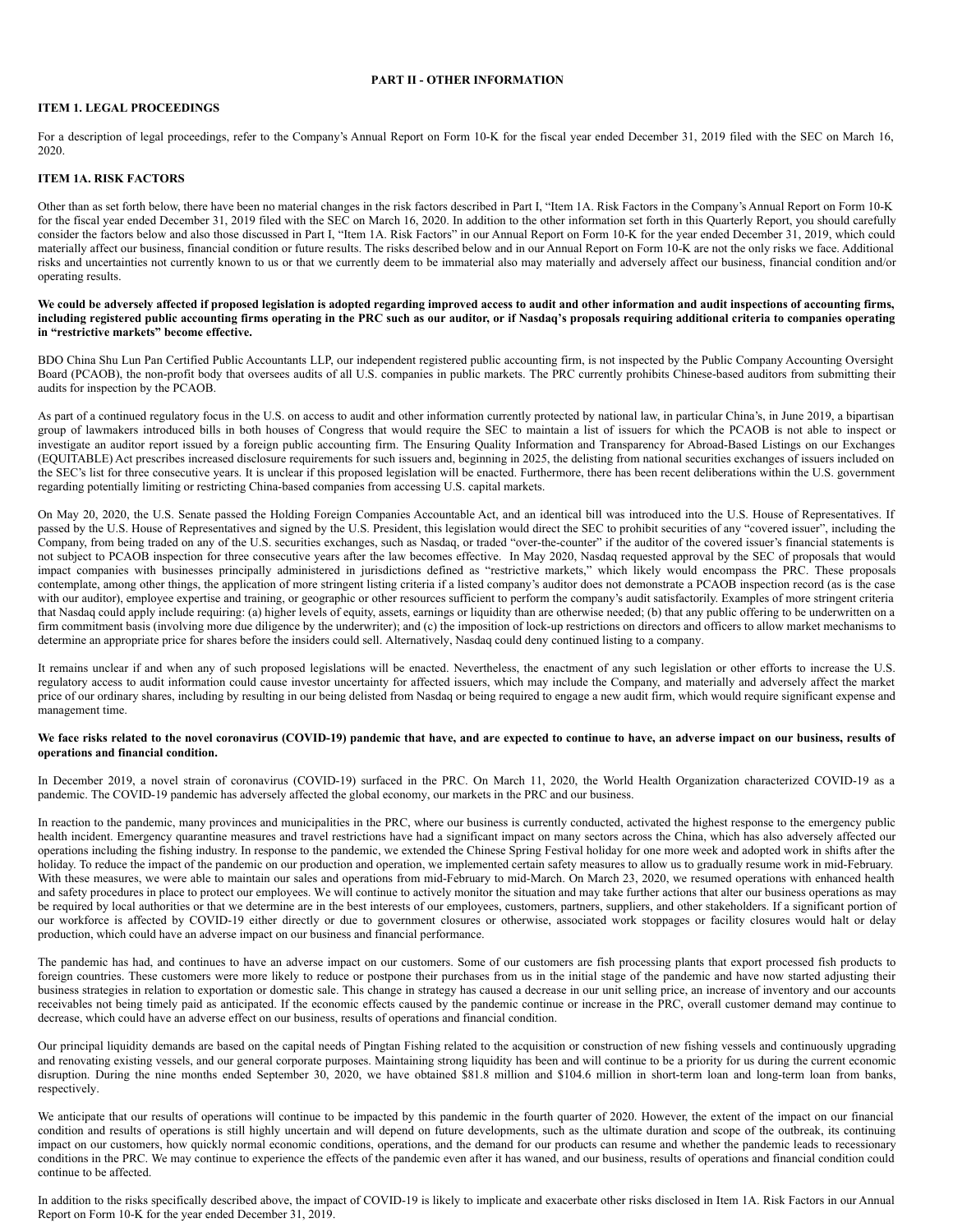#### **PART II - OTHER INFORMATION**

### **ITEM 1. LEGAL PROCEEDINGS**

For a description of legal proceedings, refer to the Company's Annual Report on Form 10-K for the fiscal year ended December 31, 2019 filed with the SEC on March 16, 2020.

# **ITEM 1A. RISK FACTORS**

Other than as set forth below, there have been no material changes in the risk factors described in Part I, "Item 1A. Risk Factors in the Company's Annual Report on Form 10-K for the fiscal year ended December 31, 2019 filed with the SEC on March 16, 2020. In addition to the other information set forth in this Quarterly Report, you should carefully consider the factors below and also those discussed in Part I, "Item 1A. Risk Factors" in our Annual Report on Form 10-K for the year ended December 31, 2019, which could materially affect our business, financial condition or future results. The risks described below and in our Annual Report on Form 10-K are not the only risks we face. Additional risks and uncertainties not currently known to us or that we currently deem to be immaterial also may materially and adversely affect our business, financial condition and/or operating results.

#### We could be adversely affected if proposed legislation is adopted regarding improved access to audit and other information and audit inspections of accounting firms, including registered public accounting firms operating in the PRC such as our auditor, or if Nasdaq's proposals requiring additional criteria to companies operating **in "restrictive markets" become effective.**

BDO China Shu Lun Pan Certified Public Accountants LLP, our independent registered public accounting firm, is not inspected by the Public Company Accounting Oversight Board (PCAOB), the non-profit body that oversees audits of all U.S. companies in public markets. The PRC currently prohibits Chinese-based auditors from submitting their audits for inspection by the PCAOB.

As part of a continued regulatory focus in the U.S. on access to audit and other information currently protected by national law, in particular China's, in June 2019, a bipartisan group of lawmakers introduced bills in both houses of Congress that would require the SEC to maintain a list of issuers for which the PCAOB is not able to inspect or investigate an auditor report issued by a foreign public accounting firm. The Ensuring Quality Information and Transparency for Abroad-Based Listings on our Exchanges (EQUITABLE) Act prescribes increased disclosure requirements for such issuers and, beginning in 2025, the delisting from national securities exchanges of issuers included on the SEC's list for three consecutive years. It is unclear if this proposed legislation will be enacted. Furthermore, there has been recent deliberations within the U.S. government regarding potentially limiting or restricting China-based companies from accessing U.S. capital markets.

On May 20, 2020, the U.S. Senate passed the Holding Foreign Companies Accountable Act, and an identical bill was introduced into the U.S. House of Representatives. If passed by the U.S. House of Representatives and signed by the U.S. President, this legislation would direct the SEC to prohibit securities of any "covered issuer", including the Company, from being traded on any of the U.S. securities exchanges, such as Nasdaq, or traded "over-the-counter" if the auditor of the covered issuer's financial statements is not subject to PCAOB inspection for three consecutive years after the law becomes effective. In May 2020, Nasdaq requested approval by the SEC of proposals that would impact companies with businesses principally administered in jurisdictions defined as "restrictive markets," which likely would encompass the PRC. These proposals contemplate, among other things, the application of more stringent listing criteria if a listed company's auditor does not demonstrate a PCAOB inspection record (as is the case with our auditor), employee expertise and training, or geographic or other resources sufficient to perform the company's audit satisfactorily. Examples of more stringent criteria that Nasdaq could apply include requiring: (a) higher levels of equity, assets, earnings or liquidity than are otherwise needed; (b) that any public offering to be underwritten on a firm commitment basis (involving more due diligence by the underwriter); and (c) the imposition of lock-up restrictions on directors and officers to allow market mechanisms to determine an appropriate price for shares before the insiders could sell. Alternatively, Nasdaq could deny continued listing to a company.

It remains unclear if and when any of such proposed legislations will be enacted. Nevertheless, the enactment of any such legislation or other efforts to increase the U.S. regulatory access to audit information could cause investor uncertainty for affected issuers, which may include the Company, and materially and adversely affect the market price of our ordinary shares, including by resulting in our being delisted from Nasdaq or being required to engage a new audit firm, which would require significant expense and management time.

#### We face risks related to the novel coronavirus (COVID-19) pandemic that have, and are expected to continue to have, an adverse impact on our business, results of **operations and financial condition.**

In December 2019, a novel strain of coronavirus (COVID-19) surfaced in the PRC. On March 11, 2020, the World Health Organization characterized COVID-19 as a pandemic. The COVID-19 pandemic has adversely affected the global economy, our markets in the PRC and our business.

In reaction to the pandemic, many provinces and municipalities in the PRC, where our business is currently conducted, activated the highest response to the emergency public health incident. Emergency quarantine measures and travel restrictions have had a significant impact on many sectors across the China, which has also adversely affected our operations including the fishing industry. In response to the pandemic, we extended the Chinese Spring Festival holiday for one more week and adopted work in shifts after the holiday. To reduce the impact of the pandemic on our production and operation, we implemented certain safety measures to allow us to gradually resume work in mid-February. With these measures, we were able to maintain our sales and operations from mid-February to mid-March. On March 23, 2020, we resumed operations with enhanced health and safety procedures in place to protect our employees. We will continue to actively monitor the situation and may take further actions that alter our business operations as may be required by local authorities or that we determine are in the best interests of our employees, customers, partners, suppliers, and other stakeholders. If a significant portion of our workforce is affected by COVID-19 either directly or due to government closures or otherwise, associated work stoppages or facility closures would halt or delay production, which could have an adverse impact on our business and financial performance.

The pandemic has had, and continues to have an adverse impact on our customers. Some of our customers are fish processing plants that export processed fish products to foreign countries. These customers were more likely to reduce or postpone their purchases from us in the initial stage of the pandemic and have now started adjusting their business strategies in relation to exportation or domestic sale. This change in strategy has caused a decrease in our unit selling price, an increase of inventory and our accounts receivables not being timely paid as anticipated. If the economic effects caused by the pandemic continue or increase in the PRC, overall customer demand may continue to decrease, which could have an adverse effect on our business, results of operations and financial condition.

Our principal liquidity demands are based on the capital needs of Pingtan Fishing related to the acquisition or construction of new fishing vessels and continuously upgrading and renovating existing vessels, and our general corporate purposes. Maintaining strong liquidity has been and will continue to be a priority for us during the current economic disruption. During the nine months ended September 30, 2020, we have obtained \$81.8 million and \$104.6 million in short-term loan and long-term loan from banks, respectively.

We anticipate that our results of operations will continue to be impacted by this pandemic in the fourth quarter of 2020. However, the extent of the impact on our financial condition and results of operations is still highly uncertain and will depend on future developments, such as the ultimate duration and scope of the outbreak, its continuing impact on our customers, how quickly normal economic conditions, operations, and the demand for our products can resume and whether the pandemic leads to recessionary conditions in the PRC. We may continue to experience the effects of the pandemic even after it has waned, and our business, results of operations and financial condition could continue to be affected.

In addition to the risks specifically described above, the impact of COVID-19 is likely to implicate and exacerbate other risks disclosed in Item 1A. Risk Factors in our Annual Report on Form 10-K for the year ended December 31, 2019.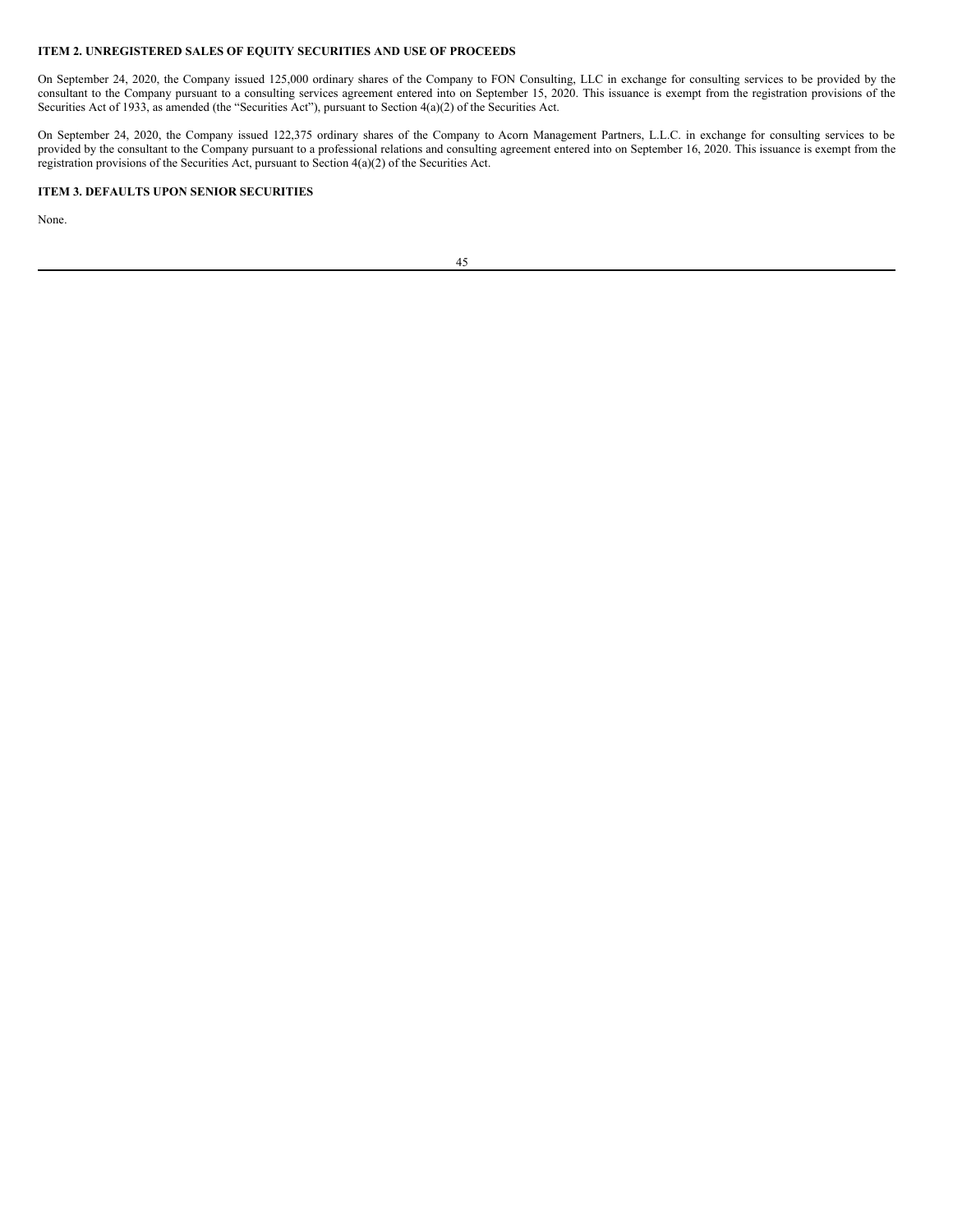# **ITEM 2. UNREGISTERED SALES OF EQUITY SECURITIES AND USE OF PROCEEDS**

On September 24, 2020, the Company issued 125,000 ordinary shares of the Company to FON Consulting, LLC in exchange for consulting services to be provided by the consultant to the Company pursuant to a consulting services agreement entered into on September 15, 2020. This issuance is exempt from the registration provisions of the Securities Act of 1933, as amended (the "Securities Act"), pursuant to Section 4(a)(2) of the Securities Act.

On September 24, 2020, the Company issued 122,375 ordinary shares of the Company to Acorn Management Partners, L.L.C. in exchange for consulting services to be provided by the consultant to the Company pursuant to a professional relations and consulting agreement entered into on September 16, 2020. This issuance is exempt from the registration provisions of the Securities Act, pursuant to Section 4(a)(2) of the Securities Act.

# **ITEM 3. DEFAULTS UPON SENIOR SECURITIES**

None.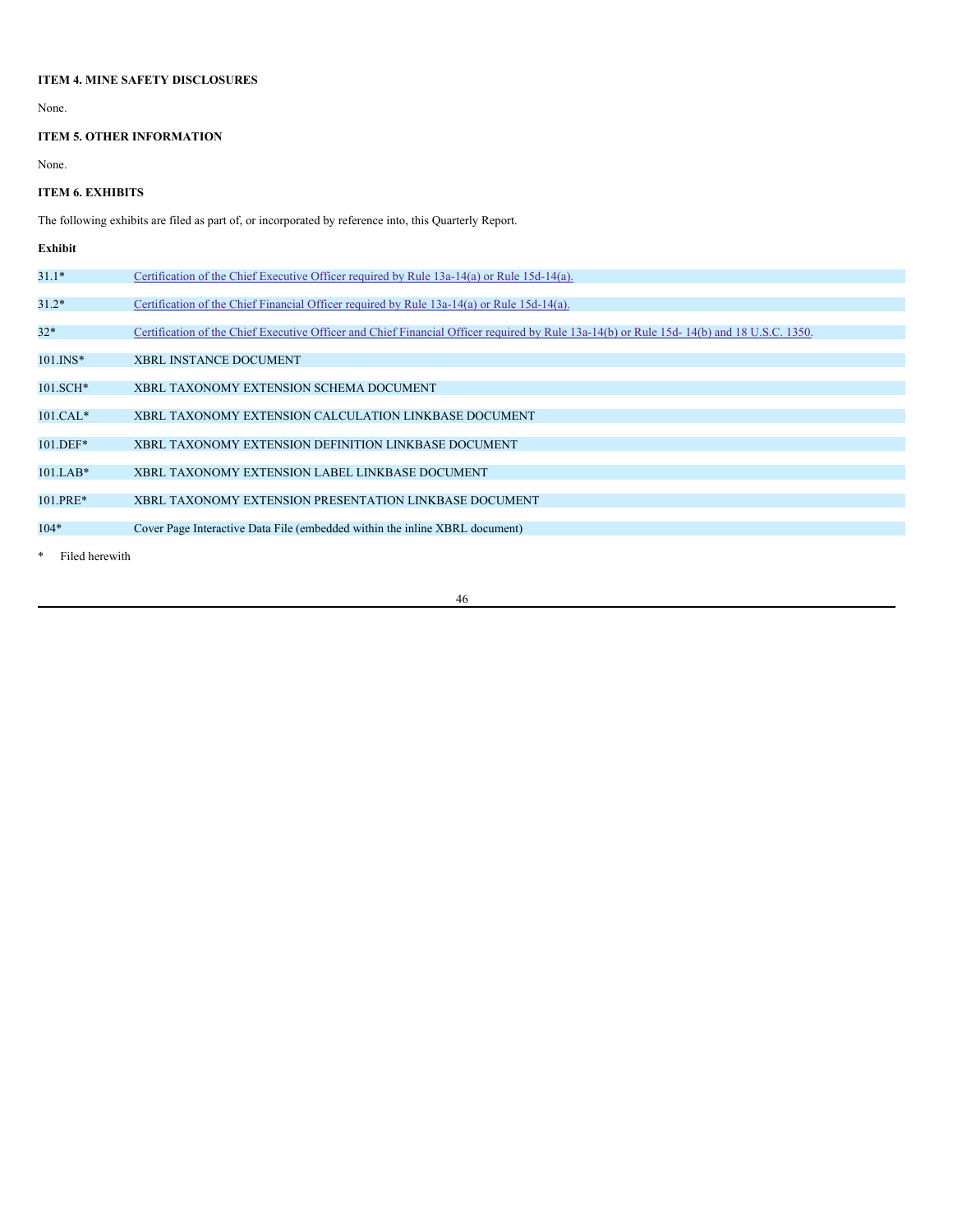# **ITEM 4. MINE SAFETY DISCLOSURES**

None.

# **ITEM 5. OTHER INFORMATION**

None.

# **ITEM 6. EXHIBITS**

The following exhibits are filed as part of, or incorporated by reference into, this Quarterly Report.

| Exhibit      |                                                                                                                                           |
|--------------|-------------------------------------------------------------------------------------------------------------------------------------------|
| $31.1*$      | Certification of the Chief Executive Officer required by Rule 13a-14(a) or Rule 15d-14(a).                                                |
| $31.2*$      | Certification of the Chief Financial Officer required by Rule 13a-14(a) or Rule 15d-14(a).                                                |
| $32*$        | Certification of the Chief Executive Officer and Chief Financial Officer required by Rule 13a-14(b) or Rule 15d-14(b) and 18 U.S.C. 1350. |
| $101$ . INS* | <b>XBRL INSTANCE DOCUMENT</b>                                                                                                             |
| $101.SCH*$   | XBRL TAXONOMY EXTENSION SCHEMA DOCUMENT                                                                                                   |
| $101.CAL*$   | XBRL TAXONOMY EXTENSION CALCULATION LINKBASE DOCUMENT                                                                                     |
| 101.DEF*     | XBRL TAXONOMY EXTENSION DEFINITION LINKBASE DOCUMENT                                                                                      |
| $101.LAB*$   | XBRL TAXONOMY EXTENSION LABEL LINKBASE DOCUMENT                                                                                           |
| 101.PRE*     | XBRL TAXONOMY EXTENSION PRESENTATION LINKBASE DOCUMENT                                                                                    |
| $104*$       | Cover Page Interactive Data File (embedded within the inline XBRL document)                                                               |
|              |                                                                                                                                           |

\* Filed herewith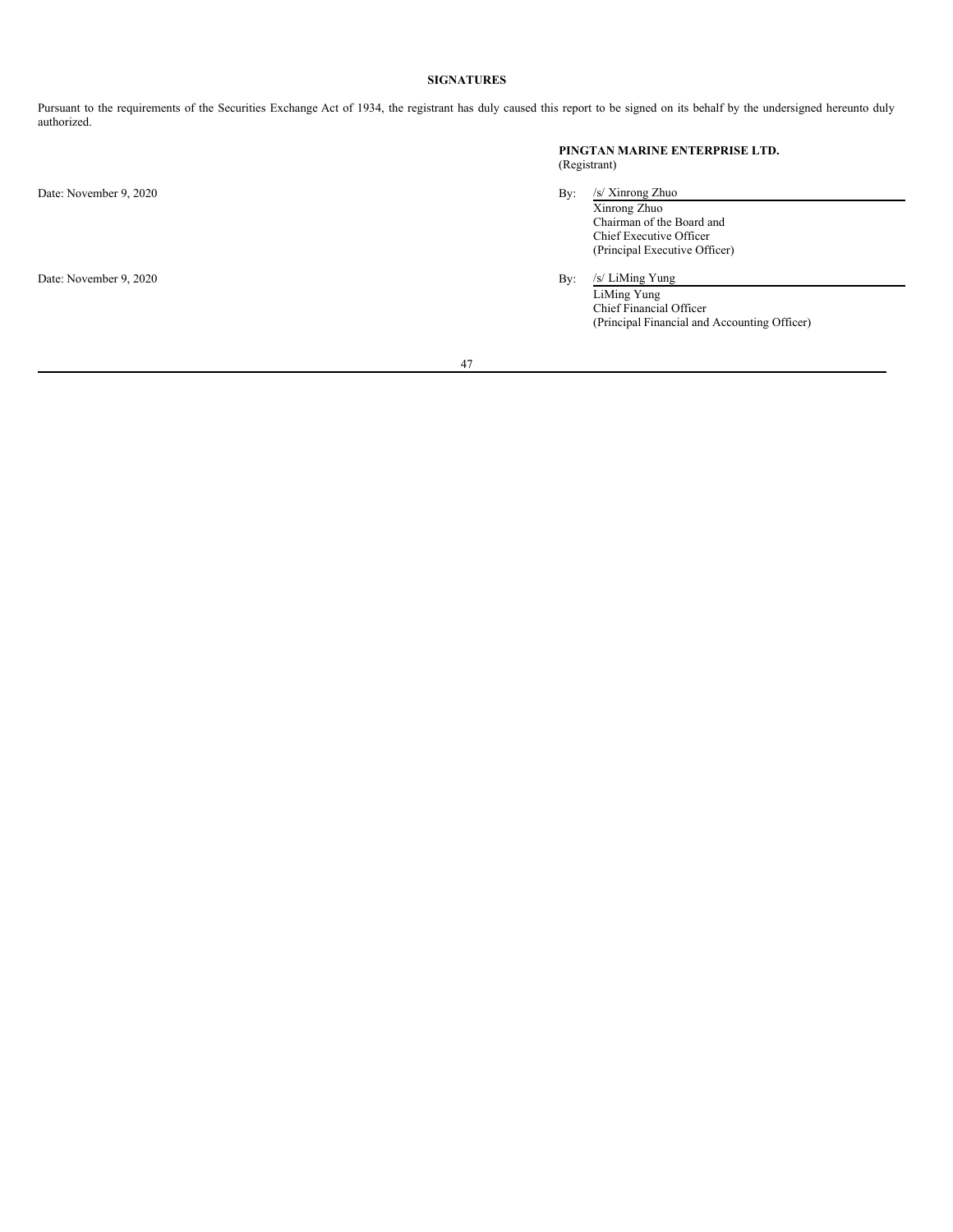# **SIGNATURES**

Pursuant to the requirements of the Securities Exchange Act of 1934, the registrant has duly caused this report to be signed on its behalf by the undersigned hereunto duly authorized.

### **PINGTAN MARINE ENTERPRISE LTD.** (Registrant)

Date: November 9, 2020 By: /s/ Xinrong Zhuo Xinrong Zhuo Chairman of the Board and Chief Executive Officer (Principal Executive Officer) Date: November 9, 2020 By: /s/ LiMing Yung LiMing Yung Chief Financial Officer (Principal Financial and Accounting Officer)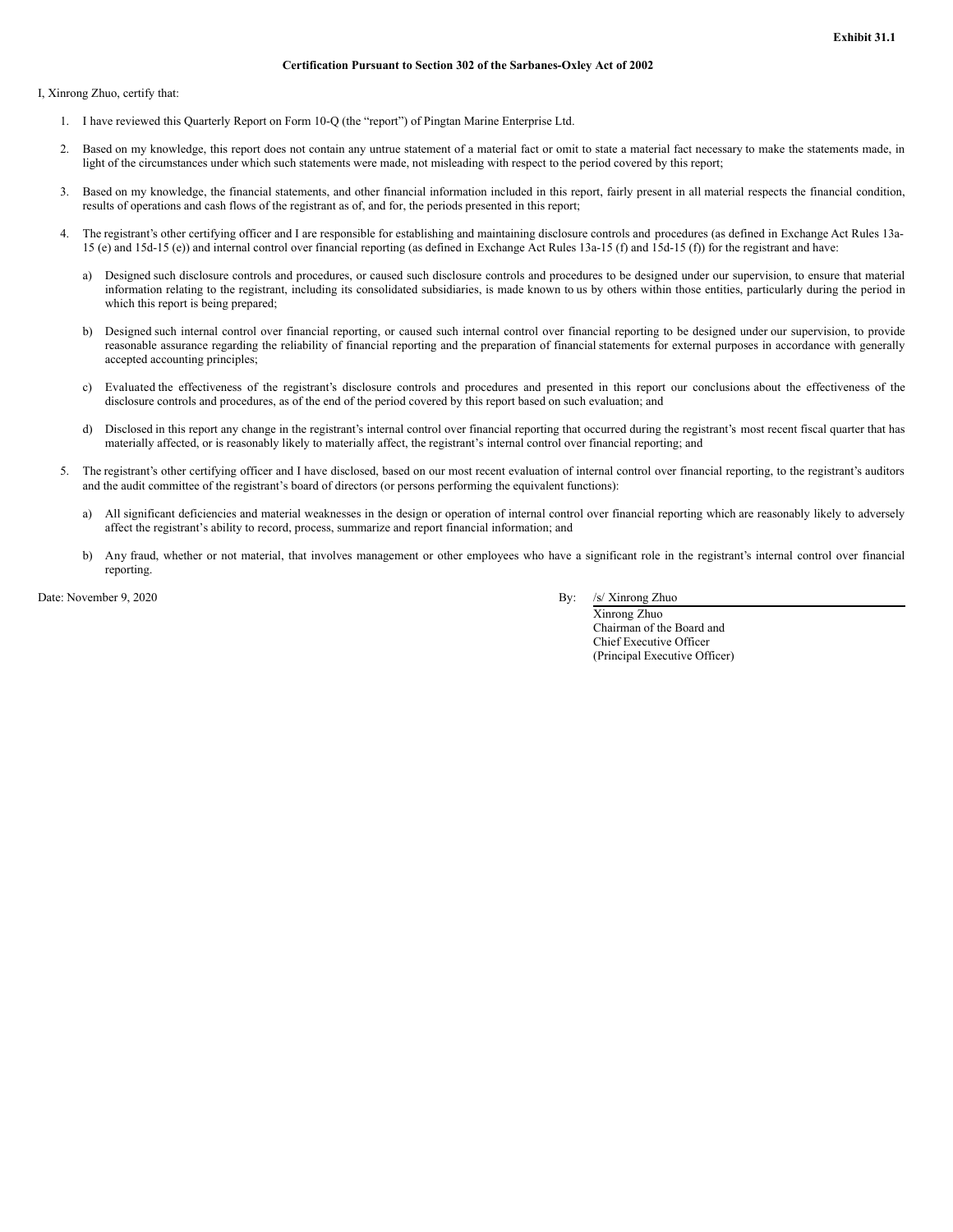### **Certification Pursuant to Section 302 of the Sarbanes-Oxley Act of 2002**

<span id="page-51-0"></span>I, Xinrong Zhuo, certify that:

- 1. I have reviewed this Quarterly Report on Form 10-Q (the "report") of Pingtan Marine Enterprise Ltd.
- 2. Based on my knowledge, this report does not contain any untrue statement of a material fact or omit to state a material fact necessary to make the statements made, in light of the circumstances under which such statements were made, not misleading with respect to the period covered by this report;
- 3. Based on my knowledge, the financial statements, and other financial information included in this report, fairly present in all material respects the financial condition, results of operations and cash flows of the registrant as of, and for, the periods presented in this report;
- 4. The registrant's other certifying officer and I are responsible for establishing and maintaining disclosure controls and procedures (as defined in Exchange Act Rules 13a-15 (e) and 15d-15 (e)) and internal control over financial reporting (as defined in Exchange Act Rules 13a-15 (f) and 15d-15 (f)) for the registrant and have:
	- a) Designed such disclosure controls and procedures, or caused such disclosure controls and procedures to be designed under our supervision, to ensure that material information relating to the registrant, including its consolidated subsidiaries, is made known to us by others within those entities, particularly during the period in which this report is being prepared;
	- b) Designed such internal control over financial reporting, or caused such internal control over financial reporting to be designed under our supervision, to provide reasonable assurance regarding the reliability of financial reporting and the preparation of financial statements for external purposes in accordance with generally accepted accounting principles;
	- c) Evaluated the effectiveness of the registrant's disclosure controls and procedures and presented in this report our conclusions about the effectiveness of the disclosure controls and procedures, as of the end of the period covered by this report based on such evaluation; and
	- d) Disclosed in this report any change in the registrant's internal control over financial reporting that occurred during the registrant's most recent fiscal quarter that has materially affected, or is reasonably likely to materially affect, the registrant's internal control over financial reporting; and
- 5. The registrant's other certifying officer and I have disclosed, based on our most recent evaluation of internal control over financial reporting, to the registrant's auditors and the audit committee of the registrant's board of directors (or persons performing the equivalent functions):
	- a) All significant deficiencies and material weaknesses in the design or operation of internal control over financial reporting which are reasonably likely to adversely affect the registrant's ability to record, process, summarize and report financial information; and
	- b) Any fraud, whether or not material, that involves management or other employees who have a significant role in the registrant's internal control over financial reporting.

Date: November 9, 2020 By: /s/ Xinrong Zhuo

Xinrong Zhuo Chairman of the Board and Chief Executive Officer (Principal Executive Officer)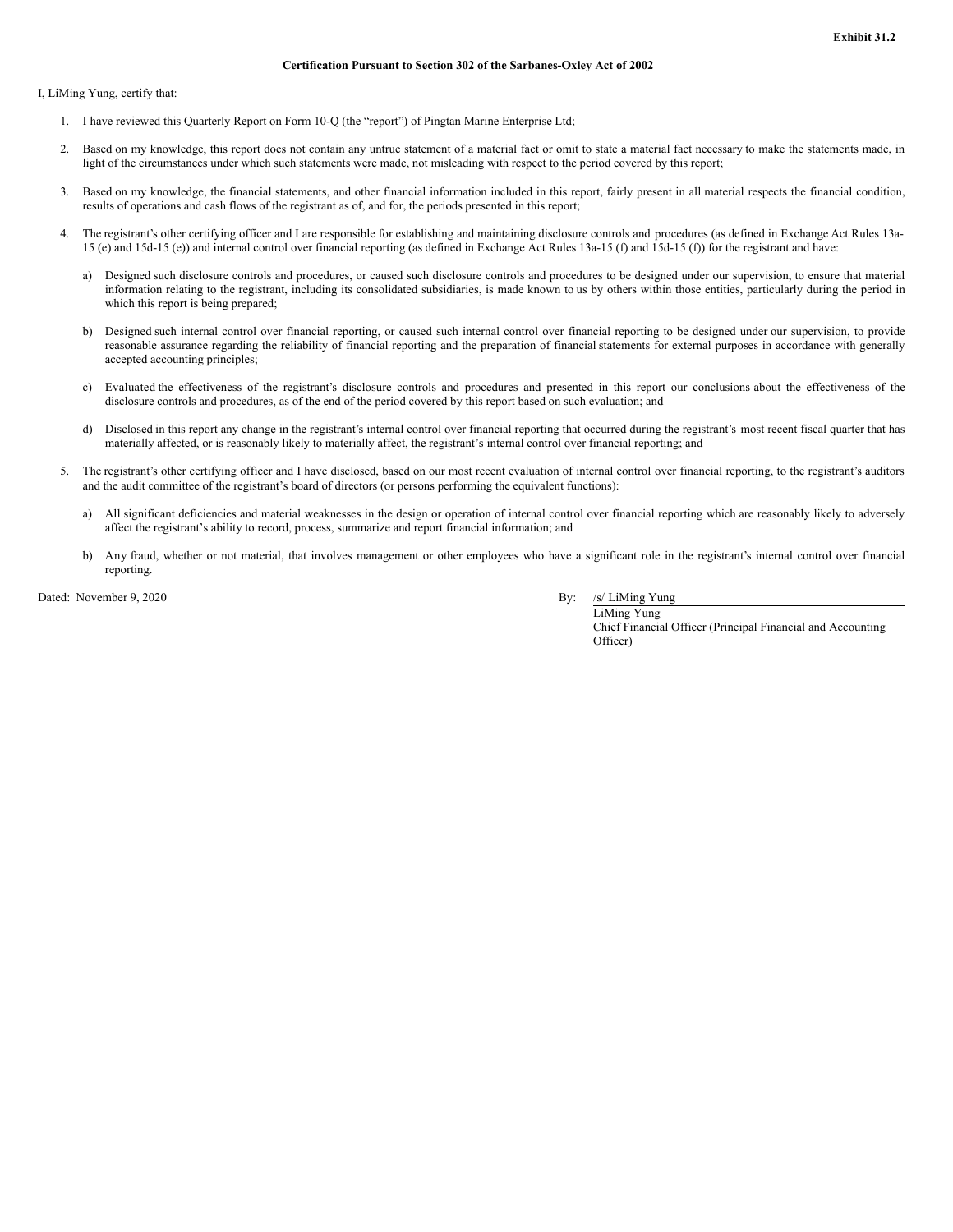### **Certification Pursuant to Section 302 of the Sarbanes-Oxley Act of 2002**

<span id="page-52-0"></span>I, LiMing Yung, certify that:

- 1. I have reviewed this Quarterly Report on Form 10-Q (the "report") of Pingtan Marine Enterprise Ltd;
- 2. Based on my knowledge, this report does not contain any untrue statement of a material fact or omit to state a material fact necessary to make the statements made, in light of the circumstances under which such statements were made, not misleading with respect to the period covered by this report;
- 3. Based on my knowledge, the financial statements, and other financial information included in this report, fairly present in all material respects the financial condition, results of operations and cash flows of the registrant as of, and for, the periods presented in this report;
- 4. The registrant's other certifying officer and I are responsible for establishing and maintaining disclosure controls and procedures (as defined in Exchange Act Rules 13a-15 (e) and 15d-15 (e)) and internal control over financial reporting (as defined in Exchange Act Rules 13a-15 (f) and 15d-15 (f)) for the registrant and have:
	- a) Designed such disclosure controls and procedures, or caused such disclosure controls and procedures to be designed under our supervision, to ensure that material information relating to the registrant, including its consolidated subsidiaries, is made known to us by others within those entities, particularly during the period in which this report is being prepared;
	- b) Designed such internal control over financial reporting, or caused such internal control over financial reporting to be designed under our supervision, to provide reasonable assurance regarding the reliability of financial reporting and the preparation of financial statements for external purposes in accordance with generally accepted accounting principles;
	- c) Evaluated the effectiveness of the registrant's disclosure controls and procedures and presented in this report our conclusions about the effectiveness of the disclosure controls and procedures, as of the end of the period covered by this report based on such evaluation; and
	- d) Disclosed in this report any change in the registrant's internal control over financial reporting that occurred during the registrant's most recent fiscal quarter that has materially affected, or is reasonably likely to materially affect, the registrant's internal control over financial reporting; and
- 5. The registrant's other certifying officer and I have disclosed, based on our most recent evaluation of internal control over financial reporting, to the registrant's auditors and the audit committee of the registrant's board of directors (or persons performing the equivalent functions):
	- a) All significant deficiencies and material weaknesses in the design or operation of internal control over financial reporting which are reasonably likely to adversely affect the registrant's ability to record, process, summarize and report financial information; and
	- b) Any fraud, whether or not material, that involves management or other employees who have a significant role in the registrant's internal control over financial reporting.

Dated: November 9, 2020 By: /s/ LiMing Yung

LiMing Yung Chief Financial Officer (Principal Financial and Accounting Officer)